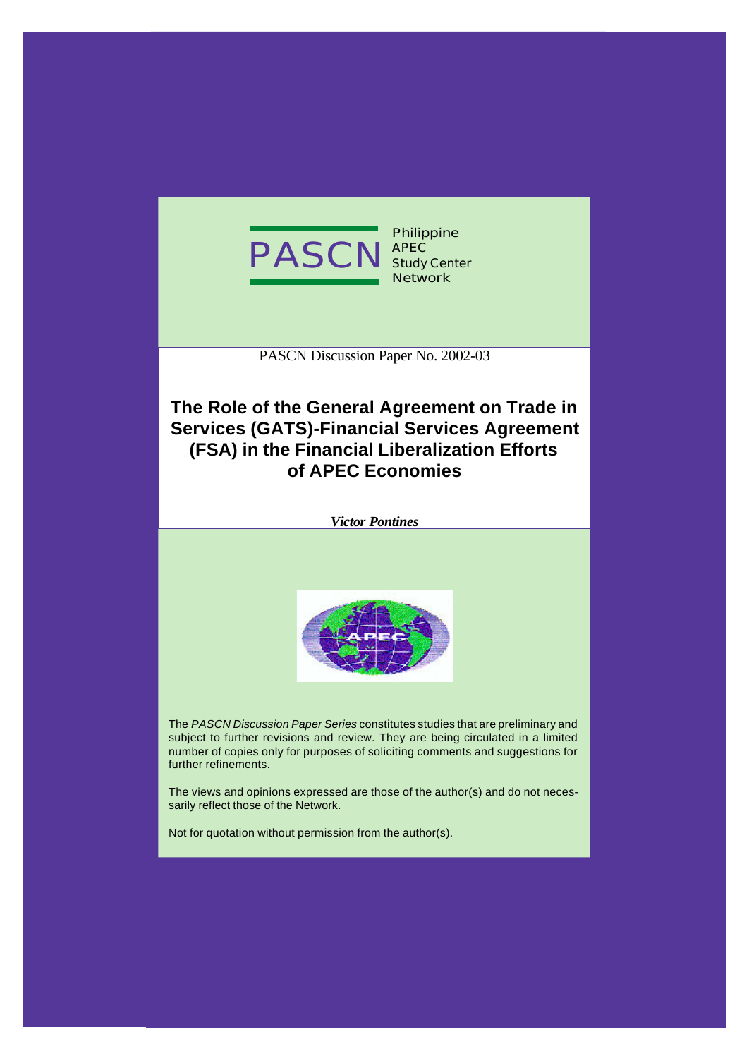

PASCN Discussion Paper No. 2002-03

# **The Role of the General Agreement on Trade in Services (GATS)-Financial Services Agreement (FSA) in the Financial Liberalization Efforts of APEC Economies**





The *PASCN Discussion Paper Series* constitutes studies that are preliminary and subject to further revisions and review. They are being circulated in a limited number of copies only for purposes of soliciting comments and suggestions for further refinements.

The views and opinions expressed are those of the author(s) and do not necessarily reflect those of the Network.

Not for quotation without permission from the author(s).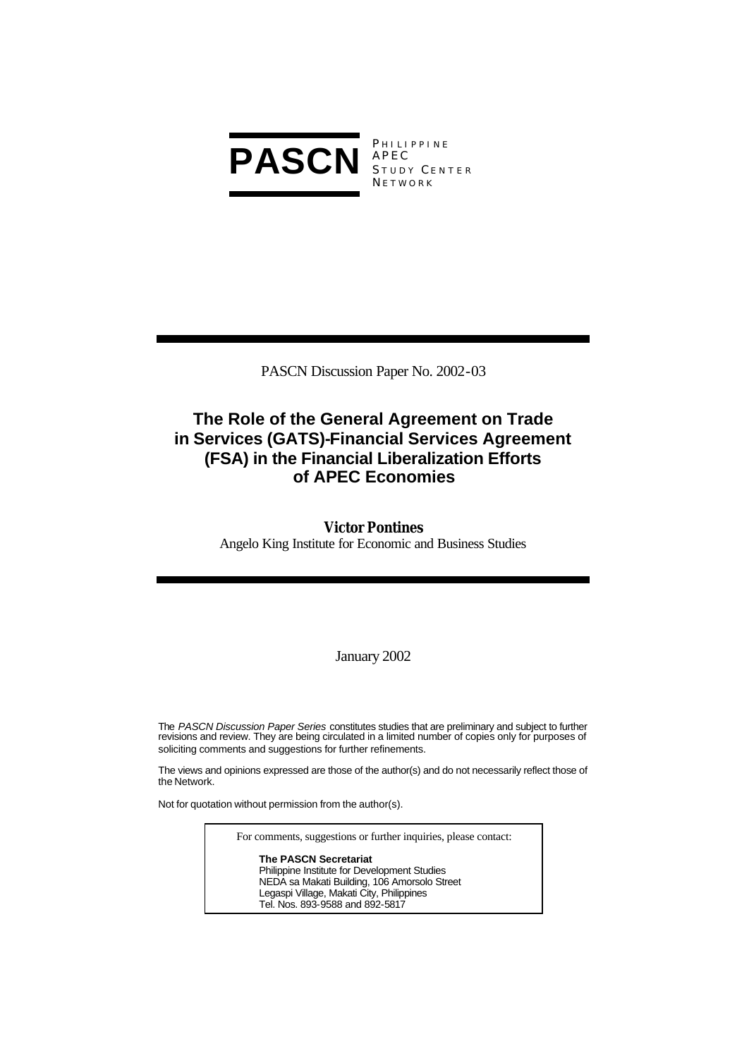

PASCN Discussion Paper No. 2002-03

## **The Role of the General Agreement on Trade in Services (GATS)-Financial Services Agreement (FSA) in the Financial Liberalization Efforts of APEC Economies**

## *Victor Pontines*

Angelo King Institute for Economic and Business Studies

January 2002

The *PASCN Discussion Paper Series* constitutes studies that are preliminary and subject to further revisions and review. They are being circulated in a limited number of copies only for purposes of soliciting comments and suggestions for further refinements.

The views and opinions expressed are those of the author(s) and do not necessarily reflect those of the Network.

Not for quotation without permission from the author(s).

For comments, suggestions or further inquiries, please contact: **The PASCN Secretariat** Philippine Institute for Development Studies NEDA sa Makati Building, 106 Amorsolo Street Legaspi Village, Makati City, Philippines Tel. Nos. 893-9588 and 892-5817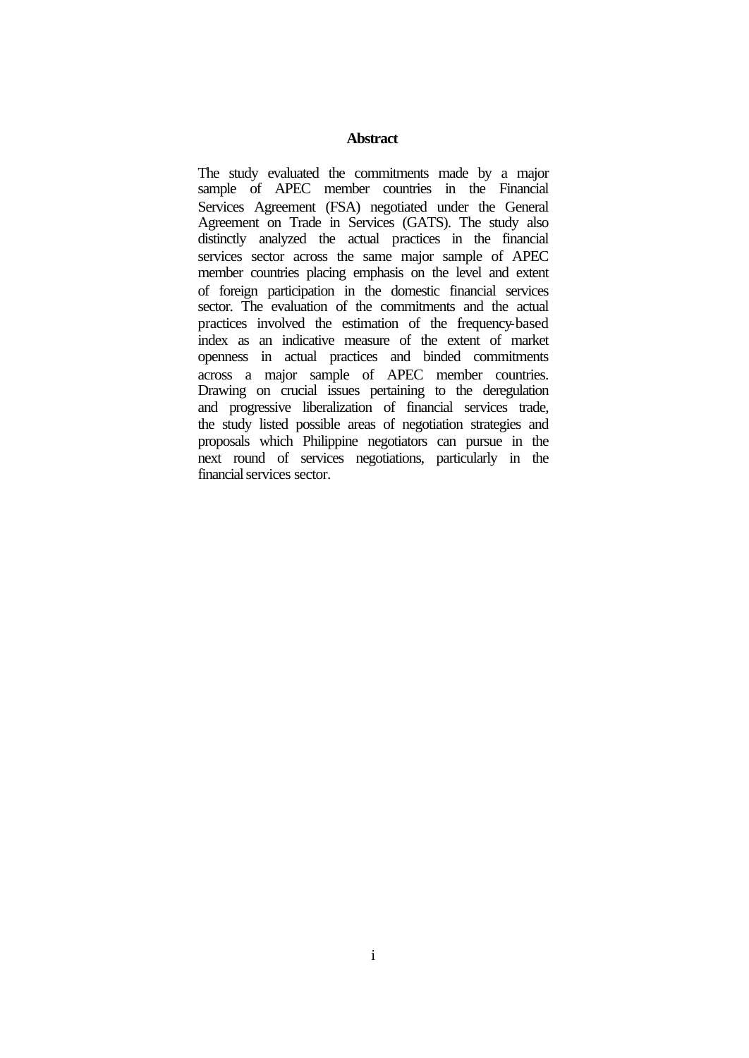## **Abstract**

The study evaluated the commitments made by a major sample of APEC member countries in the Financial Services Agreement (FSA) negotiated under the General Agreement on Trade in Services (GATS). The study also distinctly analyzed the actual practices in the financial services sector across the same major sample of APEC member countries placing emphasis on the level and extent of foreign participation in the domestic financial services sector. The evaluation of the commitments and the actual practices involved the estimation of the frequency-based index as an indicative measure of the extent of market openness in actual practices and binded commitments across a major sample of APEC member countries. Drawing on crucial issues pertaining to the deregulation and progressive liberalization of financial services trade, the study listed possible areas of negotiation strategies and proposals which Philippine negotiators can pursue in the next round of services negotiations, particularly in the financial services sector.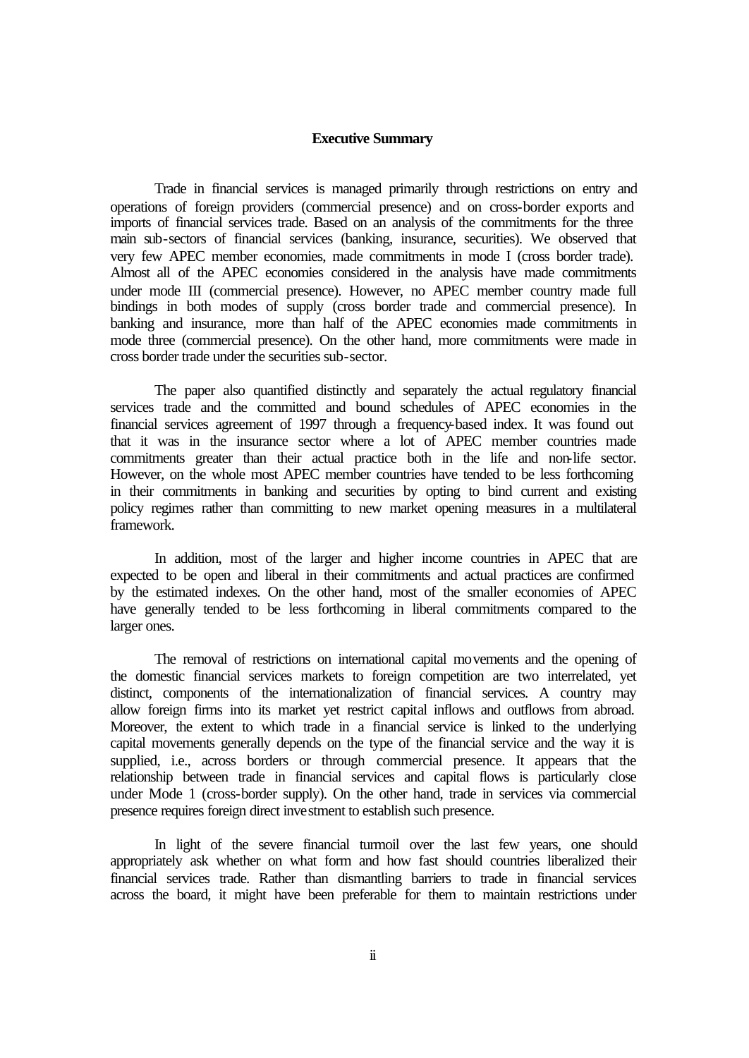#### **Executive Summary**

Trade in financial services is managed primarily through restrictions on entry and operations of foreign providers (commercial presence) and on cross-border exports and imports of financial services trade. Based on an analysis of the commitments for the three main sub-sectors of financial services (banking, insurance, securities). We observed that very few APEC member economies, made commitments in mode I (cross border trade). Almost all of the APEC economies considered in the analysis have made commitments under mode III (commercial presence). However, no APEC member country made full bindings in both modes of supply (cross border trade and commercial presence). In banking and insurance, more than half of the APEC economies made commitments in mode three (commercial presence). On the other hand, more commitments were made in cross border trade under the securities sub-sector.

The paper also quantified distinctly and separately the actual regulatory financial services trade and the committed and bound schedules of APEC economies in the financial services agreement of 1997 through a frequency-based index. It was found out that it was in the insurance sector where a lot of APEC member countries made commitments greater than their actual practice both in the life and non-life sector. However, on the whole most APEC member countries have tended to be less forthcoming in their commitments in banking and securities by opting to bind current and existing policy regimes rather than committing to new market opening measures in a multilateral framework.

In addition, most of the larger and higher income countries in APEC that are expected to be open and liberal in their commitments and actual practices are confirmed by the estimated indexes. On the other hand, most of the smaller economies of APEC have generally tended to be less forthcoming in liberal commitments compared to the larger ones.

The removal of restrictions on international capital movements and the opening of the domestic financial services markets to foreign competition are two interrelated, yet distinct, components of the internationalization of financial services. A country may allow foreign firms into its market yet restrict capital inflows and outflows from abroad. Moreover, the extent to which trade in a financial service is linked to the underlying capital movements generally depends on the type of the financial service and the way it is supplied, i.e., across borders or through commercial presence. It appears that the relationship between trade in financial services and capital flows is particularly close under Mode 1 (cross-border supply). On the other hand, trade in services via commercial presence requires foreign direct investment to establish such presence.

In light of the severe financial turmoil over the last few years, one should appropriately ask whether on what form and how fast should countries liberalized their financial services trade. Rather than dismantling barriers to trade in financial services across the board, it might have been preferable for them to maintain restrictions under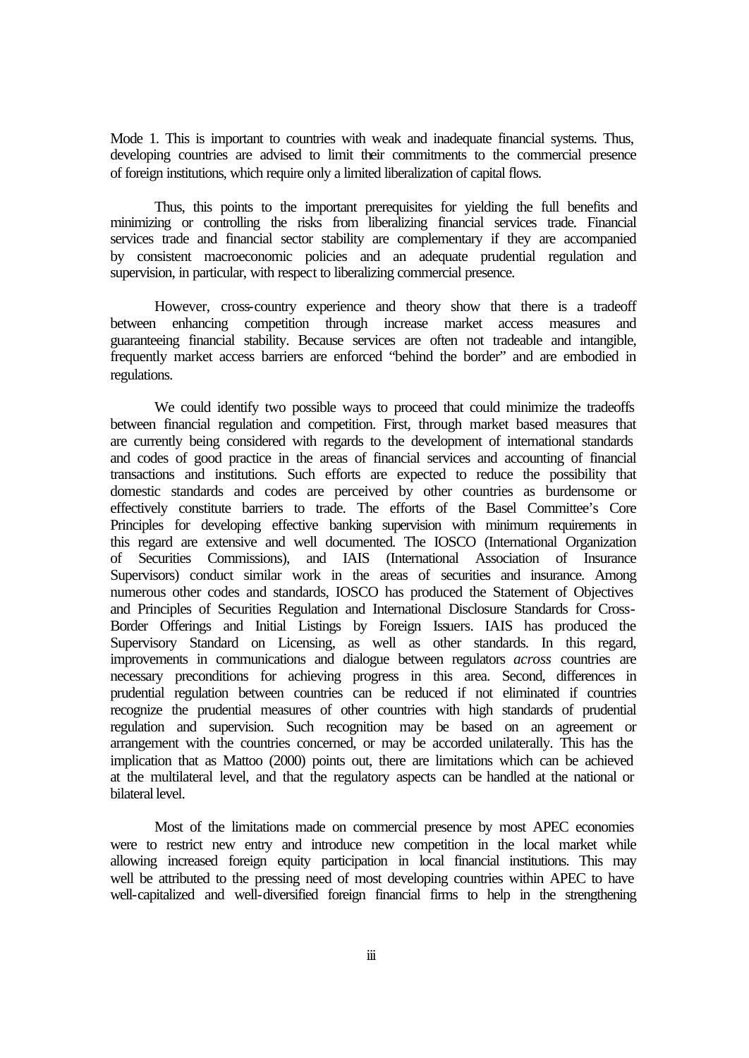Mode 1. This is important to countries with weak and inadequate financial systems. Thus, developing countries are advised to limit their commitments to the commercial presence of foreign institutions, which require only a limited liberalization of capital flows.

Thus, this points to the important prerequisites for yielding the full benefits and minimizing or controlling the risks from liberalizing financial services trade. Financial services trade and financial sector stability are complementary if they are accompanied by consistent macroeconomic policies and an adequate prudential regulation and supervision, in particular, with respect to liberalizing commercial presence.

However, cross-country experience and theory show that there is a tradeoff between enhancing competition through increase market access measures and guaranteeing financial stability. Because services are often not tradeable and intangible, frequently market access barriers are enforced "behind the border" and are embodied in regulations.

We could identify two possible ways to proceed that could minimize the tradeoffs between financial regulation and competition. First, through market based measures that are currently being considered with regards to the development of international standards and codes of good practice in the areas of financial services and accounting of financial transactions and institutions. Such efforts are expected to reduce the possibility that domestic standards and codes are perceived by other countries as burdensome or effectively constitute barriers to trade. The efforts of the Basel Committee's Core Principles for developing effective banking supervision with minimum requirements in this regard are extensive and well documented. The IOSCO (International Organization of Securities Commissions), and IAIS (International Association of Insurance Supervisors) conduct similar work in the areas of securities and insurance. Among numerous other codes and standards, IOSCO has produced the Statement of Objectives and Principles of Securities Regulation and International Disclosure Standards for Cross-Border Offerings and Initial Listings by Foreign Issuers. IAIS has produced the Supervisory Standard on Licensing, as well as other standards. In this regard, improvements in communications and dialogue between regulators *across* countries are necessary preconditions for achieving progress in this area. Second, differences in prudential regulation between countries can be reduced if not eliminated if countries recognize the prudential measures of other countries with high standards of prudential regulation and supervision. Such recognition may be based on an agreement or arrangement with the countries concerned, or may be accorded unilaterally. This has the implication that as Mattoo (2000) points out, there are limitations which can be achieved at the multilateral level, and that the regulatory aspects can be handled at the national or bilateral level.

Most of the limitations made on commercial presence by most APEC economies were to restrict new entry and introduce new competition in the local market while allowing increased foreign equity participation in local financial institutions. This may well be attributed to the pressing need of most developing countries within APEC to have well-capitalized and well-diversified foreign financial firms to help in the strengthening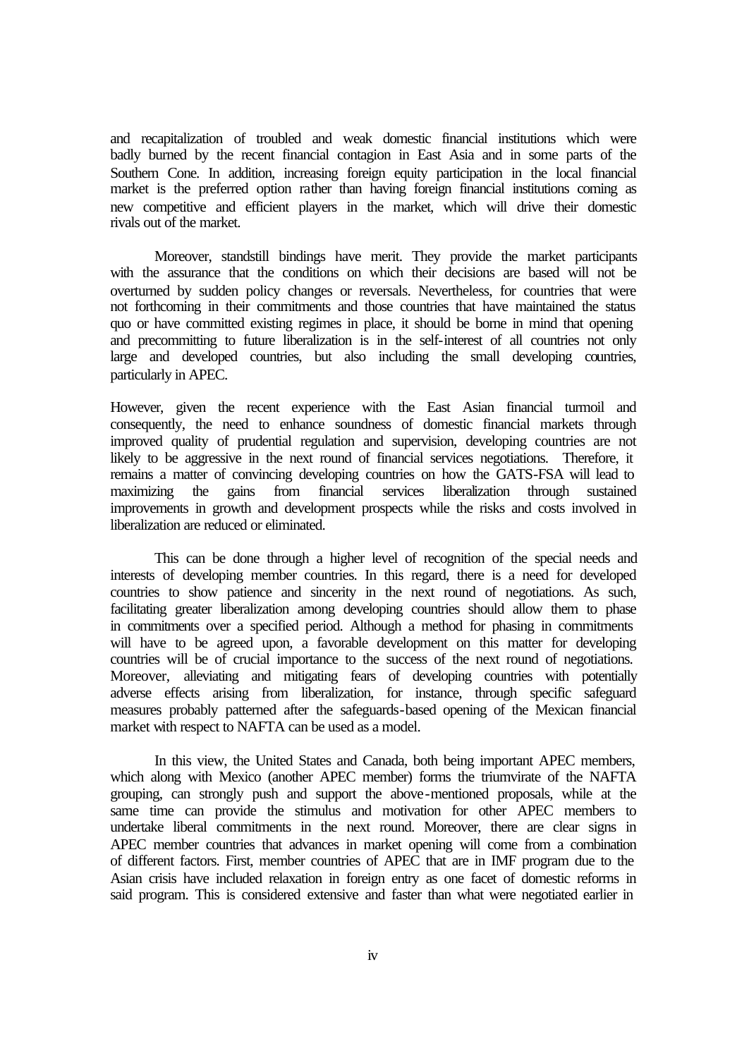and recapitalization of troubled and weak domestic financial institutions which were badly burned by the recent financial contagion in East Asia and in some parts of the Southern Cone. In addition, increasing foreign equity participation in the local financial market is the preferred option rather than having foreign financial institutions coming as new competitive and efficient players in the market, which will drive their domestic rivals out of the market.

Moreover, standstill bindings have merit. They provide the market participants with the assurance that the conditions on which their decisions are based will not be overturned by sudden policy changes or reversals. Nevertheless, for countries that were not forthcoming in their commitments and those countries that have maintained the status quo or have committed existing regimes in place, it should be borne in mind that opening and precommitting to future liberalization is in the self-interest of all countries not only large and developed countries, but also including the small developing countries, particularly in APEC.

However, given the recent experience with the East Asian financial turmoil and consequently, the need to enhance soundness of domestic financial markets through improved quality of prudential regulation and supervision, developing countries are not likely to be aggressive in the next round of financial services negotiations. Therefore, it remains a matter of convincing developing countries on how the GATS-FSA will lead to maximizing the gains from financial services liberalization through sustained improvements in growth and development prospects while the risks and costs involved in liberalization are reduced or eliminated.

This can be done through a higher level of recognition of the special needs and interests of developing member countries. In this regard, there is a need for developed countries to show patience and sincerity in the next round of negotiations. As such, facilitating greater liberalization among developing countries should allow them to phase in commitments over a specified period. Although a method for phasing in commitments will have to be agreed upon, a favorable development on this matter for developing countries will be of crucial importance to the success of the next round of negotiations. Moreover, alleviating and mitigating fears of developing countries with potentially adverse effects arising from liberalization, for instance, through specific safeguard measures probably patterned after the safeguards-based opening of the Mexican financial market with respect to NAFTA can be used as a model.

In this view, the United States and Canada, both being important APEC members, which along with Mexico (another APEC member) forms the triumvirate of the NAFTA grouping, can strongly push and support the above-mentioned proposals, while at the same time can provide the stimulus and motivation for other APEC members to undertake liberal commitments in the next round. Moreover, there are clear signs in APEC member countries that advances in market opening will come from a combination of different factors. First, member countries of APEC that are in IMF program due to the Asian crisis have included relaxation in foreign entry as one facet of domestic reforms in said program. This is considered extensive and faster than what were negotiated earlier in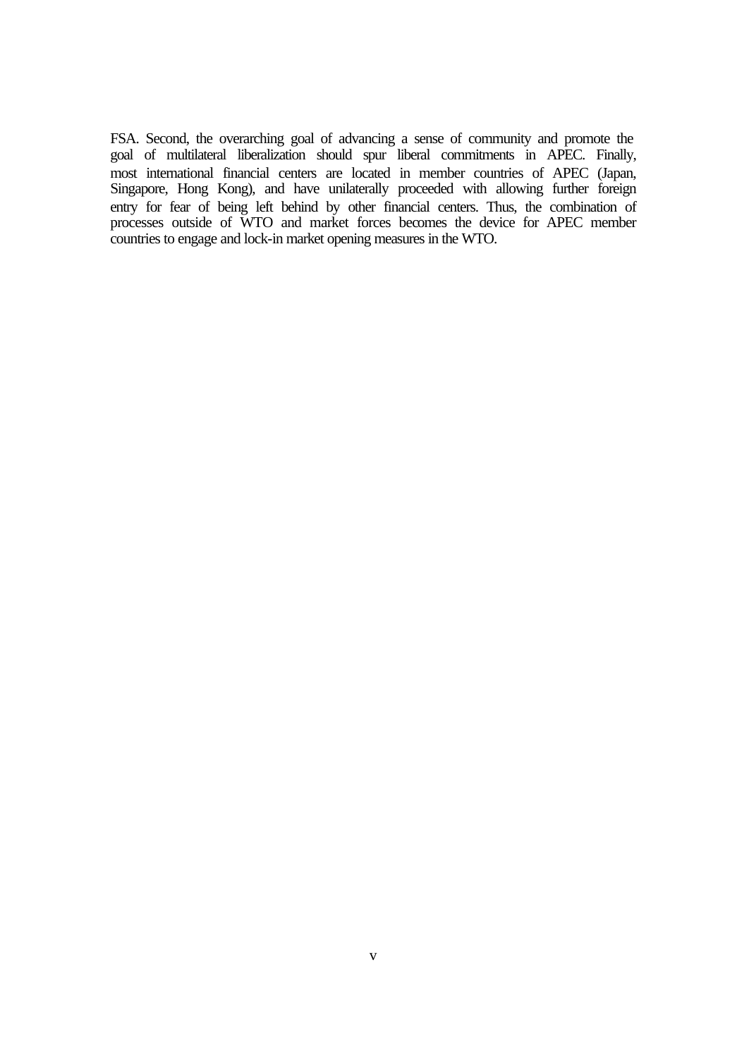FSA. Second, the overarching goal of advancing a sense of community and promote the goal of multilateral liberalization should spur liberal commitments in APEC. Finally, most international financial centers are located in member countries of APEC (Japan, Singapore, Hong Kong), and have unilaterally proceeded with allowing further foreign entry for fear of being left behind by other financial centers. Thus, the combination of processes outside of WTO and market forces becomes the device for APEC member countries to engage and lock-in market opening measures in the WTO.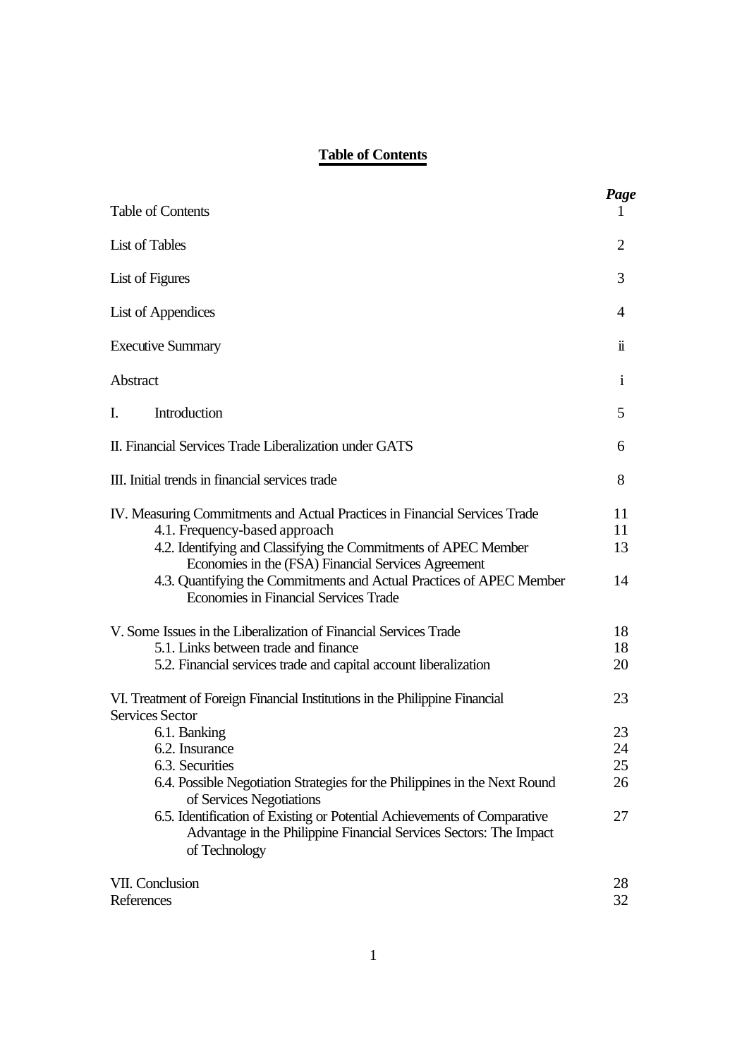## **Table of Contents**

| <b>Table of Contents</b>                                                                                                                                                                                                                                                                                                                               | Page                 |
|--------------------------------------------------------------------------------------------------------------------------------------------------------------------------------------------------------------------------------------------------------------------------------------------------------------------------------------------------------|----------------------|
| List of Tables                                                                                                                                                                                                                                                                                                                                         |                      |
| List of Figures                                                                                                                                                                                                                                                                                                                                        | 3                    |
| List of Appendices                                                                                                                                                                                                                                                                                                                                     | 4                    |
| <b>Executive Summary</b>                                                                                                                                                                                                                                                                                                                               | ï                    |
| Abstract                                                                                                                                                                                                                                                                                                                                               | i.                   |
| I.<br>Introduction                                                                                                                                                                                                                                                                                                                                     | 5                    |
| II. Financial Services Trade Liberalization under GATS                                                                                                                                                                                                                                                                                                 | 6                    |
| III. Initial trends in financial services trade                                                                                                                                                                                                                                                                                                        | 8                    |
| IV. Measuring Commitments and Actual Practices in Financial Services Trade<br>4.1. Frequency-based approach<br>4.2. Identifying and Classifying the Commitments of APEC Member<br>Economies in the (FSA) Financial Services Agreement<br>4.3. Quantifying the Commitments and Actual Practices of APEC Member<br>Economies in Financial Services Trade | 11<br>11<br>13<br>14 |
| V. Some Issues in the Liberalization of Financial Services Trade<br>5.1. Links between trade and finance<br>5.2. Financial services trade and capital account liberalization                                                                                                                                                                           |                      |
| VI. Treatment of Foreign Financial Institutions in the Philippine Financial                                                                                                                                                                                                                                                                            | 23                   |
| <b>Services Sector</b><br>6.1. Banking<br>6.2. Insurance<br>6.3. Securities<br>6.4. Possible Negotiation Strategies for the Philippines in the Next Round<br>of Services Negotiations                                                                                                                                                                  | 23<br>24<br>25<br>26 |
| 6.5. Identification of Existing or Potential Achievements of Comparative<br>Advantage in the Philippine Financial Services Sectors: The Impact<br>of Technology                                                                                                                                                                                        | 27                   |
| VII. Conclusion<br>References                                                                                                                                                                                                                                                                                                                          | 28<br>32             |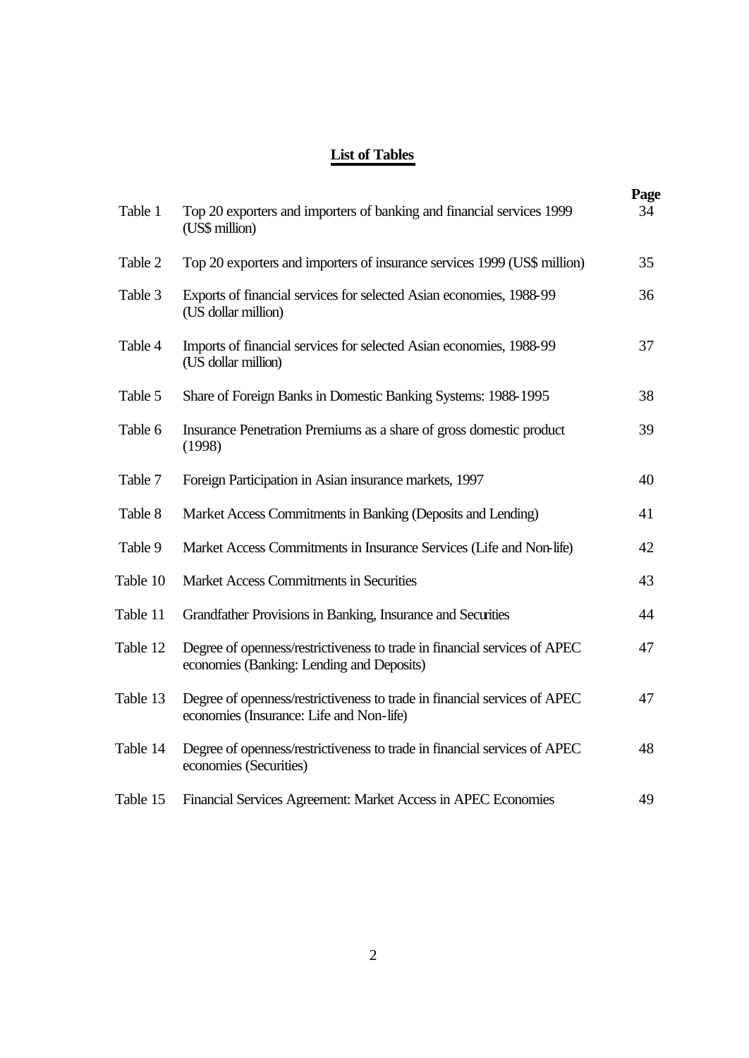# **List of Tables**

| Table 1  | Top 20 exporters and importers of banking and financial services 1999                                                  | Page<br>34 |
|----------|------------------------------------------------------------------------------------------------------------------------|------------|
|          | (US\$ million)                                                                                                         |            |
| Table 2  | Top 20 exporters and importers of insurance services 1999 (US\$ million)                                               | 35         |
| Table 3  | Exports of financial services for selected Asian economies, 1988-99<br>(US dollar million)                             | 36         |
| Table 4  | Imports of financial services for selected Asian economies, 1988-99<br>(US dollar million)                             | 37         |
| Table 5  | Share of Foreign Banks in Domestic Banking Systems: 1988-1995                                                          | 38         |
| Table 6  | Insurance Penetration Premiums as a share of gross domestic product<br>(1998)                                          | 39         |
| Table 7  | Foreign Participation in Asian insurance markets, 1997                                                                 | 40         |
| Table 8  | Market Access Commitments in Banking (Deposits and Lending)                                                            | 41         |
| Table 9  | Market Access Commitments in Insurance Services (Life and Non-life)                                                    | 42         |
| Table 10 | <b>Market Access Commitments in Securities</b>                                                                         | 43         |
| Table 11 | Grandfather Provisions in Banking, Insurance and Securities                                                            | 44         |
| Table 12 | Degree of openness/restrictiveness to trade in financial services of APEC<br>economies (Banking: Lending and Deposits) | 47         |
| Table 13 | Degree of openness/restrictiveness to trade in financial services of APEC<br>economies (Insurance: Life and Non-life)  | 47         |
| Table 14 | Degree of openness/restrictiveness to trade in financial services of APEC<br>economies (Securities)                    | 48         |
| Table 15 | Financial Services Agreement: Market Access in APEC Economies                                                          | 49         |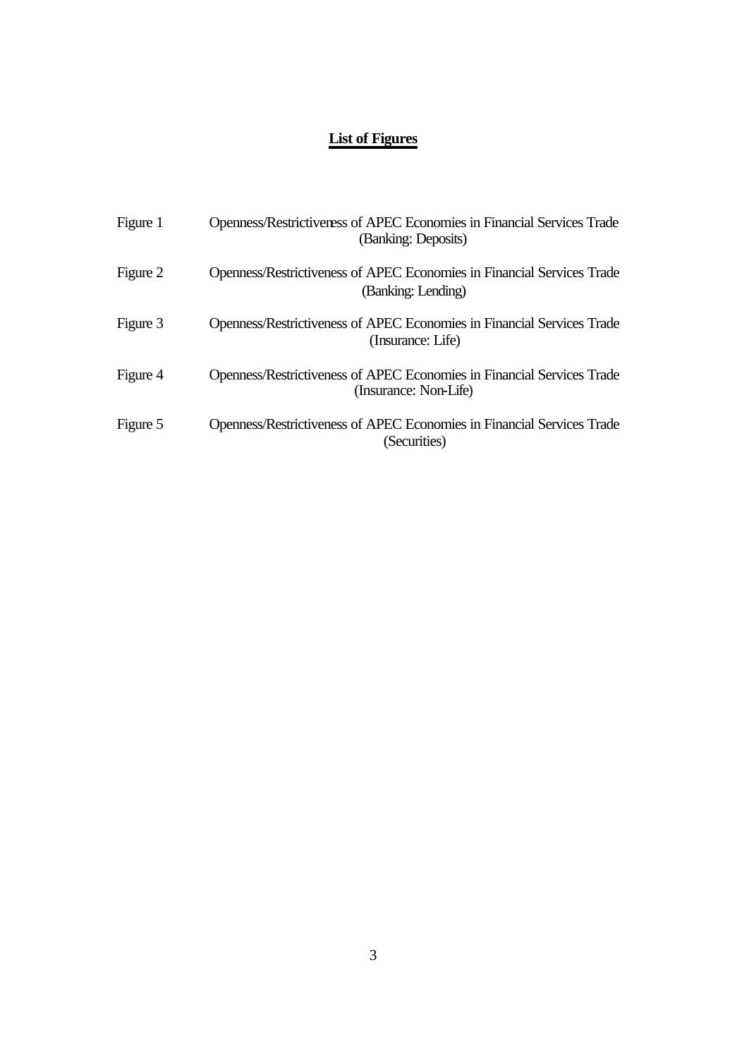# **List of Figures**

| Figure 1 | Openness/Restrictiveness of APEC Economies in Financial Services Trade<br>(Banking: Deposits)   |
|----------|-------------------------------------------------------------------------------------------------|
| Figure 2 | Openness/Restrictiveness of APEC Economies in Financial Services Trade<br>(Banking: Lending)    |
| Figure 3 | Openness/Restrictiveness of APEC Economies in Financial Services Trade<br>(Insurance: Life)     |
| Figure 4 | Openness/Restrictiveness of APEC Economies in Financial Services Trade<br>(Insurance: Non-Life) |
| Figure 5 | Openness/Restrictiveness of APEC Economies in Financial Services Trade<br>(Securities)          |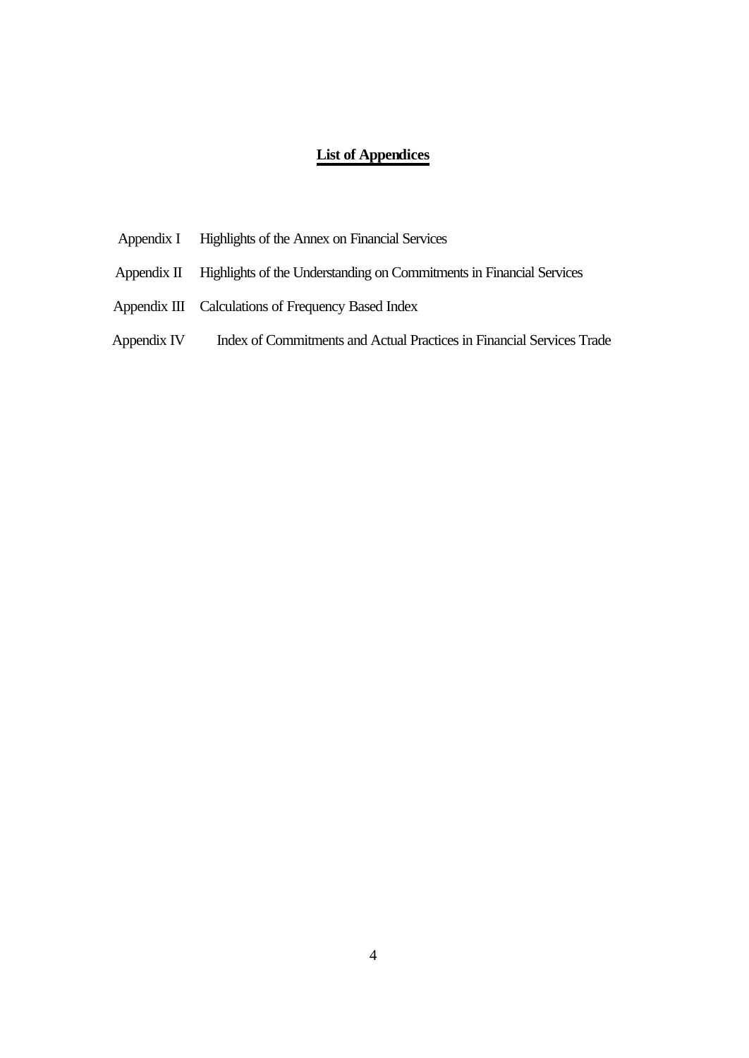## **List of Appendices**

- Appendix I Highlights of the Annex on Financial Services
- Appendix II Highlights of the Understanding on Commitments in Financial Services
- Appendix III Calculations of Frequency Based Index
- Appendix IV Index of Commitments and Actual Practices in Financial Services Trade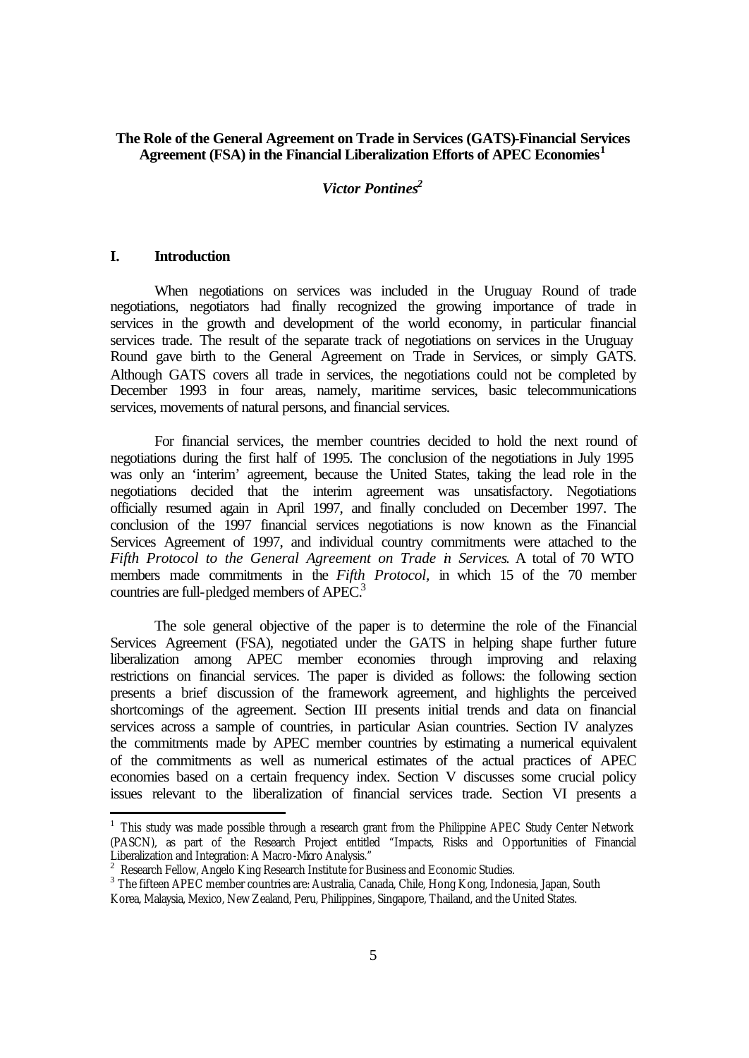## **The Role of the General Agreement on Trade in Services (GATS)-Financial Services Agreement (FSA) in the Financial Liberalization Efforts of APEC Economies<sup>1</sup>**

## *Victor Pontines<sup>2</sup>*

## **I. Introduction**

l

When negotiations on services was included in the Uruguay Round of trade negotiations, negotiators had finally recognized the growing importance of trade in services in the growth and development of the world economy, in particular financial services trade. The result of the separate track of negotiations on services in the Uruguay Round gave birth to the General Agreement on Trade in Services, or simply GATS. Although GATS covers all trade in services, the negotiations could not be completed by December 1993 in four areas, namely, maritime services, basic telecommunications services, movements of natural persons, and financial services.

For financial services, the member countries decided to hold the next round of negotiations during the first half of 1995. The conclusion of the negotiations in July 1995 was only an 'interim' agreement, because the United States, taking the lead role in the negotiations decided that the interim agreement was unsatisfactory. Negotiations officially resumed again in April 1997, and finally concluded on December 1997. The conclusion of the 1997 financial services negotiations is now known as the Financial Services Agreement of 1997, and individual country commitments were attached to the *Fifth Protocol to the General Agreement on Trade in Services*. A total of 70 WTO members made commitments in the *Fifth Protocol,* in which 15 of the 70 member countries are full-pledged members of APEC.<sup>3</sup>

The sole general objective of the paper is to determine the role of the Financial Services Agreement (FSA), negotiated under the GATS in helping shape further future liberalization among APEC member economies through improving and relaxing restrictions on financial services. The paper is divided as follows: the following section presents a brief discussion of the framework agreement, and highlights the perceived shortcomings of the agreement. Section III presents initial trends and data on financial services across a sample of countries, in particular Asian countries. Section IV analyzes the commitments made by APEC member countries by estimating a numerical equivalent of the commitments as well as numerical estimates of the actual practices of APEC economies based on a certain frequency index. Section V discusses some crucial policy issues relevant to the liberalization of financial services trade. Section VI presents a

<sup>&</sup>lt;sup>1</sup> This study was made possible through a research grant from the Philippine APEC Study Center Network (PASCN), as part of the Research Project entitled "Impacts, Risks and Opportunities of Financial Liberalization and Integration: A Macro-Micro Analysis."

<sup>&</sup>lt;sup>2</sup> Research Fellow, Angelo King Research Institute for Business and Economic Studies.

<sup>&</sup>lt;sup>3</sup> The fifteen APEC member countries are: Australia, Canada, Chile, Hong Kong, Indonesia, Japan, South Korea, Malaysia, Mexico, New Zealand, Peru, Philippines, Singapore, Thailand, and the United States.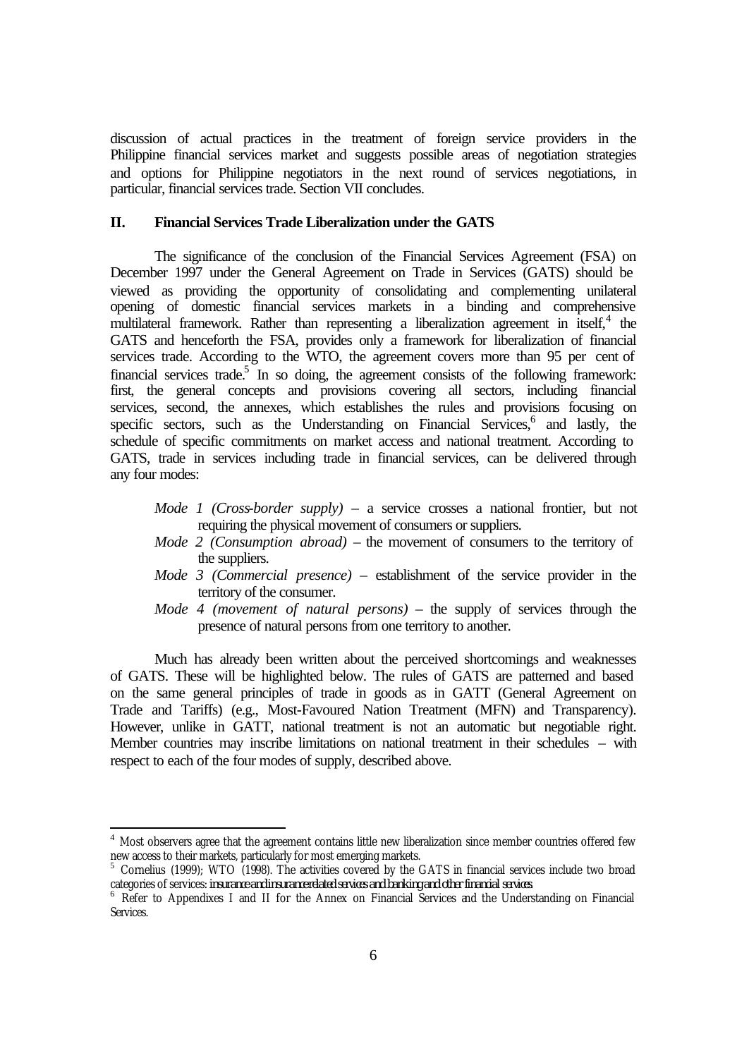discussion of actual practices in the treatment of foreign service providers in the Philippine financial services market and suggests possible areas of negotiation strategies and options for Philippine negotiators in the next round of services negotiations, in particular, financial services trade. Section VII concludes.

#### **II. Financial Services Trade Liberalization under the GATS**

The significance of the conclusion of the Financial Services Agreement (FSA) on December 1997 under the General Agreement on Trade in Services (GATS) should be viewed as providing the opportunity of consolidating and complementing unilateral opening of domestic financial services markets in a binding and comprehensive multilateral framework. Rather than representing a liberalization agreement in itself,<sup>4</sup> the GATS and henceforth the FSA, provides only a framework for liberalization of financial services trade. According to the WTO, the agreement covers more than 95 per cent of financial services trade.<sup>5</sup> In so doing, the agreement consists of the following framework: first, the general concepts and provisions covering all sectors, including financial services, second, the annexes, which establishes the rules and provisions focusing on specific sectors, such as the Understanding on Financial Services,<sup>6</sup> and lastly, the schedule of specific commitments on market access and national treatment. According to GATS, trade in services including trade in financial services, can be delivered through any four modes:

- *Mode 1 (Cross-border supply)* a service crosses a national frontier, but not requiring the physical movement of consumers or suppliers.
- *Mode 2 (Consumption abroad)* the movement of consumers to the territory of the suppliers.
- *Mode 3 (Commercial presence)* establishment of the service provider in the territory of the consumer.
- *Mode 4 (movement of natural persons)* the supply of services through the presence of natural persons from one territory to another.

Much has already been written about the perceived shortcomings and weaknesses of GATS. These will be highlighted below. The rules of GATS are patterned and based on the same general principles of trade in goods as in GATT (General Agreement on Trade and Tariffs) (e.g., Most-Favoured Nation Treatment (MFN) and Transparency). However, unlike in GATT, national treatment is not an automatic but negotiable right. Member countries may inscribe limitations on national treatment in their schedules – with respect to each of the four modes of supply, described above.

<sup>&</sup>lt;sup>4</sup> Most observers agree that the agreement contains little new liberalization since member countries offered few new access to their markets, particularly for most emerging markets.

 $5$  Cornelius (1999); WTO (1998). The activities covered by the GATS in financial services include two broad categories of services: *insurance and insurance-related services and banking and other financial services*.

<sup>&</sup>lt;sup>6</sup> Refer to Appendixes I and II for the Annex on Financial Services and the Understanding on Financial Services.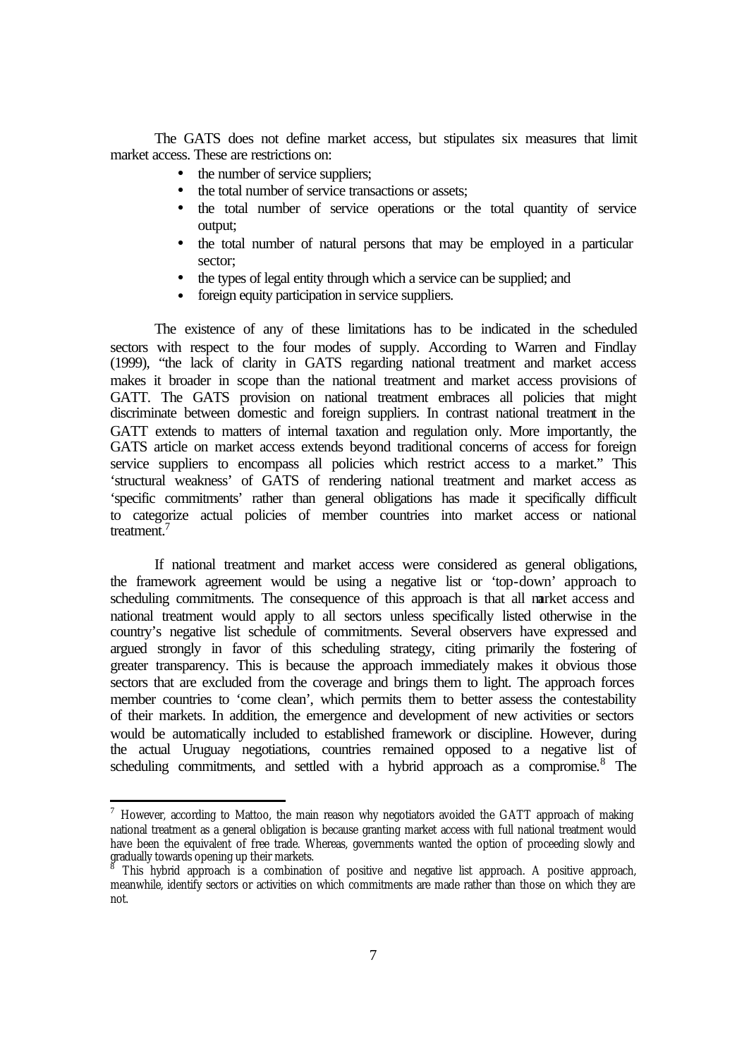The GATS does not define market access, but stipulates six measures that limit market access. These are restrictions on:

- the number of service suppliers;
- the total number of service transactions or assets;
- the total number of service operations or the total quantity of service output;
- the total number of natural persons that may be employed in a particular sector;
- the types of legal entity through which a service can be supplied; and
- foreign equity participation in service suppliers.

The existence of any of these limitations has to be indicated in the scheduled sectors with respect to the four modes of supply. According to Warren and Findlay (1999), "the lack of clarity in GATS regarding national treatment and market access makes it broader in scope than the national treatment and market access provisions of GATT. The GATS provision on national treatment embraces all policies that might discriminate between domestic and foreign suppliers. In contrast national treatment in the GATT extends to matters of internal taxation and regulation only. More importantly, the GATS article on market access extends beyond traditional concerns of access for foreign service suppliers to encompass all policies which restrict access to a market." This 'structural weakness' of GATS of rendering national treatment and market access as 'specific commitments' rather than general obligations has made it specifically difficult to categorize actual policies of member countries into market access or national treatment.<sup>7</sup>

If national treatment and market access were considered as general obligations, the framework agreement would be using a negative list or 'top-down' approach to scheduling commitments. The consequence of this approach is that all market access and national treatment would apply to all sectors unless specifically listed otherwise in the country's negative list schedule of commitments. Several observers have expressed and argued strongly in favor of this scheduling strategy, citing primarily the fostering of greater transparency. This is because the approach immediately makes it obvious those sectors that are excluded from the coverage and brings them to light. The approach forces member countries to 'come clean', which permits them to better assess the contestability of their markets. In addition, the emergence and development of new activities or sectors would be automatically included to established framework or discipline. However, during the actual Uruguay negotiations, countries remained opposed to a negative list of scheduling commitments, and settled with a hybrid approach as a compromise.<sup>8</sup> The

 $7$  However, according to Mattoo, the main reason why negotiators avoided the GATT approach of making national treatment as a general obligation is because granting market access with full national treatment would have been the equivalent of free trade. Whereas, governments wanted the option of proceeding slowly and gradually towards opening up their markets. 8

This hybrid approach is a combination of positive and negative list approach. A positive approach, meanwhile, identify sectors or activities on which commitments are made rather than those on which they are not.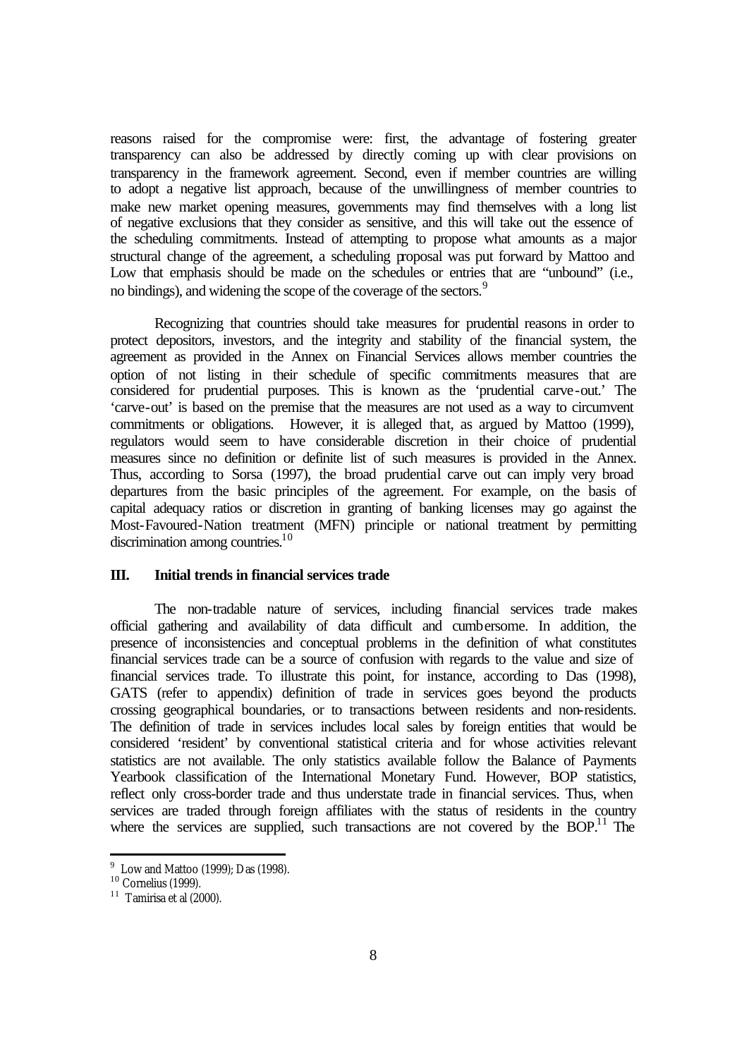reasons raised for the compromise were: first, the advantage of fostering greater transparency can also be addressed by directly coming up with clear provisions on transparency in the framework agreement. Second, even if member countries are willing to adopt a negative list approach, because of the unwillingness of member countries to make new market opening measures, governments may find themselves with a long list of negative exclusions that they consider as sensitive, and this will take out the essence of the scheduling commitments. Instead of attempting to propose what amounts as a major structural change of the agreement, a scheduling proposal was put forward by Mattoo and Low that emphasis should be made on the schedules or entries that are "unbound" (i.e., no bindings), and widening the scope of the coverage of the sectors.<sup>9</sup>

Recognizing that countries should take measures for prudential reasons in order to protect depositors, investors, and the integrity and stability of the financial system, the agreement as provided in the Annex on Financial Services allows member countries the option of not listing in their schedule of specific commitments measures that are considered for prudential purposes. This is known as the 'prudential carve-out.' The 'carve-out' is based on the premise that the measures are not used as a way to circumvent commitments or obligations. However, it is alleged that, as argued by Mattoo (1999), regulators would seem to have considerable discretion in their choice of prudential measures since no definition or definite list of such measures is provided in the Annex. Thus, according to Sorsa (1997), the broad prudential carve out can imply very broad departures from the basic principles of the agreement. For example, on the basis of capital adequacy ratios or discretion in granting of banking licenses may go against the Most-Favoured-Nation treatment (MFN) principle or national treatment by permitting discrimination among countries.<sup>10</sup>

#### **III. Initial trends in financial services trade**

The non-tradable nature of services, including financial services trade makes official gathering and availability of data difficult and cumbersome. In addition, the presence of inconsistencies and conceptual problems in the definition of what constitutes financial services trade can be a source of confusion with regards to the value and size of financial services trade. To illustrate this point, for instance, according to Das (1998), GATS (refer to appendix) definition of trade in services goes beyond the products crossing geographical boundaries, or to transactions between residents and non-residents. The definition of trade in services includes local sales by foreign entities that would be considered 'resident' by conventional statistical criteria and for whose activities relevant statistics are not available. The only statistics available follow the Balance of Payments Yearbook classification of the International Monetary Fund. However, BOP statistics, reflect only cross-border trade and thus understate trade in financial services. Thus, when services are traded through foreign affiliates with the status of residents in the country where the services are supplied, such transactions are not covered by the BOP.<sup>11</sup> The

 $9$  Low and Mattoo (1999); Das (1998).

<sup>10</sup> Cornelius (1999).

 $11$  Tamirisa et al (2000).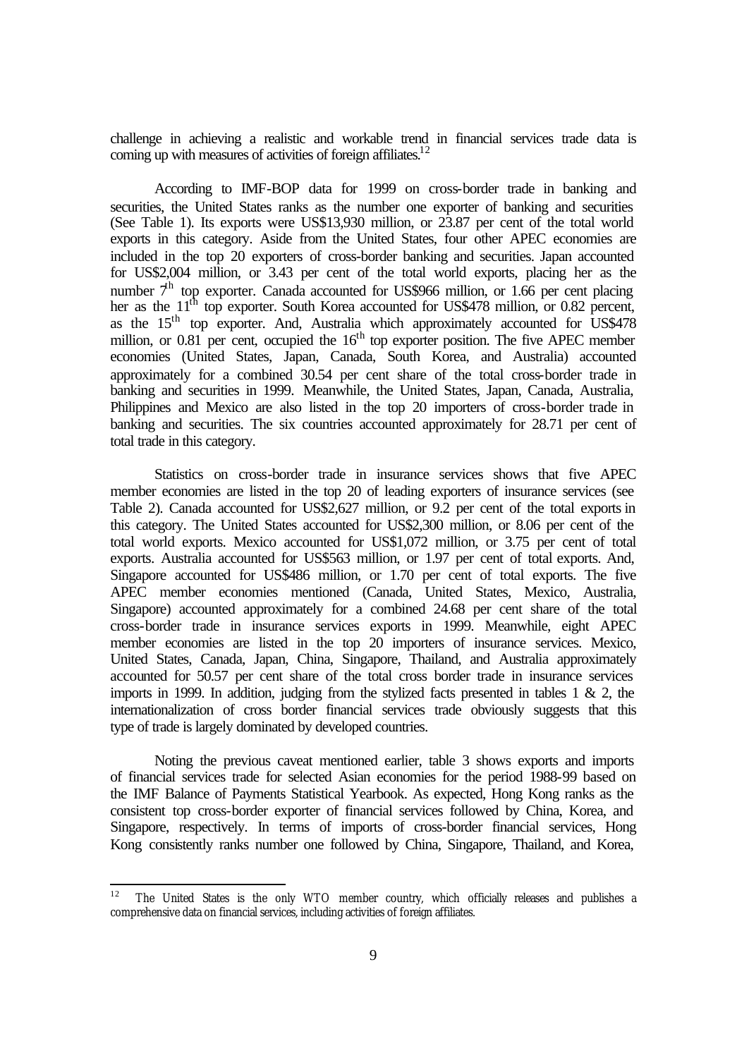challenge in achieving a realistic and workable trend in financial services trade data is coming up with measures of activities of foreign affiliates.<sup>12</sup>

According to IMF-BOP data for 1999 on cross-border trade in banking and securities, the United States ranks as the number one exporter of banking and securities (See Table 1). Its exports were US\$13,930 million, or 23.87 per cent of the total world exports in this category. Aside from the United States, four other APEC economies are included in the top 20 exporters of cross-border banking and securities. Japan accounted for US\$2,004 million, or 3.43 per cent of the total world exports, placing her as the number  $7<sup>h</sup>$  top exporter. Canada accounted for US\$966 million, or 1.66 per cent placing her as the 11<sup>th</sup> top exporter. South Korea accounted for US\$478 million, or 0.82 percent, as the  $15<sup>th</sup>$  top exporter. And, Australia which approximately accounted for US\$478 million, or  $0.81$  per cent, occupied the  $16<sup>th</sup>$  top exporter position. The five APEC member economies (United States, Japan, Canada, South Korea, and Australia) accounted approximately for a combined 30.54 per cent share of the total cross-border trade in banking and securities in 1999. Meanwhile, the United States, Japan, Canada, Australia, Philippines and Mexico are also listed in the top 20 importers of cross-border trade in banking and securities. The six countries accounted approximately for 28.71 per cent of total trade in this category.

Statistics on cross-border trade in insurance services shows that five APEC member economies are listed in the top 20 of leading exporters of insurance services (see Table 2). Canada accounted for US\$2,627 million, or 9.2 per cent of the total exports in this category. The United States accounted for US\$2,300 million, or 8.06 per cent of the total world exports. Mexico accounted for US\$1,072 million, or 3.75 per cent of total exports. Australia accounted for US\$563 million, or 1.97 per cent of total exports. And, Singapore accounted for US\$486 million, or 1.70 per cent of total exports. The five APEC member economies mentioned (Canada, United States, Mexico, Australia, Singapore) accounted approximately for a combined 24.68 per cent share of the total cross-border trade in insurance services exports in 1999. Meanwhile, eight APEC member economies are listed in the top 20 importers of insurance services. Mexico, United States, Canada, Japan, China, Singapore, Thailand, and Australia approximately accounted for 50.57 per cent share of the total cross border trade in insurance services imports in 1999. In addition, judging from the stylized facts presented in tables 1 & 2, the internationalization of cross border financial services trade obviously suggests that this type of trade is largely dominated by developed countries.

Noting the previous caveat mentioned earlier, table 3 shows exports and imports of financial services trade for selected Asian economies for the period 1988-99 based on the IMF Balance of Payments Statistical Yearbook. As expected, Hong Kong ranks as the consistent top cross-border exporter of financial services followed by China, Korea, and Singapore, respectively. In terms of imports of cross-border financial services, Hong Kong consistently ranks number one followed by China, Singapore, Thailand, and Korea,

 12 The United States is the only WTO member country, which officially releases and publishes a comprehensive data on financial services, including activities of foreign affiliates.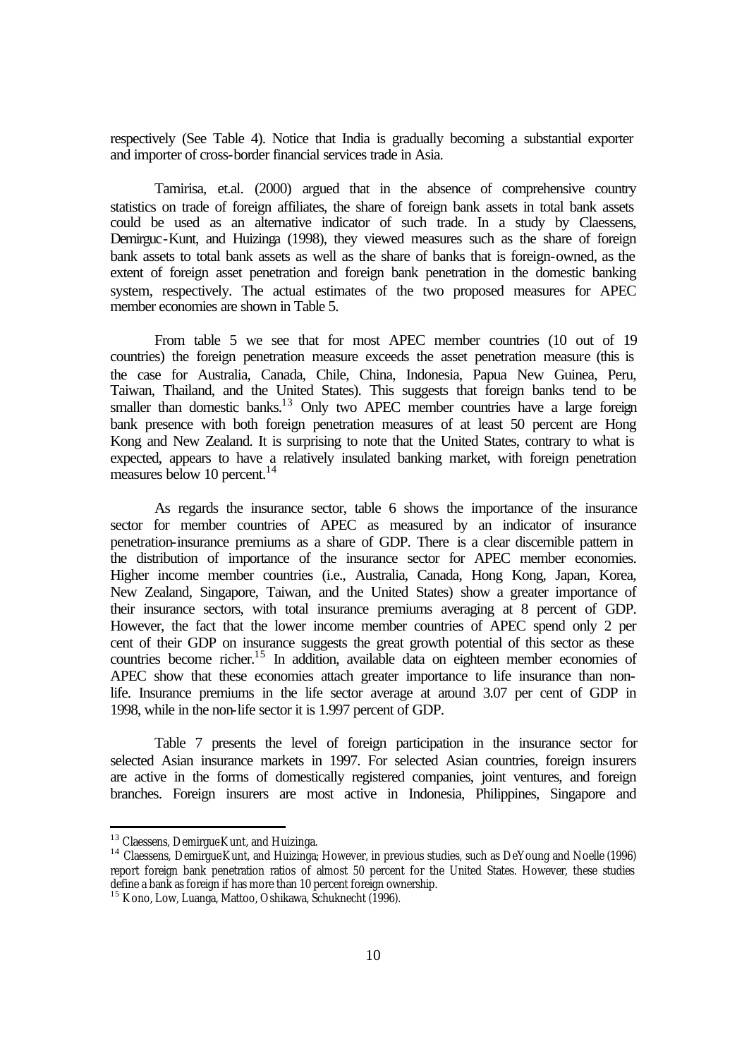respectively (See Table 4). Notice that India is gradually becoming a substantial exporter and importer of cross-border financial services trade in Asia.

Tamirisa, et.al. (2000) argued that in the absence of comprehensive country statistics on trade of foreign affiliates, the share of foreign bank assets in total bank assets could be used as an alternative indicator of such trade. In a study by Claessens, Demirguc-Kunt, and Huizinga (1998), they viewed measures such as the share of foreign bank assets to total bank assets as well as the share of banks that is foreign-owned, as the extent of foreign asset penetration and foreign bank penetration in the domestic banking system, respectively. The actual estimates of the two proposed measures for APEC member economies are shown in Table 5.

From table 5 we see that for most APEC member countries (10 out of 19 countries) the foreign penetration measure exceeds the asset penetration measure (this is the case for Australia, Canada, Chile, China, Indonesia, Papua New Guinea, Peru, Taiwan, Thailand, and the United States). This suggests that foreign banks tend to be smaller than domestic banks.<sup>13</sup> Only two APEC member countries have a large foreign bank presence with both foreign penetration measures of at least 50 percent are Hong Kong and New Zealand. It is surprising to note that the United States, contrary to what is expected, appears to have a relatively insulated banking market, with foreign penetration measures below 10 percent.<sup>14</sup>

As regards the insurance sector, table 6 shows the importance of the insurance sector for member countries of APEC as measured by an indicator of insurance penetration-insurance premiums as a share of GDP. There is a clear discernible pattern in the distribution of importance of the insurance sector for APEC member economies. Higher income member countries (i.e., Australia, Canada, Hong Kong, Japan, Korea, New Zealand, Singapore, Taiwan, and the United States) show a greater importance of their insurance sectors, with total insurance premiums averaging at 8 percent of GDP. However, the fact that the lower income member countries of APEC spend only 2 per cent of their GDP on insurance suggests the great growth potential of this sector as these countries become richer.<sup>15</sup> In addition, available data on eighteen member economies of APEC show that these economies attach greater importance to life insurance than nonlife. Insurance premiums in the life sector average at around 3.07 per cent of GDP in 1998, while in the non-life sector it is 1.997 percent of GDP.

Table 7 presents the level of foreign participation in the insurance sector for selected Asian insurance markets in 1997. For selected Asian countries, foreign insurers are active in the forms of domestically registered companies, joint ventures, and foreign branches. Foreign insurers are most active in Indonesia, Philippines, Singapore and

<sup>&</sup>lt;sup>13</sup> Claessens, Demirguc-Kunt, and Huizinga.

<sup>&</sup>lt;sup>14</sup> Claessens, Demirguc-Kunt, and Huizinga; However, in previous studies, such as DeYoung and Noelle (1996) report foreign bank penetration ratios of almost 50 percent for the United States. However, these studies define a bank as foreign if has more than 10 percent foreign ownership.

<sup>&</sup>lt;sup>15</sup> Kono, Low, Luanga, Mattoo, Oshikawa, Schuknecht (1996).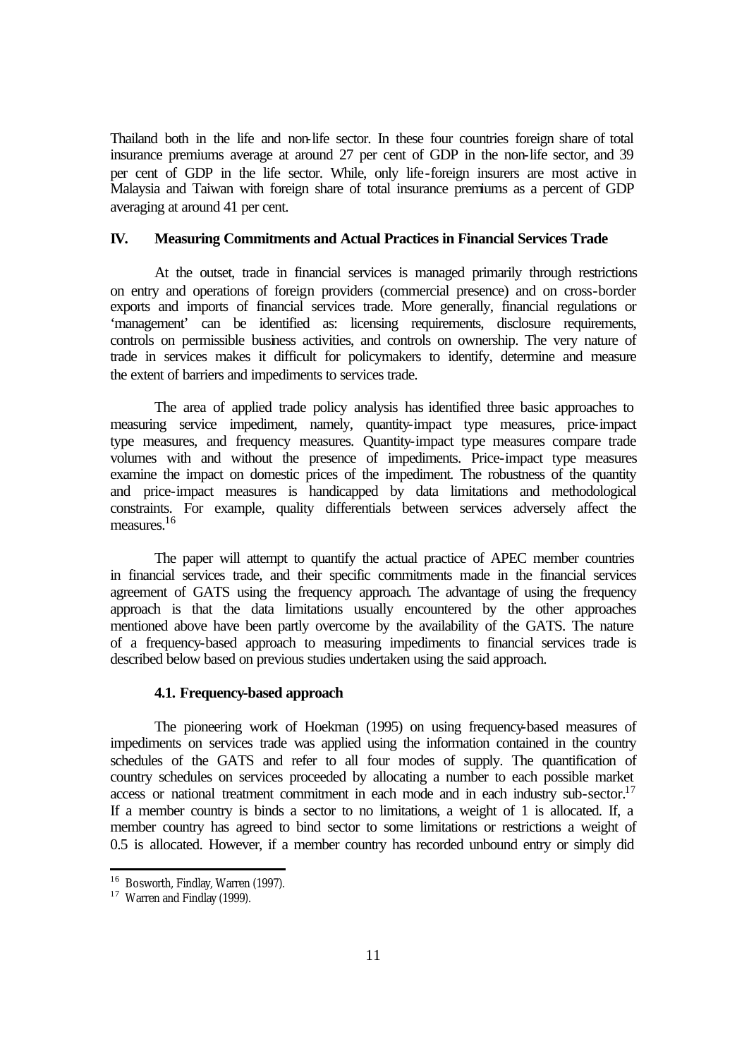Thailand both in the life and non-life sector. In these four countries foreign share of total insurance premiums average at around 27 per cent of GDP in the non-life sector, and 39 per cent of GDP in the life sector. While, only life-foreign insurers are most active in Malaysia and Taiwan with foreign share of total insurance premiums as a percent of GDP averaging at around 41 per cent.

#### **IV. Measuring Commitments and Actual Practices in Financial Services Trade**

At the outset, trade in financial services is managed primarily through restrictions on entry and operations of foreign providers (commercial presence) and on cross-border exports and imports of financial services trade. More generally, financial regulations or 'management' can be identified as: licensing requirements, disclosure requirements, controls on permissible business activities, and controls on ownership. The very nature of trade in services makes it difficult for policymakers to identify, determine and measure the extent of barriers and impediments to services trade.

The area of applied trade policy analysis has identified three basic approaches to measuring service impediment, namely, quantity-impact type measures, price-impact type measures, and frequency measures. Quantity-impact type measures compare trade volumes with and without the presence of impediments. Price-impact type measures examine the impact on domestic prices of the impediment. The robustness of the quantity and price-impact measures is handicapped by data limitations and methodological constraints. For example, quality differentials between services adversely affect the measures.<sup>16</sup>

The paper will attempt to quantify the actual practice of APEC member countries in financial services trade, and their specific commitments made in the financial services agreement of GATS using the frequency approach. The advantage of using the frequency approach is that the data limitations usually encountered by the other approaches mentioned above have been partly overcome by the availability of the GATS. The nature of a frequency-based approach to measuring impediments to financial services trade is described below based on previous studies undertaken using the said approach.

#### **4.1. Frequency-based approach**

The pioneering work of Hoekman (1995) on using frequency-based measures of impediments on services trade was applied using the information contained in the country schedules of the GATS and refer to all four modes of supply. The quantification of country schedules on services proceeded by allocating a number to each possible market access or national treatment commitment in each mode and in each industry sub-sector.<sup>17</sup> If a member country is binds a sector to no limitations, a weight of 1 is allocated. If, a member country has agreed to bind sector to some limitations or restrictions a weight of 0.5 is allocated. However, if a member country has recorded unbound entry or simply did

 16 Bosworth, Findlay, Warren (1997).

<sup>&</sup>lt;sup>17</sup> Warren and Findlay (1999).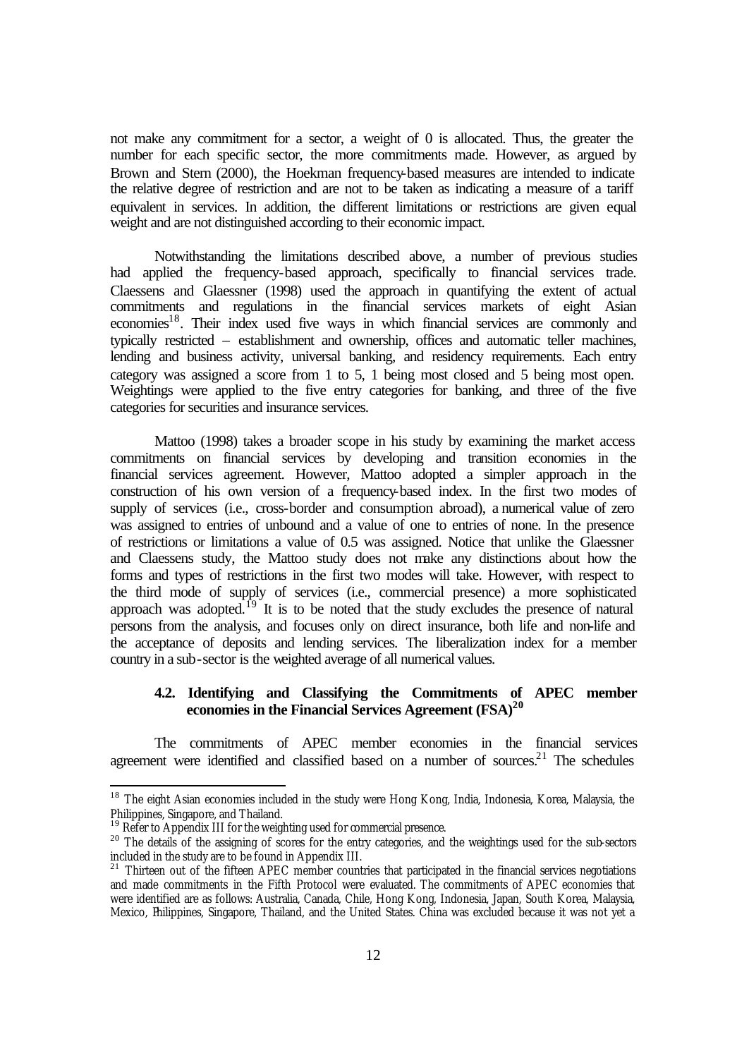not make any commitment for a sector, a weight of 0 is allocated. Thus, the greater the number for each specific sector, the more commitments made. However, as argued by Brown and Stern (2000), the Hoekman frequency-based measures are intended to indicate the relative degree of restriction and are not to be taken as indicating a measure of a tariff equivalent in services. In addition, the different limitations or restrictions are given equal weight and are not distinguished according to their economic impact.

Notwithstanding the limitations described above, a number of previous studies had applied the frequency-based approach, specifically to financial services trade. Claessens and Glaessner (1998) used the approach in quantifying the extent of actual commitments and regulations in the financial services markets of eight Asian economies<sup>18</sup>. Their index used five ways in which financial services are commonly and typically restricted – establishment and ownership, offices and automatic teller machines, lending and business activity, universal banking, and residency requirements. Each entry category was assigned a score from 1 to 5, 1 being most closed and 5 being most open. Weightings were applied to the five entry categories for banking, and three of the five categories for securities and insurance services.

Mattoo (1998) takes a broader scope in his study by examining the market access commitments on financial services by developing and transition economies in the financial services agreement. However, Mattoo adopted a simpler approach in the construction of his own version of a frequency-based index. In the first two modes of supply of services (i.e., cross-border and consumption abroad), a numerical value of zero was assigned to entries of unbound and a value of one to entries of none. In the presence of restrictions or limitations a value of 0.5 was assigned. Notice that unlike the Glaessner and Claessens study, the Mattoo study does not make any distinctions about how the forms and types of restrictions in the first two modes will take. However, with respect to the third mode of supply of services (i.e., commercial presence) a more sophisticated approach was adopted.<sup>19</sup> It is to be noted that the study excludes the presence of natural persons from the analysis, and focuses only on direct insurance, both life and non-life and the acceptance of deposits and lending services. The liberalization index for a member country in a sub-sector is the weighted average of all numerical values.

## **4.2. Identifying and Classifying the Commitments of APEC member economies in the Financial Services Agreement (FSA)<sup>20</sup>**

The commitments of APEC member economies in the financial services agreement were identified and classified based on a number of sources.<sup>21</sup> The schedules

j

<sup>&</sup>lt;sup>18</sup> The eight Asian economies included in the study were Hong Kong, India, Indonesia, Korea, Malaysia, the Philippines, Singapore, and Thailand.

 $19$  Refer to Appendix III for the weighting used for commercial presence.

<sup>&</sup>lt;sup>20</sup> The details of the assigning of scores for the entry categories, and the weightings used for the sub-sectors included in the study are to be found in Appendix III.

 $21$  Thirteen out of the fifteen APEC member countries that participated in the financial services negotiations and made commitments in the Fifth Protocol were evaluated. The commitments of APEC economies that were identified are as follows: Australia, Canada, Chile, Hong Kong, Indonesia, Japan, South Korea, Malaysia, Mexico, Philippines, Singapore, Thailand, and the United States. China was excluded because it was not yet a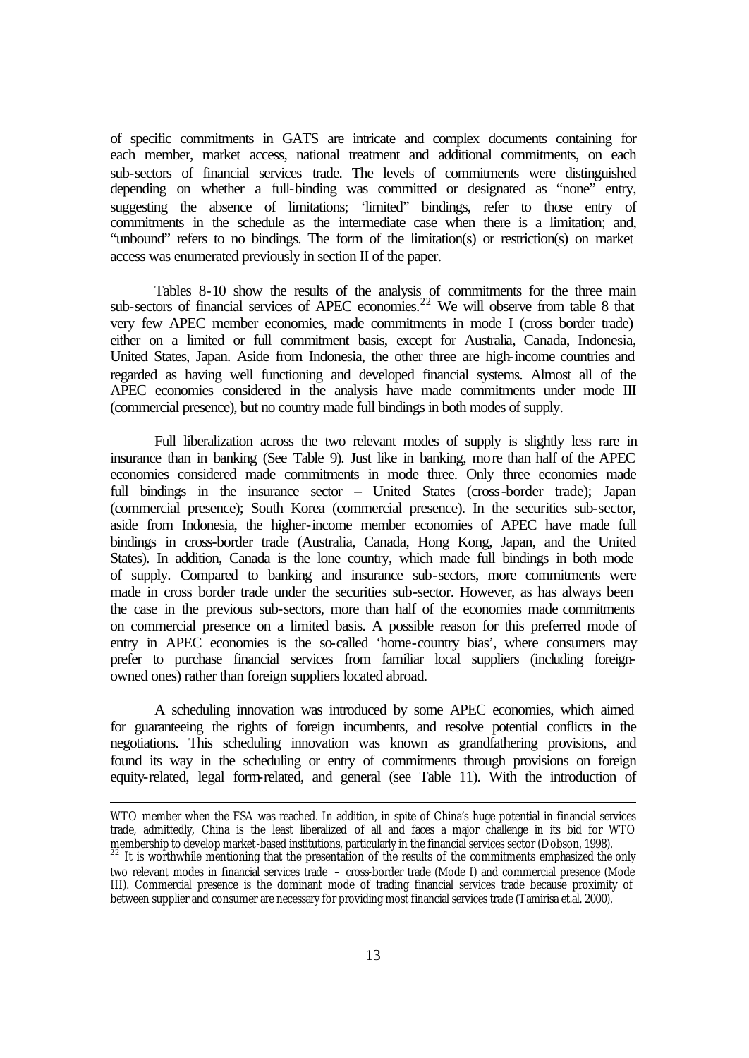of specific commitments in GATS are intricate and complex documents containing for each member, market access, national treatment and additional commitments, on each sub-sectors of financial services trade. The levels of commitments were distinguished depending on whether a full-binding was committed or designated as "none" entry, suggesting the absence of limitations; 'limited" bindings, refer to those entry of commitments in the schedule as the intermediate case when there is a limitation; and, "unbound" refers to no bindings. The form of the limitation(s) or restriction(s) on market access was enumerated previously in section II of the paper.

Tables 8-10 show the results of the analysis of commitments for the three main sub-sectors of financial services of APEC economies.<sup>22</sup> We will observe from table 8 that very few APEC member economies, made commitments in mode I (cross border trade) either on a limited or full commitment basis, except for Australia, Canada, Indonesia, United States, Japan. Aside from Indonesia, the other three are high-income countries and regarded as having well functioning and developed financial systems. Almost all of the APEC economies considered in the analysis have made commitments under mode III (commercial presence), but no country made full bindings in both modes of supply.

Full liberalization across the two relevant modes of supply is slightly less rare in insurance than in banking (See Table 9). Just like in banking, more than half of the APEC economies considered made commitments in mode three. Only three economies made full bindings in the insurance sector – United States (cross-border trade); Japan (commercial presence); South Korea (commercial presence). In the securities sub-sector, aside from Indonesia, the higher-income member economies of APEC have made full bindings in cross-border trade (Australia, Canada, Hong Kong, Japan, and the United States). In addition, Canada is the lone country, which made full bindings in both mode of supply. Compared to banking and insurance sub-sectors, more commitments were made in cross border trade under the securities sub-sector. However, as has always been the case in the previous sub-sectors, more than half of the economies made commitments on commercial presence on a limited basis. A possible reason for this preferred mode of entry in APEC economies is the so-called 'home-country bias', where consumers may prefer to purchase financial services from familiar local suppliers (including foreignowned ones) rather than foreign suppliers located abroad.

A scheduling innovation was introduced by some APEC economies, which aimed for guaranteeing the rights of foreign incumbents, and resolve potential conflicts in the negotiations. This scheduling innovation was known as grandfathering provisions, and found its way in the scheduling or entry of commitments through provisions on foreign equity-related, legal form-related, and general (see Table 11). With the introduction of

WTO member when the FSA was reached. In addition, in spite of China's huge potential in financial services trade, admittedly, China is the least liberalized of all and faces a major challenge in its bid for WTO membership to develop market-based institutions, particularly in the financial services sector (Dobson, 1998).

 $22$  It is worthwhile mentioning that the presentation of the results of the commitments emphasized the only two relevant modes in financial services trade – cross-border trade (Mode I) and commercial presence (Mode III). Commercial presence is the dominant mode of trading financial services trade because proximity of between supplier and consumer are necessary for providing most financial services trade (Tamirisa et.al. 2000).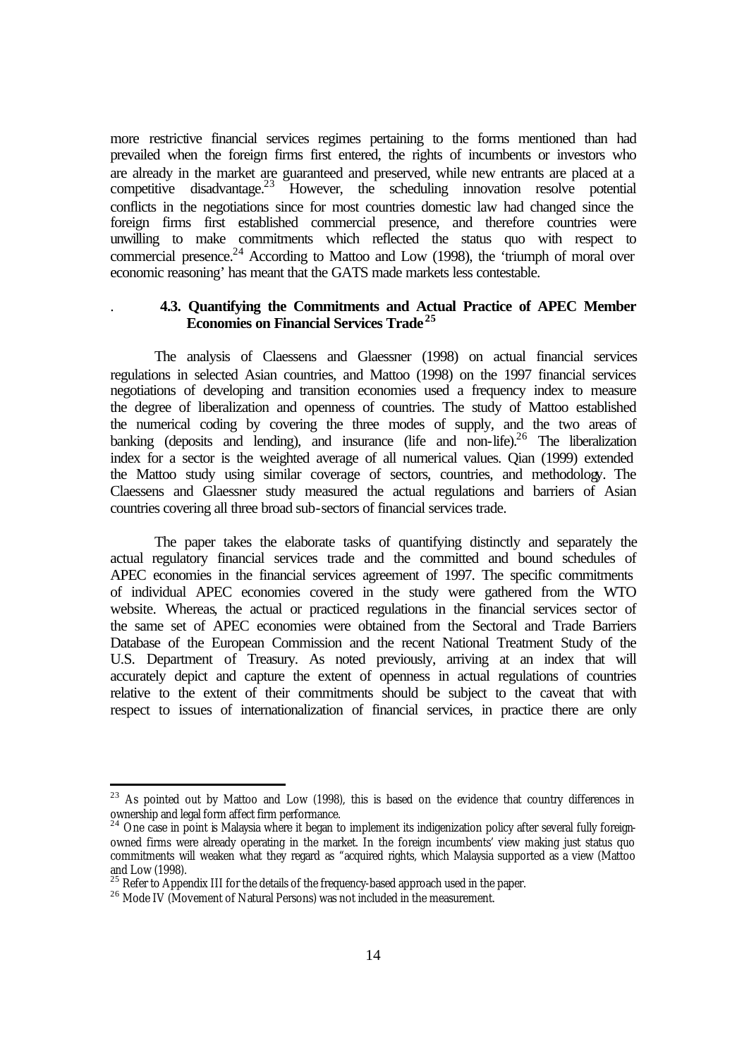more restrictive financial services regimes pertaining to the forms mentioned than had prevailed when the foreign firms first entered, the rights of incumbents or investors who are already in the market are guaranteed and preserved, while new entrants are placed at a competitive disadvantage.<sup>23</sup> However, the scheduling innovation resolve potential conflicts in the negotiations since for most countries domestic law had changed since the foreign firms first established commercial presence, and therefore countries were unwilling to make commitments which reflected the status quo with respect to commercial presence.<sup>24</sup> According to Mattoo and Low (1998), the 'triumph of moral over economic reasoning' has meant that the GATS made markets less contestable.

### . **4.3. Quantifying the Commitments and Actual Practice of APEC Member Economies on Financial Services Trade <sup>25</sup>**

The analysis of Claessens and Glaessner (1998) on actual financial services regulations in selected Asian countries, and Mattoo (1998) on the 1997 financial services negotiations of developing and transition economies used a frequency index to measure the degree of liberalization and openness of countries. The study of Mattoo established the numerical coding by covering the three modes of supply, and the two areas of banking (deposits and lending), and insurance (life and non-life).<sup>26</sup> The liberalization index for a sector is the weighted average of all numerical values. Qian (1999) extended the Mattoo study using similar coverage of sectors, countries, and methodology. The Claessens and Glaessner study measured the actual regulations and barriers of Asian countries covering all three broad sub-sectors of financial services trade.

The paper takes the elaborate tasks of quantifying distinctly and separately the actual regulatory financial services trade and the committed and bound schedules of APEC economies in the financial services agreement of 1997. The specific commitments of individual APEC economies covered in the study were gathered from the WTO website. Whereas, the actual or practiced regulations in the financial services sector of the same set of APEC economies were obtained from the Sectoral and Trade Barriers Database of the European Commission and the recent National Treatment Study of the U.S. Department of Treasury. As noted previously, arriving at an index that will accurately depict and capture the extent of openness in actual regulations of countries relative to the extent of their commitments should be subject to the caveat that with respect to issues of internationalization of financial services, in practice there are only

 $23$  As pointed out by Mattoo and Low (1998), this is based on the evidence that country differences in ownership and legal form affect firm performance.

 $24$  One case in point is Malaysia where it began to implement its indigenization policy after several fully foreignowned firms were already operating in the market. In the foreign incumbents' view making just status quo commitments will weaken what they regard as "acquired rights, which Malaysia supported as a view (Mattoo and Low (1998).

 $^{25}$  Refer to Appendix III for the details of the frequency-based approach used in the paper.

<sup>&</sup>lt;sup>26</sup> Mode IV (Movement of Natural Persons) was not included in the measurement.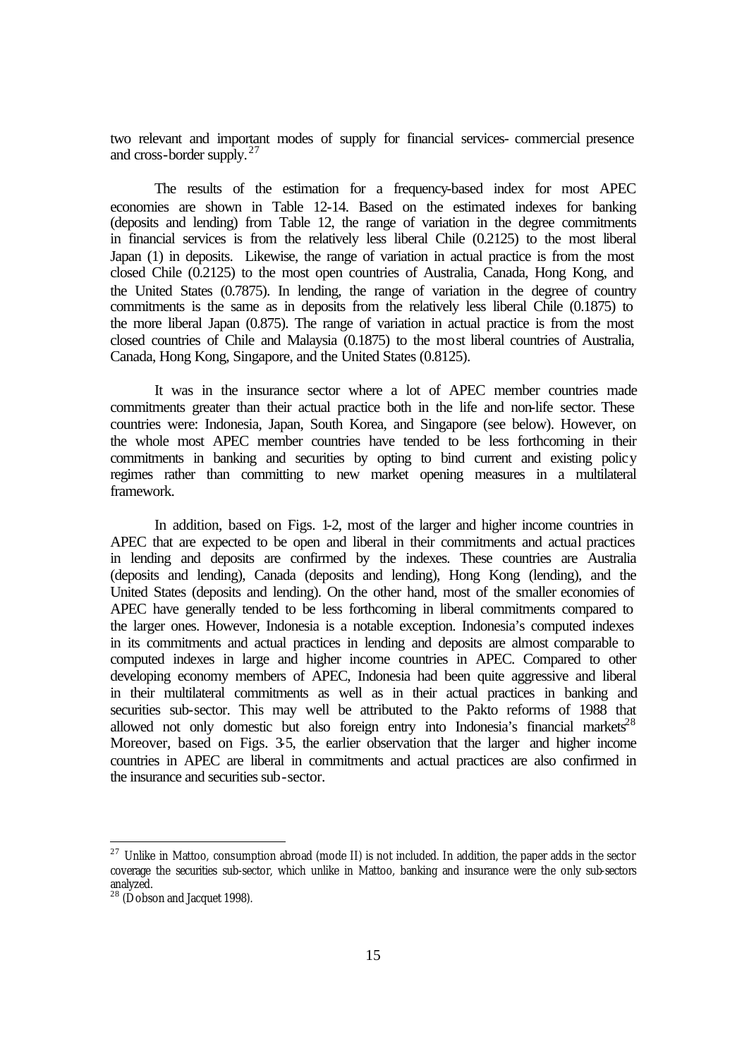two relevant and important modes of supply for financial services- commercial presence and cross-border supply. $27$ 

The results of the estimation for a frequency-based index for most APEC economies are shown in Table 12-14. Based on the estimated indexes for banking (deposits and lending) from Table 12, the range of variation in the degree commitments in financial services is from the relatively less liberal Chile (0.2125) to the most liberal Japan (1) in deposits. Likewise, the range of variation in actual practice is from the most closed Chile (0.2125) to the most open countries of Australia, Canada, Hong Kong, and the United States (0.7875). In lending, the range of variation in the degree of country commitments is the same as in deposits from the relatively less liberal Chile (0.1875) to the more liberal Japan (0.875). The range of variation in actual practice is from the most closed countries of Chile and Malaysia (0.1875) to the most liberal countries of Australia, Canada, Hong Kong, Singapore, and the United States (0.8125).

It was in the insurance sector where a lot of APEC member countries made commitments greater than their actual practice both in the life and non-life sector. These countries were: Indonesia, Japan, South Korea, and Singapore (see below). However, on the whole most APEC member countries have tended to be less forthcoming in their commitments in banking and securities by opting to bind current and existing policy regimes rather than committing to new market opening measures in a multilateral framework.

In addition, based on Figs. 1-2, most of the larger and higher income countries in APEC that are expected to be open and liberal in their commitments and actual practices in lending and deposits are confirmed by the indexes. These countries are Australia (deposits and lending), Canada (deposits and lending), Hong Kong (lending), and the United States (deposits and lending). On the other hand, most of the smaller economies of APEC have generally tended to be less forthcoming in liberal commitments compared to the larger ones. However, Indonesia is a notable exception. Indonesia's computed indexes in its commitments and actual practices in lending and deposits are almost comparable to computed indexes in large and higher income countries in APEC. Compared to other developing economy members of APEC, Indonesia had been quite aggressive and liberal in their multilateral commitments as well as in their actual practices in banking and securities sub-sector. This may well be attributed to the Pakto reforms of 1988 that allowed not only domestic but also foreign entry into Indonesia's financial markets<sup>28</sup> Moreover, based on Figs. 3-5, the earlier observation that the larger and higher income countries in APEC are liberal in commitments and actual practices are also confirmed in the insurance and securities sub-sector.

 $27$  Unlike in Mattoo, consumption abroad (mode II) is not included. In addition, the paper adds in the sector coverage the securities sub-sector, which unlike in Mattoo, banking and insurance were the only sub-sectors analyzed.

 $28$  (Dobson and Jacquet 1998).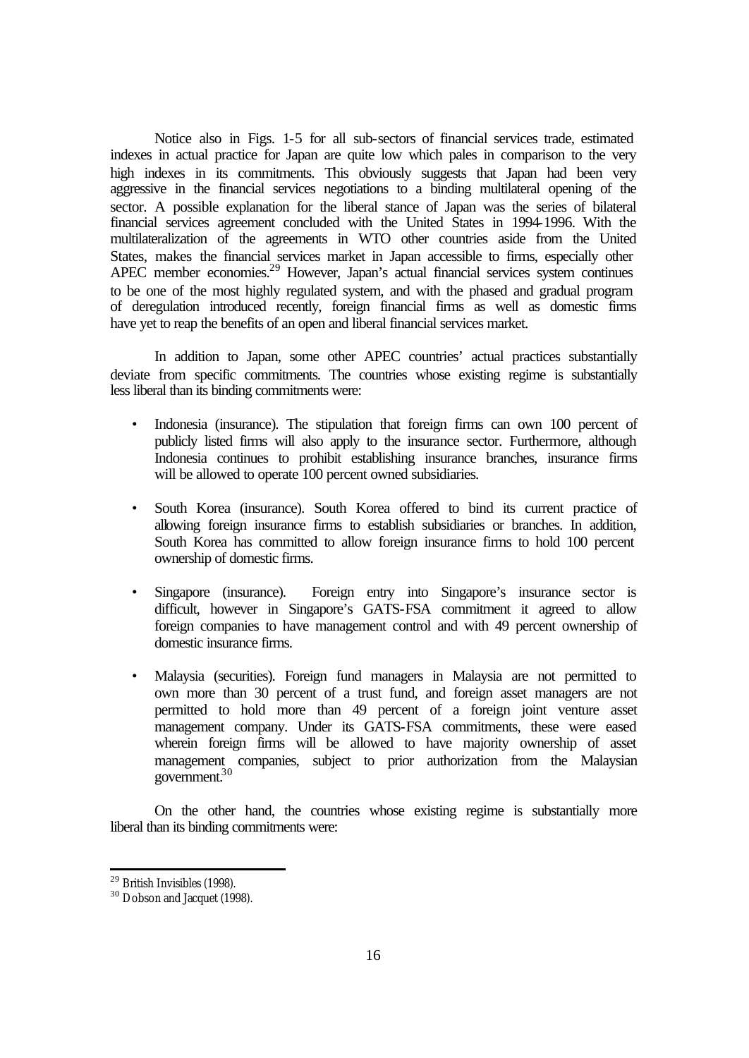Notice also in Figs. 1-5 for all sub-sectors of financial services trade, estimated indexes in actual practice for Japan are quite low which pales in comparison to the very high indexes in its commitments. This obviously suggests that Japan had been very aggressive in the financial services negotiations to a binding multilateral opening of the sector. A possible explanation for the liberal stance of Japan was the series of bilateral financial services agreement concluded with the United States in 1994-1996. With the multilateralization of the agreements in WTO other countries aside from the United States, makes the financial services market in Japan accessible to firms, especially other APEC member economies.<sup>29</sup> However, Japan's actual financial services system continues to be one of the most highly regulated system, and with the phased and gradual program of deregulation introduced recently, foreign financial firms as well as domestic firms have yet to reap the benefits of an open and liberal financial services market.

In addition to Japan, some other APEC countries' actual practices substantially deviate from specific commitments. The countries whose existing regime is substantially less liberal than its binding commitments were:

- Indonesia (insurance). The stipulation that foreign firms can own 100 percent of publicly listed firms will also apply to the insurance sector. Furthermore, although Indonesia continues to prohibit establishing insurance branches, insurance firms will be allowed to operate 100 percent owned subsidiaries.
- South Korea (insurance). South Korea offered to bind its current practice of allowing foreign insurance firms to establish subsidiaries or branches. In addition, South Korea has committed to allow foreign insurance firms to hold 100 percent ownership of domestic firms.
- Singapore (insurance). Foreign entry into Singapore's insurance sector is difficult, however in Singapore's GATS-FSA commitment it agreed to allow foreign companies to have management control and with 49 percent ownership of domestic insurance firms.
- Malaysia (securities). Foreign fund managers in Malaysia are not permitted to own more than 30 percent of a trust fund, and foreign asset managers are not permitted to hold more than 49 percent of a foreign joint venture asset management company. Under its GATS-FSA commitments, these were eased wherein foreign firms will be allowed to have majority ownership of asset management companies, subject to prior authorization from the Malaysian government.<sup>30</sup>

On the other hand, the countries whose existing regime is substantially more liberal than its binding commitments were:

<sup>&</sup>lt;sup>29</sup> British Invisibles (1998).

<sup>&</sup>lt;sup>30</sup> Dobson and Jacquet (1998).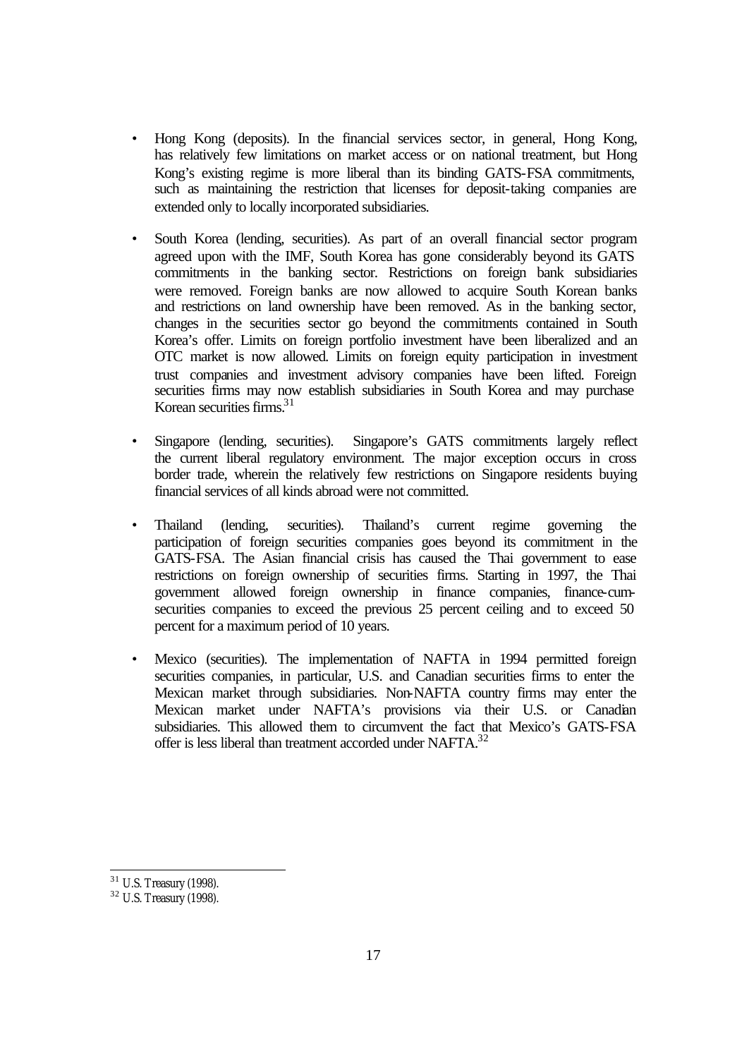- Hong Kong (deposits). In the financial services sector, in general, Hong Kong, has relatively few limitations on market access or on national treatment, but Hong Kong's existing regime is more liberal than its binding GATS-FSA commitments, such as maintaining the restriction that licenses for deposit-taking companies are extended only to locally incorporated subsidiaries.
- South Korea (lending, securities). As part of an overall financial sector program agreed upon with the IMF, South Korea has gone considerably beyond its GATS commitments in the banking sector. Restrictions on foreign bank subsidiaries were removed. Foreign banks are now allowed to acquire South Korean banks and restrictions on land ownership have been removed. As in the banking sector, changes in the securities sector go beyond the commitments contained in South Korea's offer. Limits on foreign portfolio investment have been liberalized and an OTC market is now allowed. Limits on foreign equity participation in investment trust companies and investment advisory companies have been lifted. Foreign securities firms may now establish subsidiaries in South Korea and may purchase Korean securities firms $^{31}$
- Singapore (lending, securities). Singapore's GATS commitments largely reflect the current liberal regulatory environment. The major exception occurs in cross border trade, wherein the relatively few restrictions on Singapore residents buying financial services of all kinds abroad were not committed.
- Thailand (lending, securities). Thailand's current regime governing the participation of foreign securities companies goes beyond its commitment in the GATS-FSA. The Asian financial crisis has caused the Thai government to ease restrictions on foreign ownership of securities firms. Starting in 1997, the Thai government allowed foreign ownership in finance companies, finance-cumsecurities companies to exceed the previous 25 percent ceiling and to exceed 50 percent for a maximum period of 10 years.
- Mexico (securities). The implementation of NAFTA in 1994 permitted foreign securities companies, in particular, U.S. and Canadian securities firms to enter the Mexican market through subsidiaries. Non-NAFTA country firms may enter the Mexican market under NAFTA's provisions via their U.S. or Canadian subsidiaries. This allowed them to circumvent the fact that Mexico's GATS-FSA offer is less liberal than treatment accorded under NAFTA.<sup>32</sup>

 $\overline{a}$ 

 $31$  U.S. Treasury (1998).

<sup>&</sup>lt;sup>32</sup> U.S. Treasury (1998).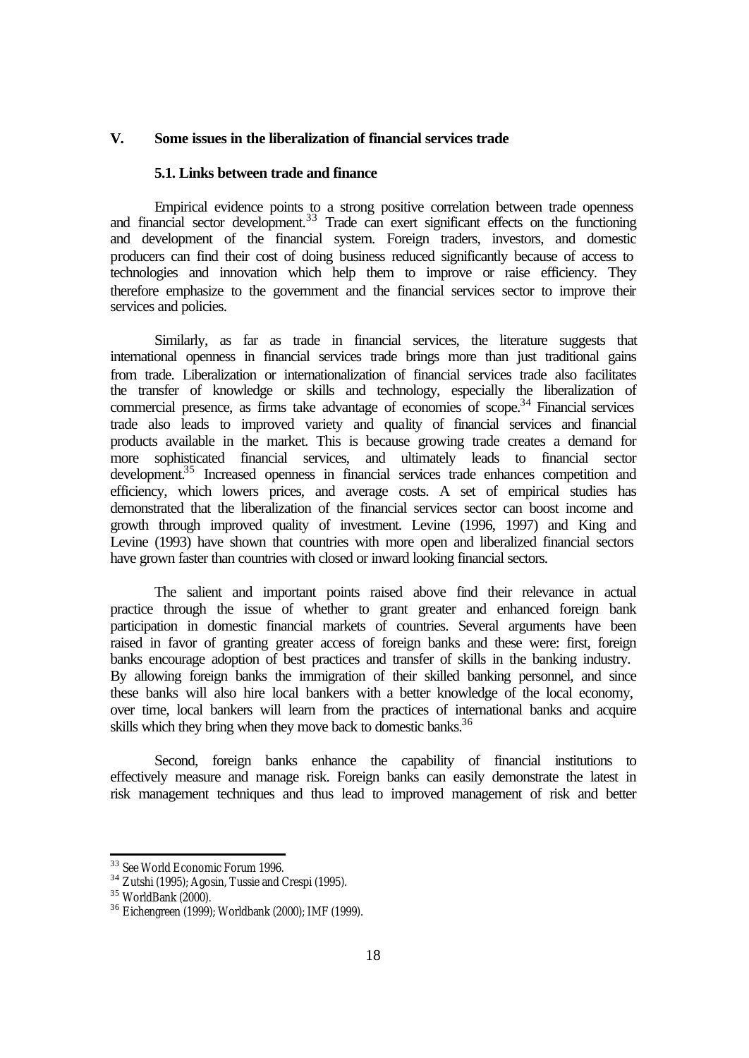#### **V. Some issues in the liberalization of financial services trade**

#### **5.1. Links between trade and finance**

Empirical evidence points to a strong positive correlation between trade openness and financial sector development.<sup>33</sup> Trade can exert significant effects on the functioning and development of the financial system. Foreign traders, investors, and domestic producers can find their cost of doing business reduced significantly because of access to technologies and innovation which help them to improve or raise efficiency. They therefore emphasize to the government and the financial services sector to improve their services and policies.

Similarly, as far as trade in financial services, the literature suggests that international openness in financial services trade brings more than just traditional gains from trade. Liberalization or internationalization of financial services trade also facilitates the transfer of knowledge or skills and technology, especially the liberalization of commercial presence, as firms take advantage of economies of scope.<sup>34</sup> Financial services trade also leads to improved variety and quality of financial services and financial products available in the market. This is because growing trade creates a demand for more sophisticated financial services, and ultimately leads to financial sector development.<sup>35</sup> Increased openness in financial services trade enhances competition and efficiency, which lowers prices, and average costs. A set of empirical studies has demonstrated that the liberalization of the financial services sector can boost income and growth through improved quality of investment. Levine (1996, 1997) and King and Levine (1993) have shown that countries with more open and liberalized financial sectors have grown faster than countries with closed or inward looking financial sectors.

The salient and important points raised above find their relevance in actual practice through the issue of whether to grant greater and enhanced foreign bank participation in domestic financial markets of countries. Several arguments have been raised in favor of granting greater access of foreign banks and these were: first, foreign banks encourage adoption of best practices and transfer of skills in the banking industry. By allowing foreign banks the immigration of their skilled banking personnel, and since these banks will also hire local bankers with a better knowledge of the local economy, over time, local bankers will learn from the practices of international banks and acquire skills which they bring when they move back to domestic banks.<sup>36</sup>

Second, foreign banks enhance the capability of financial institutions to effectively measure and manage risk. Foreign banks can easily demonstrate the latest in risk management techniques and thus lead to improved management of risk and better

<sup>&</sup>lt;sup>33</sup> See World Economic Forum 1996.

<sup>34</sup> Zutshi (1995); Agosin, Tussie and Crespi (1995).

<sup>35</sup> WorldBank (2000).

<sup>36</sup> Eichengreen (1999); Worldbank (2000); IMF (1999).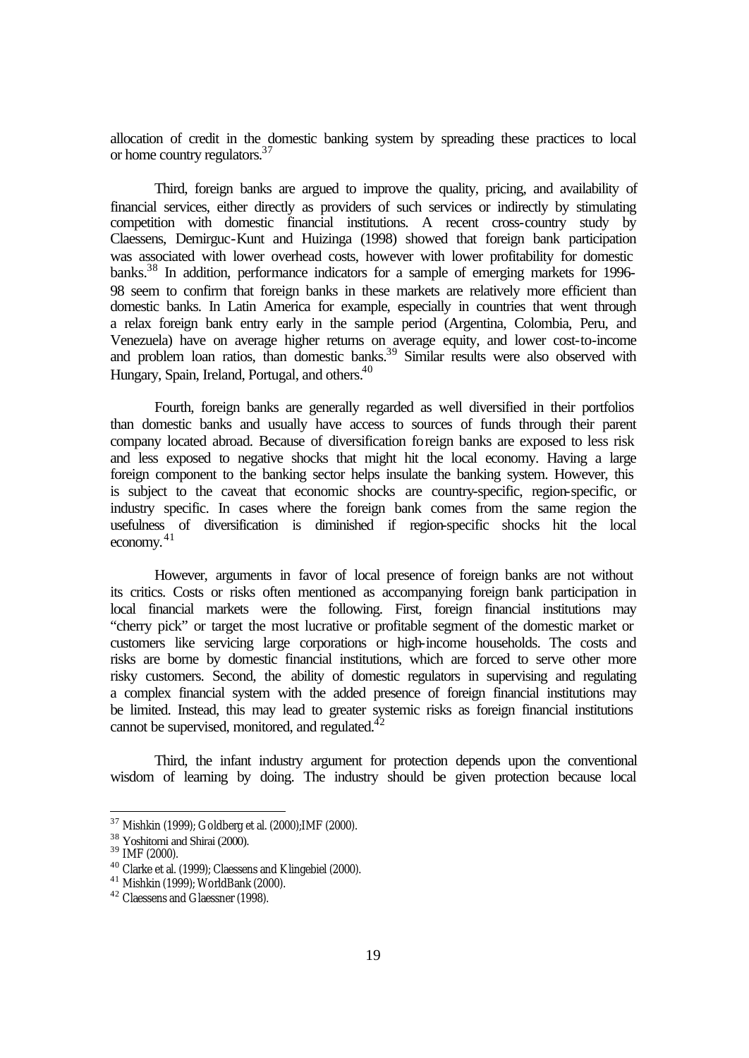allocation of credit in the domestic banking system by spreading these practices to local or home country regulators.<sup>37</sup>

Third, foreign banks are argued to improve the quality, pricing, and availability of financial services, either directly as providers of such services or indirectly by stimulating competition with domestic financial institutions. A recent cross-country study by Claessens, Demirguc-Kunt and Huizinga (1998) showed that foreign bank participation was associated with lower overhead costs, however with lower profitability for domestic banks.<sup>38</sup> In addition, performance indicators for a sample of emerging markets for 1996-98 seem to confirm that foreign banks in these markets are relatively more efficient than domestic banks. In Latin America for example, especially in countries that went through a relax foreign bank entry early in the sample period (Argentina, Colombia, Peru, and Venezuela) have on average higher returns on average equity, and lower cost-to-income and problem loan ratios, than domestic banks.<sup>39</sup> Similar results were also observed with Hungary, Spain, Ireland, Portugal, and others.<sup>40</sup>

Fourth, foreign banks are generally regarded as well diversified in their portfolios than domestic banks and usually have access to sources of funds through their parent company located abroad. Because of diversification foreign banks are exposed to less risk and less exposed to negative shocks that might hit the local economy. Having a large foreign component to the banking sector helps insulate the banking system. However, this is subject to the caveat that economic shocks are country-specific, region-specific, or industry specific. In cases where the foreign bank comes from the same region the usefulness of diversification is diminished if region-specific shocks hit the local economy.<sup>41</sup>

However, arguments in favor of local presence of foreign banks are not without its critics. Costs or risks often mentioned as accompanying foreign bank participation in local financial markets were the following. First, foreign financial institutions may "cherry pick" or target the most lucrative or profitable segment of the domestic market or customers like servicing large corporations or high-income households. The costs and risks are borne by domestic financial institutions, which are forced to serve other more risky customers. Second, the ability of domestic regulators in supervising and regulating a complex financial system with the added presence of foreign financial institutions may be limited. Instead, this may lead to greater systemic risks as foreign financial institutions cannot be supervised, monitored, and regulated.<sup>42</sup>

Third, the infant industry argument for protection depends upon the conventional wisdom of learning by doing. The industry should be given protection because local

 $37$  Mishkin (1999); Goldberg et al. (2000); IMF (2000).

<sup>38</sup> Yoshitomi and Shirai (2000).

<sup>39</sup> IMF (2000).

<sup>40</sup> Clarke et al. (1999); Claessens and Klingebiel (2000).

<sup>41</sup> Mishkin (1999); WorldBank (2000).

<sup>42</sup> Claessens and Glaessner (1998).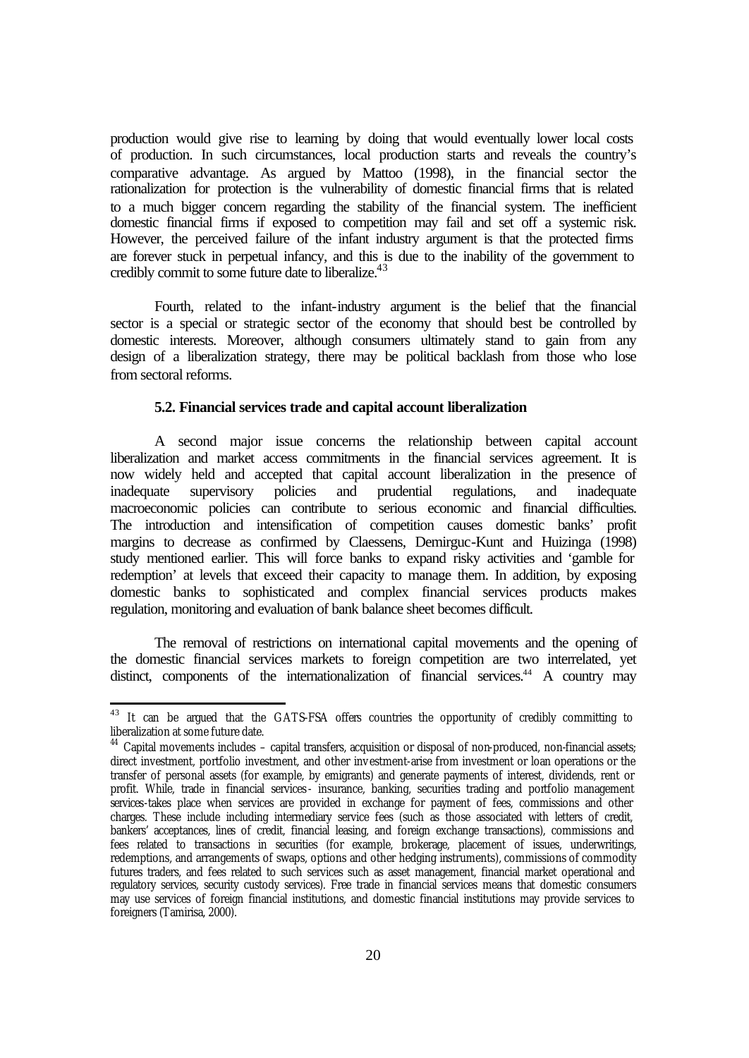production would give rise to learning by doing that would eventually lower local costs of production. In such circumstances, local production starts and reveals the country's comparative advantage. As argued by Mattoo (1998), in the financial sector the rationalization for protection is the vulnerability of domestic financial firms that is related to a much bigger concern regarding the stability of the financial system. The inefficient domestic financial firms if exposed to competition may fail and set off a systemic risk. However, the perceived failure of the infant industry argument is that the protected firms are forever stuck in perpetual infancy, and this is due to the inability of the government to credibly commit to some future date to liberalize.<sup>43</sup>

Fourth, related to the infant-industry argument is the belief that the financial sector is a special or strategic sector of the economy that should best be controlled by domestic interests. Moreover, although consumers ultimately stand to gain from any design of a liberalization strategy, there may be political backlash from those who lose from sectoral reforms.

#### **5.2. Financial services trade and capital account liberalization**

A second major issue concerns the relationship between capital account liberalization and market access commitments in the financial services agreement. It is now widely held and accepted that capital account liberalization in the presence of inadequate supervisory policies and prudential regulations, and inadequate macroeconomic policies can contribute to serious economic and financial difficulties. The introduction and intensification of competition causes domestic banks' profit margins to decrease as confirmed by Claessens, Demirguc-Kunt and Huizinga (1998) study mentioned earlier. This will force banks to expand risky activities and 'gamble for redemption' at levels that exceed their capacity to manage them. In addition, by exposing domestic banks to sophisticated and complex financial services products makes regulation, monitoring and evaluation of bank balance sheet becomes difficult.

The removal of restrictions on international capital movements and the opening of the domestic financial services markets to foreign competition are two interrelated, yet distinct, components of the internationalization of financial services.<sup>44</sup> A country may

j

<sup>&</sup>lt;sup>43</sup> It can be argued that the GATS-FSA offers countries the opportunity of credibly committing to liberalization at some future date.

 $^{44}$  Capital movements includes – capital transfers, acquisition or disposal of non-produced, non-financial assets; direct investment, portfolio investment, and other investment-arise from investment or loan operations or the transfer of personal assets (for example, by emigrants) and generate payments of interest, dividends, rent or profit. While, trade in financial services- insurance, banking, securities trading and portfolio management services-takes place when services are provided in exchange for payment of fees, commissions and other charges. These include including intermediary service fees (such as those associated with letters of credit, bankers' acceptances, lines of credit, financial leasing, and foreign exchange transactions), commissions and fees related to transactions in securities (for example, brokerage, placement of issues, underwritings, redemptions, and arrangements of swaps, options and other hedging instruments), commissions of commodity futures traders, and fees related to such services such as asset management, financial market operational and regulatory services, security custody services). Free trade in financial services means that domestic consumers may use services of foreign financial institutions, and domestic financial institutions may provide services to foreigners (Tamirisa, 2000).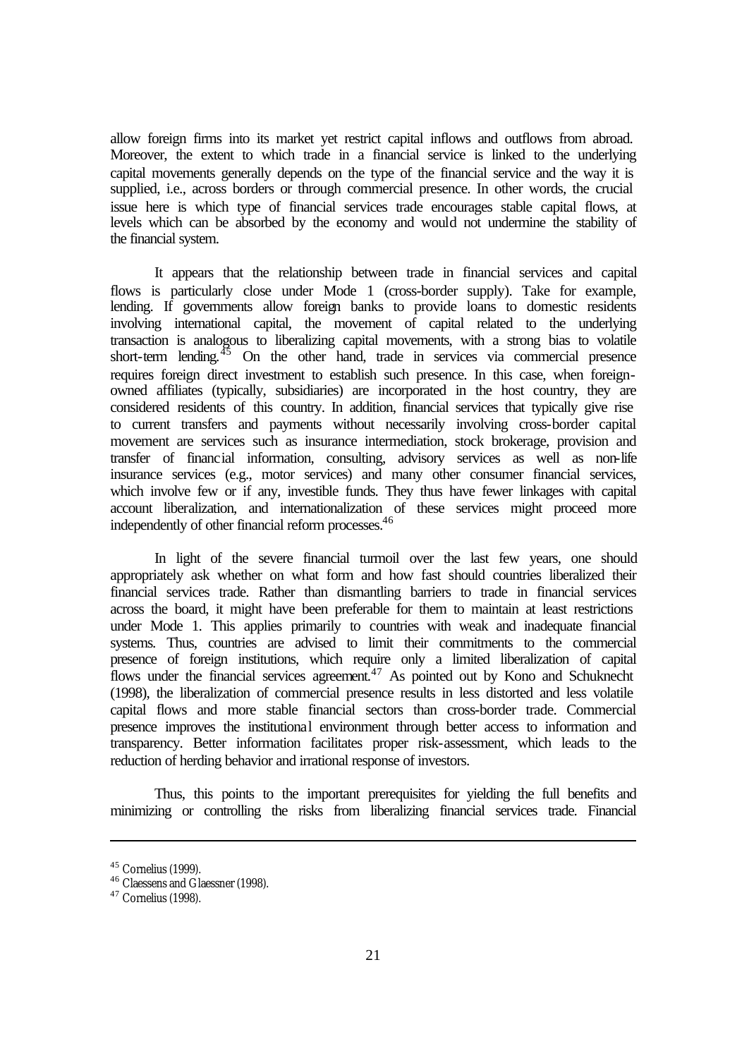allow foreign firms into its market yet restrict capital inflows and outflows from abroad. Moreover, the extent to which trade in a financial service is linked to the underlying capital movements generally depends on the type of the financial service and the way it is supplied, i.e., across borders or through commercial presence. In other words, the crucial issue here is which type of financial services trade encourages stable capital flows, at levels which can be absorbed by the economy and would not undermine the stability of the financial system.

It appears that the relationship between trade in financial services and capital flows is particularly close under Mode 1 (cross-border supply). Take for example, lending. If governments allow foreign banks to provide loans to domestic residents involving international capital, the movement of capital related to the underlying transaction is analogous to liberalizing capital movements, with a strong bias to volatile short-term lending.<sup>45</sup> On the other hand, trade in services via commercial presence requires foreign direct investment to establish such presence. In this case, when foreignowned affiliates (typically, subsidiaries) are incorporated in the host country, they are considered residents of this country. In addition, financial services that typically give rise to current transfers and payments without necessarily involving cross-border capital movement are services such as insurance intermediation, stock brokerage, provision and transfer of financial information, consulting, advisory services as well as non-life insurance services (e.g., motor services) and many other consumer financial services, which involve few or if any, investible funds. They thus have fewer linkages with capital account liberalization, and internationalization of these services might proceed more independently of other financial reform processes.<sup>46</sup>

In light of the severe financial turmoil over the last few years, one should appropriately ask whether on what form and how fast should countries liberalized their financial services trade. Rather than dismantling barriers to trade in financial services across the board, it might have been preferable for them to maintain at least restrictions under Mode 1. This applies primarily to countries with weak and inadequate financial systems. Thus, countries are advised to limit their commitments to the commercial presence of foreign institutions, which require only a limited liberalization of capital flows under the financial services agreement.<sup>47</sup> As pointed out by Kono and Schuknecht (1998), the liberalization of commercial presence results in less distorted and less volatile capital flows and more stable financial sectors than cross-border trade. Commercial presence improves the institutional environment through better access to information and transparency. Better information facilitates proper risk-assessment, which leads to the reduction of herding behavior and irrational response of investors.

Thus, this points to the important prerequisites for yielding the full benefits and minimizing or controlling the risks from liberalizing financial services trade. Financial

<sup>45</sup> Cornelius (1999).

<sup>46</sup> Claessens and Glaessner (1998).

<sup>47</sup> Cornelius (1998).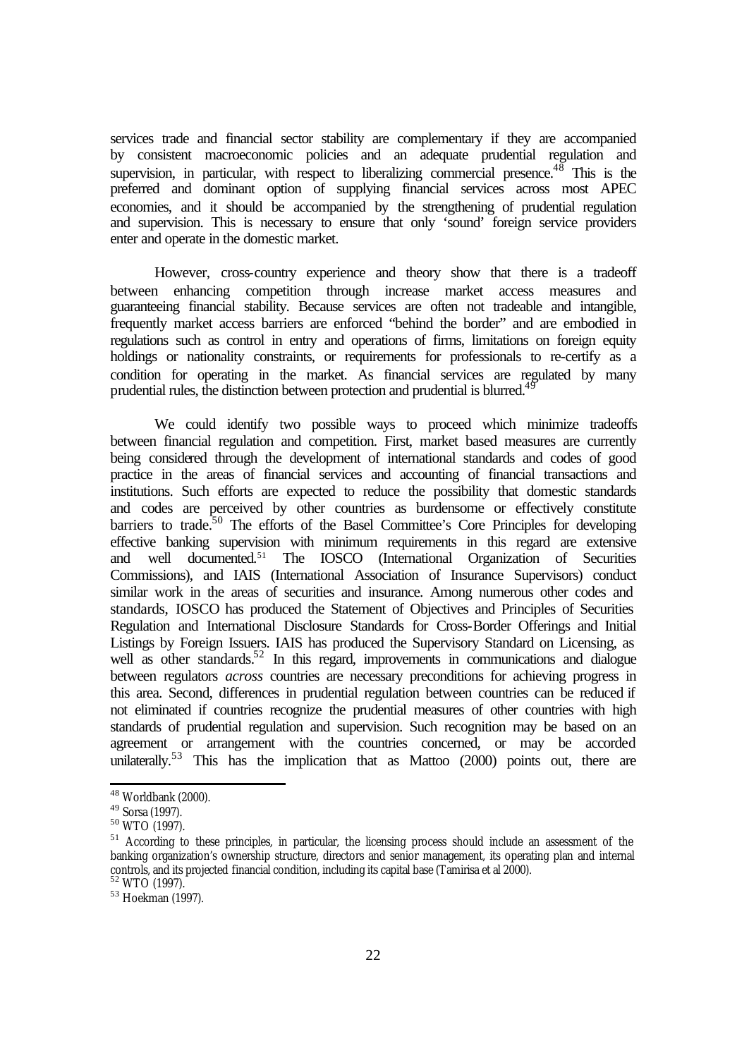services trade and financial sector stability are complementary if they are accompanied by consistent macroeconomic policies and an adequate prudential regulation and supervision, in particular, with respect to liberalizing commercial presence.<sup>48</sup> This is the preferred and dominant option of supplying financial services across most APEC economies, and it should be accompanied by the strengthening of prudential regulation and supervision. This is necessary to ensure that only 'sound' foreign service providers enter and operate in the domestic market.

However, cross-country experience and theory show that there is a tradeoff between enhancing competition through increase market access measures and guaranteeing financial stability. Because services are often not tradeable and intangible, frequently market access barriers are enforced "behind the border" and are embodied in regulations such as control in entry and operations of firms, limitations on foreign equity holdings or nationality constraints, or requirements for professionals to re-certify as a condition for operating in the market. As financial services are regulated by many prudential rules, the distinction between protection and prudential is blurred.<sup>49</sup>

We could identify two possible ways to proceed which minimize tradeoffs between financial regulation and competition. First, market based measures are currently being considered through the development of international standards and codes of good practice in the areas of financial services and accounting of financial transactions and institutions. Such efforts are expected to reduce the possibility that domestic standards and codes are perceived by other countries as burdensome or effectively constitute barriers to trade.<sup>50</sup> The efforts of the Basel Committee's Core Principles for developing effective banking supervision with minimum requirements in this regard are extensive and well documented.51 The IOSCO (International Organization of Securities Commissions), and IAIS (International Association of Insurance Supervisors) conduct similar work in the areas of securities and insurance. Among numerous other codes and standards, IOSCO has produced the Statement of Objectives and Principles of Securities Regulation and International Disclosure Standards for Cross-Border Offerings and Initial Listings by Foreign Issuers. IAIS has produced the Supervisory Standard on Licensing, as well as other standards.<sup>52</sup> In this regard, improvements in communications and dialogue between regulators *across* countries are necessary preconditions for achieving progress in this area. Second, differences in prudential regulation between countries can be reduced if not eliminated if countries recognize the prudential measures of other countries with high standards of prudential regulation and supervision. Such recognition may be based on an agreement or arrangement with the countries concerned, or may be accorded unilaterally.<sup>53</sup> This has the implication that as Mattoo  $(2000)$  points out, there are

j

 $48$  Worldbank (2000).

<sup>49</sup> Sorsa (1997).

<sup>50</sup> WTO (1997).

<sup>&</sup>lt;sup>51</sup> According to these principles, in particular, the licensing process should include an assessment of the banking organization's ownership structure, directors and senior management, its operating plan and internal controls, and its projected financial condition, including its capital base (Tamirisa et al 2000).

<sup>52</sup> WTO (1997).

<sup>53</sup> Hoekman (1997).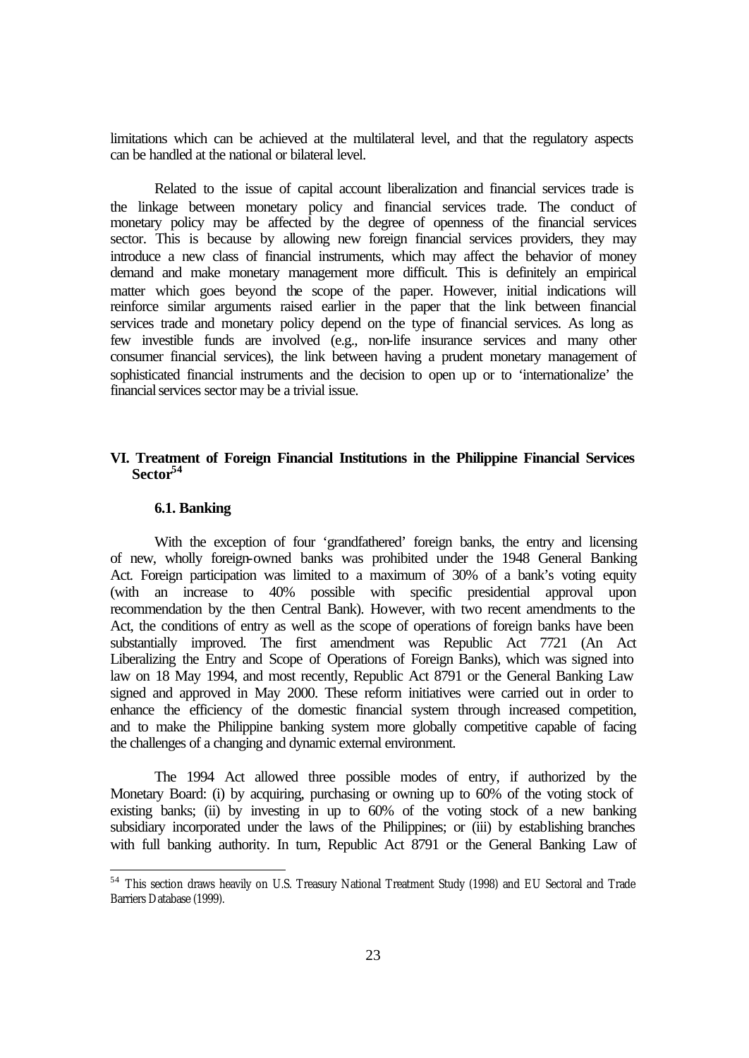limitations which can be achieved at the multilateral level, and that the regulatory aspects can be handled at the national or bilateral level.

Related to the issue of capital account liberalization and financial services trade is the linkage between monetary policy and financial services trade. The conduct of monetary policy may be affected by the degree of openness of the financial services sector. This is because by allowing new foreign financial services providers, they may introduce a new class of financial instruments, which may affect the behavior of money demand and make monetary management more difficult. This is definitely an empirical matter which goes beyond the scope of the paper. However, initial indications will reinforce similar arguments raised earlier in the paper that the link between financial services trade and monetary policy depend on the type of financial services. As long as few investible funds are involved (e.g., non-life insurance services and many other consumer financial services), the link between having a prudent monetary management of sophisticated financial instruments and the decision to open up or to 'internationalize' the financial services sector may be a trivial issue.

## **VI. Treatment of Foreign Financial Institutions in the Philippine Financial Services Sector<sup>54</sup>**

### **6.1. Banking**

l

With the exception of four 'grandfathered' foreign banks, the entry and licensing of new, wholly foreign-owned banks was prohibited under the 1948 General Banking Act. Foreign participation was limited to a maximum of 30% of a bank's voting equity (with an increase to 40% possible with specific presidential approval upon recommendation by the then Central Bank). However, with two recent amendments to the Act, the conditions of entry as well as the scope of operations of foreign banks have been substantially improved. The first amendment was Republic Act 7721 (An Act Liberalizing the Entry and Scope of Operations of Foreign Banks), which was signed into law on 18 May 1994, and most recently, Republic Act 8791 or the General Banking Law signed and approved in May 2000. These reform initiatives were carried out in order to enhance the efficiency of the domestic financial system through increased competition, and to make the Philippine banking system more globally competitive capable of facing the challenges of a changing and dynamic external environment.

The 1994 Act allowed three possible modes of entry, if authorized by the Monetary Board: (i) by acquiring, purchasing or owning up to 60% of the voting stock of existing banks; (ii) by investing in up to 60% of the voting stock of a new banking subsidiary incorporated under the laws of the Philippines; or (iii) by establishing branches with full banking authority. In turn, Republic Act 8791 or the General Banking Law of

<sup>&</sup>lt;sup>54</sup> This section draws heavily on U.S. Treasury National Treatment Study (1998) and EU Sectoral and Trade Barriers Database (1999).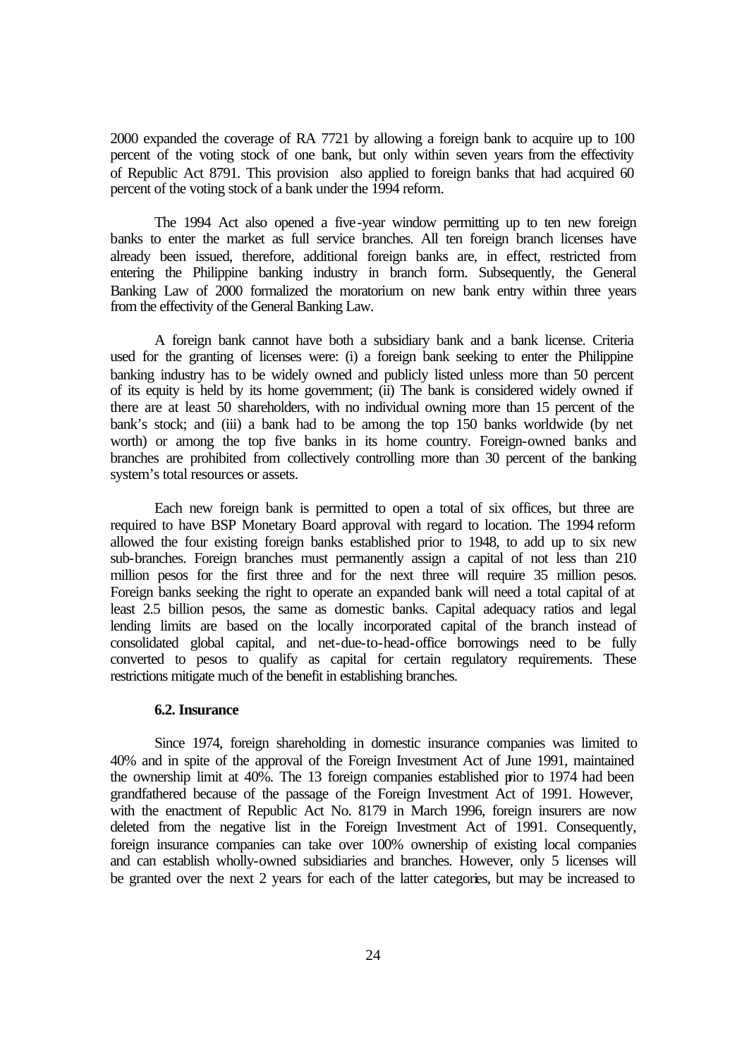2000 expanded the coverage of RA 7721 by allowing a foreign bank to acquire up to 100 percent of the voting stock of one bank, but only within seven years from the effectivity of Republic Act 8791. This provision also applied to foreign banks that had acquired 60 percent of the voting stock of a bank under the 1994 reform.

The 1994 Act also opened a five-year window permitting up to ten new foreign banks to enter the market as full service branches. All ten foreign branch licenses have already been issued, therefore, additional foreign banks are, in effect, restricted from entering the Philippine banking industry in branch form. Subsequently, the General Banking Law of 2000 formalized the moratorium on new bank entry within three years from the effectivity of the General Banking Law.

A foreign bank cannot have both a subsidiary bank and a bank license. Criteria used for the granting of licenses were: (i) a foreign bank seeking to enter the Philippine banking industry has to be widely owned and publicly listed unless more than 50 percent of its equity is held by its home government; (ii) The bank is considered widely owned if there are at least 50 shareholders, with no individual owning more than 15 percent of the bank's stock; and (iii) a bank had to be among the top 150 banks worldwide (by net worth) or among the top five banks in its home country. Foreign-owned banks and branches are prohibited from collectively controlling more than 30 percent of the banking system's total resources or assets.

Each new foreign bank is permitted to open a total of six offices, but three are required to have BSP Monetary Board approval with regard to location. The 1994 reform allowed the four existing foreign banks established prior to 1948, to add up to six new sub-branches. Foreign branches must permanently assign a capital of not less than 210 million pesos for the first three and for the next three will require 35 million pesos. Foreign banks seeking the right to operate an expanded bank will need a total capital of at least 2.5 billion pesos, the same as domestic banks. Capital adequacy ratios and legal lending limits are based on the locally incorporated capital of the branch instead of consolidated global capital, and net-due-to-head-office borrowings need to be fully converted to pesos to qualify as capital for certain regulatory requirements. These restrictions mitigate much of the benefit in establishing branches.

#### **6.2. Insurance**

Since 1974, foreign shareholding in domestic insurance companies was limited to 40% and in spite of the approval of the Foreign Investment Act of June 1991, maintained the ownership limit at 40%. The 13 foreign companies established prior to 1974 had been grandfathered because of the passage of the Foreign Investment Act of 1991. However, with the enactment of Republic Act No. 8179 in March 1996, foreign insurers are now deleted from the negative list in the Foreign Investment Act of 1991. Consequently, foreign insurance companies can take over 100% ownership of existing local companies and can establish wholly-owned subsidiaries and branches. However, only 5 licenses will be granted over the next 2 years for each of the latter categories, but may be increased to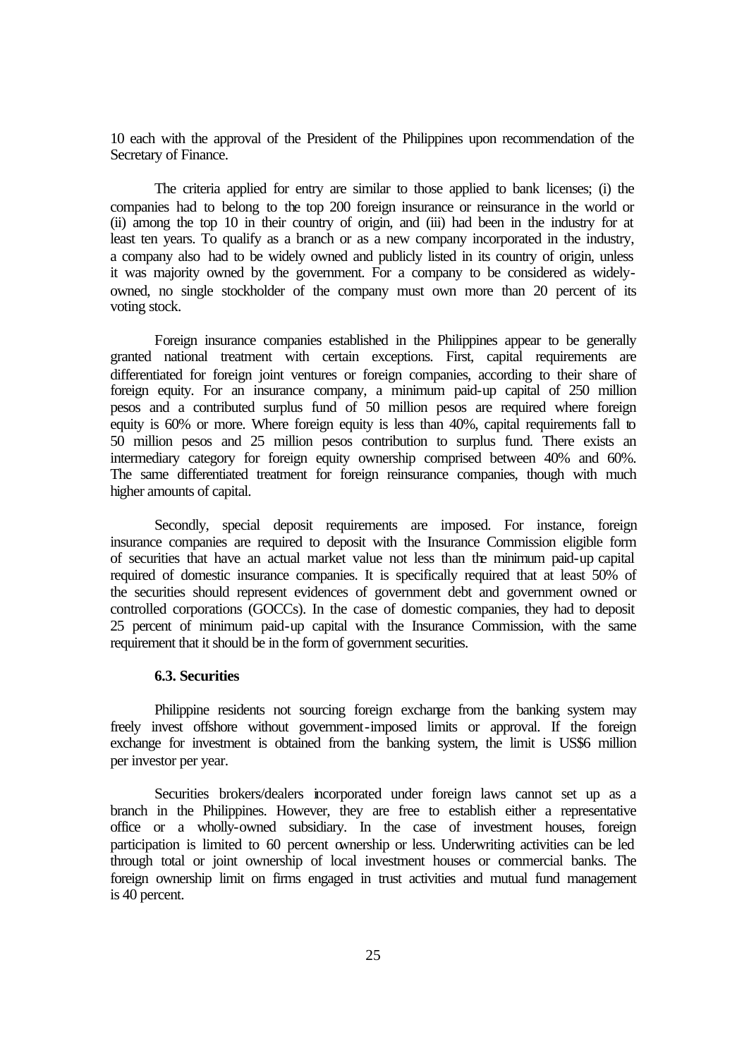10 each with the approval of the President of the Philippines upon recommendation of the Secretary of Finance.

The criteria applied for entry are similar to those applied to bank licenses; (i) the companies had to belong to the top 200 foreign insurance or reinsurance in the world or (ii) among the top 10 in their country of origin, and (iii) had been in the industry for at least ten years. To qualify as a branch or as a new company incorporated in the industry, a company also had to be widely owned and publicly listed in its country of origin, unless it was majority owned by the government. For a company to be considered as widelyowned, no single stockholder of the company must own more than 20 percent of its voting stock.

Foreign insurance companies established in the Philippines appear to be generally granted national treatment with certain exceptions. First, capital requirements are differentiated for foreign joint ventures or foreign companies, according to their share of foreign equity. For an insurance company, a minimum paid-up capital of 250 million pesos and a contributed surplus fund of 50 million pesos are required where foreign equity is 60% or more. Where foreign equity is less than 40%, capital requirements fall to 50 million pesos and 25 million pesos contribution to surplus fund. There exists an intermediary category for foreign equity ownership comprised between 40% and 60%. The same differentiated treatment for foreign reinsurance companies, though with much higher amounts of capital.

Secondly, special deposit requirements are imposed. For instance, foreign insurance companies are required to deposit with the Insurance Commission eligible form of securities that have an actual market value not less than the minimum paid-up capital required of domestic insurance companies. It is specifically required that at least 50% of the securities should represent evidences of government debt and government owned or controlled corporations (GOCCs). In the case of domestic companies, they had to deposit 25 percent of minimum paid-up capital with the Insurance Commission, with the same requirement that it should be in the form of government securities.

#### **6.3. Securities**

Philippine residents not sourcing foreign exchange from the banking system may freely invest offshore without government-imposed limits or approval. If the foreign exchange for investment is obtained from the banking system, the limit is US\$6 million per investor per year.

Securities brokers/dealers incorporated under foreign laws cannot set up as a branch in the Philippines. However, they are free to establish either a representative office or a wholly-owned subsidiary. In the case of investment houses, foreign participation is limited to 60 percent ownership or less. Underwriting activities can be led through total or joint ownership of local investment houses or commercial banks. The foreign ownership limit on firms engaged in trust activities and mutual fund management is 40 percent.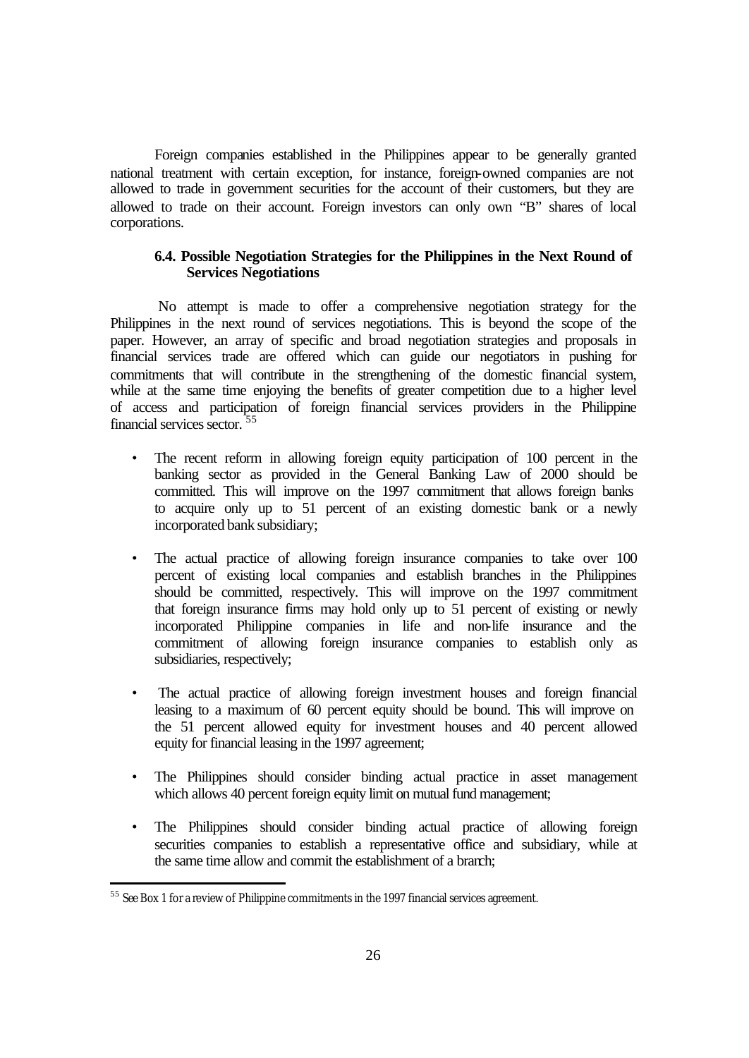Foreign companies established in the Philippines appear to be generally granted national treatment with certain exception, for instance, foreign-owned companies are not allowed to trade in government securities for the account of their customers, but they are allowed to trade on their account. Foreign investors can only own "B" shares of local corporations.

## **6.4. Possible Negotiation Strategies for the Philippines in the Next Round of Services Negotiations**

 No attempt is made to offer a comprehensive negotiation strategy for the Philippines in the next round of services negotiations. This is beyond the scope of the paper. However, an array of specific and broad negotiation strategies and proposals in financial services trade are offered which can guide our negotiators in pushing for commitments that will contribute in the strengthening of the domestic financial system, while at the same time enjoying the benefits of greater competition due to a higher level of access and participation of foreign financial services providers in the Philippine financial services sector. <sup>55</sup>

- The recent reform in allowing foreign equity participation of 100 percent in the banking sector as provided in the General Banking Law of 2000 should be committed. This will improve on the 1997 commitment that allows foreign banks to acquire only up to 51 percent of an existing domestic bank or a newly incorporated bank subsidiary;
- The actual practice of allowing foreign insurance companies to take over 100 percent of existing local companies and establish branches in the Philippines should be committed, respectively. This will improve on the 1997 commitment that foreign insurance firms may hold only up to 51 percent of existing or newly incorporated Philippine companies in life and non-life insurance and the commitment of allowing foreign insurance companies to establish only as subsidiaries, respectively;
- The actual practice of allowing foreign investment houses and foreign financial leasing to a maximum of 60 percent equity should be bound. This will improve on the 51 percent allowed equity for investment houses and 40 percent allowed equity for financial leasing in the 1997 agreement;
- The Philippines should consider binding actual practice in asset management which allows 40 percent foreign equity limit on mutual fund management;
- The Philippines should consider binding actual practice of allowing foreign securities companies to establish a representative office and subsidiary, while at the same time allow and commit the establishment of a branch;

 $^{55}$  See Box 1 for a review of Philippine commitments in the 1997 financial services agreement.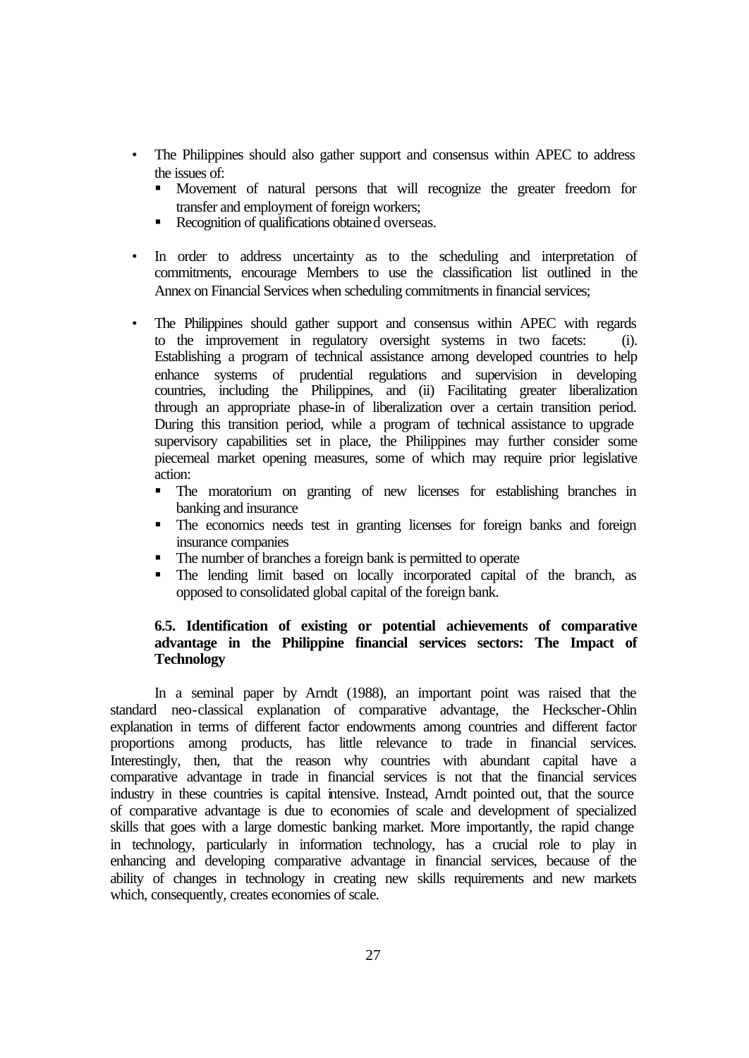- The Philippines should also gather support and consensus within APEC to address the issues of:
	- ß Movement of natural persons that will recognize the greater freedom for transfer and employment of foreign workers;
	- ß Recognition of qualifications obtained overseas.
- In order to address uncertainty as to the scheduling and interpretation of commitments, encourage Members to use the classification list outlined in the Annex on Financial Services when scheduling commitments in financial services;
- The Philippines should gather support and consensus within APEC with regards to the improvement in regulatory oversight systems in two facets: (i). Establishing a program of technical assistance among developed countries to help enhance systems of prudential regulations and supervision in developing countries, including the Philippines, and (ii) Facilitating greater liberalization through an appropriate phase-in of liberalization over a certain transition period. During this transition period, while a program of technical assistance to upgrade supervisory capabilities set in place, the Philippines may further consider some piecemeal market opening measures, some of which may require prior legislative action:
	- The moratorium on granting of new licenses for establishing branches in banking and insurance
	- The economics needs test in granting licenses for foreign banks and foreign insurance companies
	- The number of branches a foreign bank is permitted to operate
	- The lending limit based on locally incorporated capital of the branch, as opposed to consolidated global capital of the foreign bank.

## **6.5. Identification of existing or potential achievements of comparative advantage in the Philippine financial services sectors: The Impact of Technology**

In a seminal paper by Arndt (1988), an important point was raised that the standard neo-classical explanation of comparative advantage, the Heckscher-Ohlin explanation in terms of different factor endowments among countries and different factor proportions among products, has little relevance to trade in financial services. Interestingly, then, that the reason why countries with abundant capital have a comparative advantage in trade in financial services is not that the financial services industry in these countries is capital intensive. Instead, Arndt pointed out, that the source of comparative advantage is due to economies of scale and development of specialized skills that goes with a large domestic banking market. More importantly, the rapid change in technology, particularly in information technology, has a crucial role to play in enhancing and developing comparative advantage in financial services, because of the ability of changes in technology in creating new skills requirements and new markets which, consequently, creates economies of scale.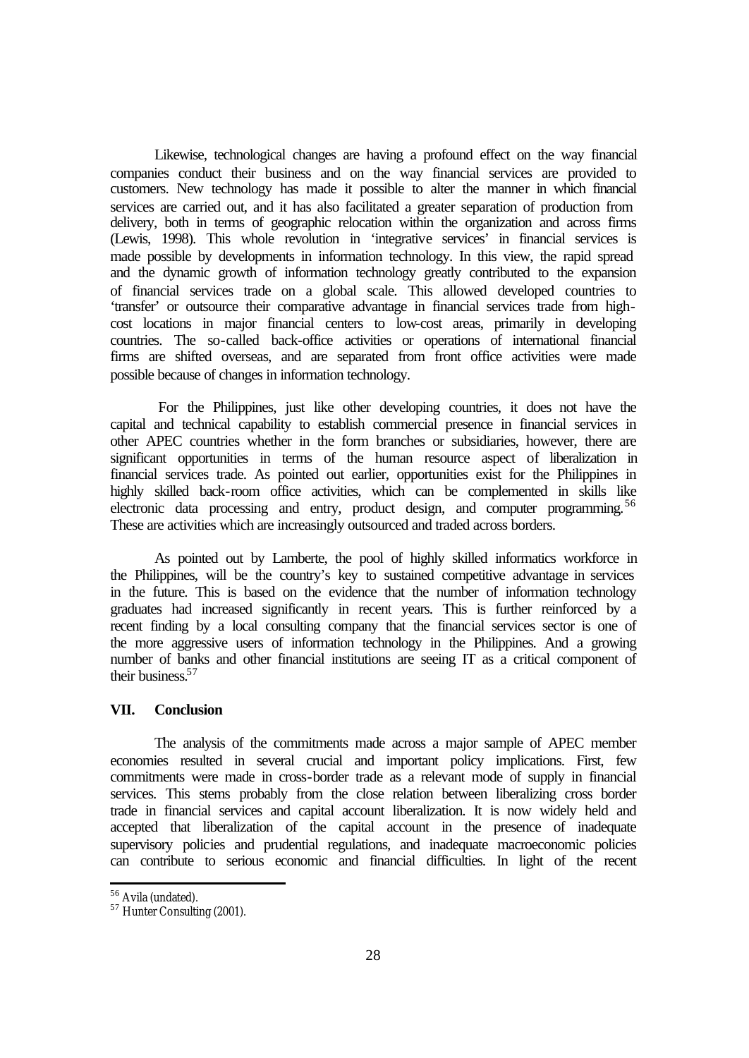Likewise, technological changes are having a profound effect on the way financial companies conduct their business and on the way financial services are provided to customers. New technology has made it possible to alter the manner in which financial services are carried out, and it has also facilitated a greater separation of production from delivery, both in terms of geographic relocation within the organization and across firms (Lewis, 1998). This whole revolution in 'integrative services' in financial services is made possible by developments in information technology. In this view, the rapid spread and the dynamic growth of information technology greatly contributed to the expansion of financial services trade on a global scale. This allowed developed countries to 'transfer' or outsource their comparative advantage in financial services trade from highcost locations in major financial centers to low-cost areas, primarily in developing countries. The so-called back-office activities or operations of international financial firms are shifted overseas, and are separated from front office activities were made possible because of changes in information technology.

 For the Philippines, just like other developing countries, it does not have the capital and technical capability to establish commercial presence in financial services in other APEC countries whether in the form branches or subsidiaries, however, there are significant opportunities in terms of the human resource aspect of liberalization in financial services trade. As pointed out earlier, opportunities exist for the Philippines in highly skilled back-room office activities, which can be complemented in skills like electronic data processing and entry, product design, and computer programming.<sup>56</sup> These are activities which are increasingly outsourced and traded across borders.

As pointed out by Lamberte, the pool of highly skilled informatics workforce in the Philippines, will be the country's key to sustained competitive advantage in services in the future. This is based on the evidence that the number of information technology graduates had increased significantly in recent years. This is further reinforced by a recent finding by a local consulting company that the financial services sector is one of the more aggressive users of information technology in the Philippines. And a growing number of banks and other financial institutions are seeing IT as a critical component of their business.<sup>57</sup>

## **VII. Conclusion**

The analysis of the commitments made across a major sample of APEC member economies resulted in several crucial and important policy implications. First, few commitments were made in cross-border trade as a relevant mode of supply in financial services. This stems probably from the close relation between liberalizing cross border trade in financial services and capital account liberalization. It is now widely held and accepted that liberalization of the capital account in the presence of inadequate supervisory policies and prudential regulations, and inadequate macroeconomic policies can contribute to serious economic and financial difficulties. In light of the recent

<sup>&</sup>lt;sup>56</sup> Avila (undated).

<sup>57</sup> Hunter Consulting (2001).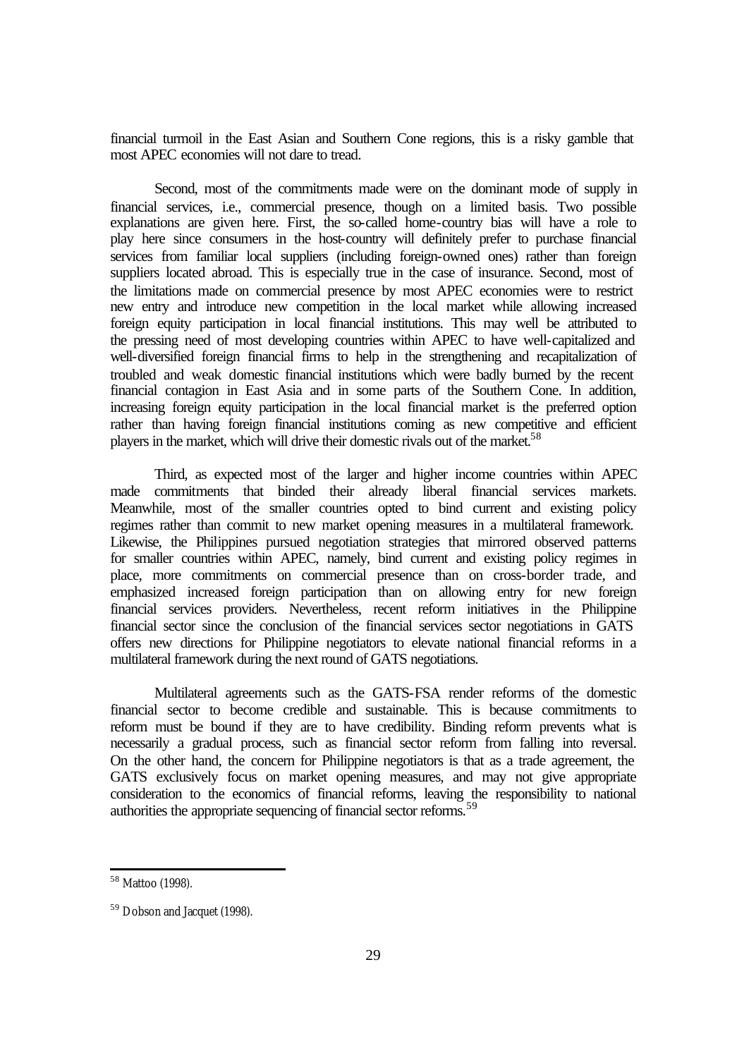financial turmoil in the East Asian and Southern Cone regions, this is a risky gamble that most APEC economies will not dare to tread.

Second, most of the commitments made were on the dominant mode of supply in financial services, i.e., commercial presence, though on a limited basis. Two possible explanations are given here. First, the so-called home-country bias will have a role to play here since consumers in the host-country will definitely prefer to purchase financial services from familiar local suppliers (including foreign-owned ones) rather than foreign suppliers located abroad. This is especially true in the case of insurance. Second, most of the limitations made on commercial presence by most APEC economies were to restrict new entry and introduce new competition in the local market while allowing increased foreign equity participation in local financial institutions. This may well be attributed to the pressing need of most developing countries within APEC to have well-capitalized and well-diversified foreign financial firms to help in the strengthening and recapitalization of troubled and weak domestic financial institutions which were badly burned by the recent financial contagion in East Asia and in some parts of the Southern Cone. In addition, increasing foreign equity participation in the local financial market is the preferred option rather than having foreign financial institutions coming as new competitive and efficient players in the market, which will drive their domestic rivals out of the market.<sup>58</sup>

Third, as expected most of the larger and higher income countries within APEC made commitments that binded their already liberal financial services markets. Meanwhile, most of the smaller countries opted to bind current and existing policy regimes rather than commit to new market opening measures in a multilateral framework. Likewise, the Philippines pursued negotiation strategies that mirrored observed patterns for smaller countries within APEC, namely, bind current and existing policy regimes in place, more commitments on commercial presence than on cross-border trade, and emphasized increased foreign participation than on allowing entry for new foreign financial services providers. Nevertheless, recent reform initiatives in the Philippine financial sector since the conclusion of the financial services sector negotiations in GATS offers new directions for Philippine negotiators to elevate national financial reforms in a multilateral framework during the next round of GATS negotiations.

Multilateral agreements such as the GATS-FSA render reforms of the domestic financial sector to become credible and sustainable. This is because commitments to reform must be bound if they are to have credibility. Binding reform prevents what is necessarily a gradual process, such as financial sector reform from falling into reversal. On the other hand, the concern for Philippine negotiators is that as a trade agreement, the GATS exclusively focus on market opening measures, and may not give appropriate consideration to the economics of financial reforms, leaving the responsibility to national authorities the appropriate sequencing of financial sector reforms.<sup>59</sup>

<sup>58</sup> Mattoo (1998).

<sup>59</sup> Dobson and Jacquet (1998).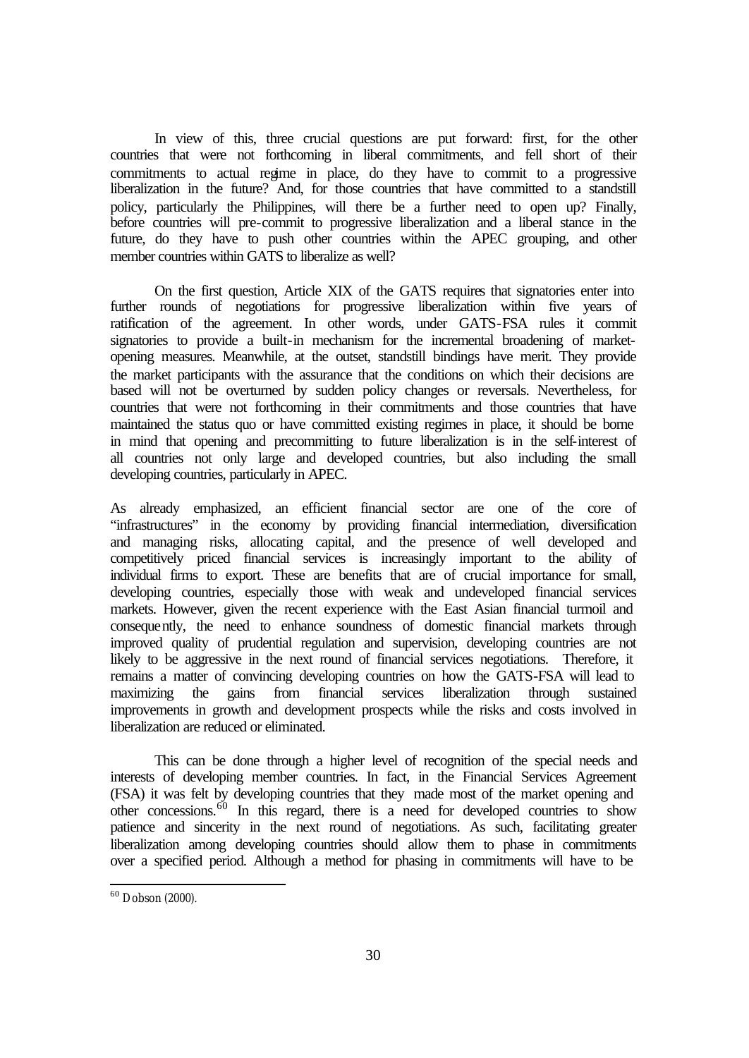In view of this, three crucial questions are put forward: first, for the other countries that were not forthcoming in liberal commitments, and fell short of their commitments to actual regime in place, do they have to commit to a progressive liberalization in the future? And, for those countries that have committed to a standstill policy, particularly the Philippines, will there be a further need to open up? Finally, before countries will pre-commit to progressive liberalization and a liberal stance in the future, do they have to push other countries within the APEC grouping, and other member countries within GATS to liberalize as well?

On the first question, Article XIX of the GATS requires that signatories enter into further rounds of negotiations for progressive liberalization within five years of ratification of the agreement. In other words, under GATS-FSA rules it commit signatories to provide a built-in mechanism for the incremental broadening of marketopening measures. Meanwhile, at the outset, standstill bindings have merit. They provide the market participants with the assurance that the conditions on which their decisions are based will not be overturned by sudden policy changes or reversals. Nevertheless, for countries that were not forthcoming in their commitments and those countries that have maintained the status quo or have committed existing regimes in place, it should be borne in mind that opening and precommitting to future liberalization is in the self-interest of all countries not only large and developed countries, but also including the small developing countries, particularly in APEC.

As already emphasized, an efficient financial sector are one of the core of "infrastructures" in the economy by providing financial intermediation, diversification and managing risks, allocating capital, and the presence of well developed and competitively priced financial services is increasingly important to the ability of individual firms to export. These are benefits that are of crucial importance for small, developing countries, especially those with weak and undeveloped financial services markets. However, given the recent experience with the East Asian financial turmoil and consequently, the need to enhance soundness of domestic financial markets through improved quality of prudential regulation and supervision, developing countries are not likely to be aggressive in the next round of financial services negotiations. Therefore, it remains a matter of convincing developing countries on how the GATS-FSA will lead to maximizing the gains from financial services liberalization through sustained improvements in growth and development prospects while the risks and costs involved in liberalization are reduced or eliminated.

This can be done through a higher level of recognition of the special needs and interests of developing member countries. In fact, in the Financial Services Agreement (FSA) it was felt by developing countries that they made most of the market opening and other concessions. $60$  In this regard, there is a need for developed countries to show patience and sincerity in the next round of negotiations. As such, facilitating greater liberalization among developing countries should allow them to phase in commitments over a specified period. Although a method for phasing in commitments will have to be

l

 $60$  Dobson (2000).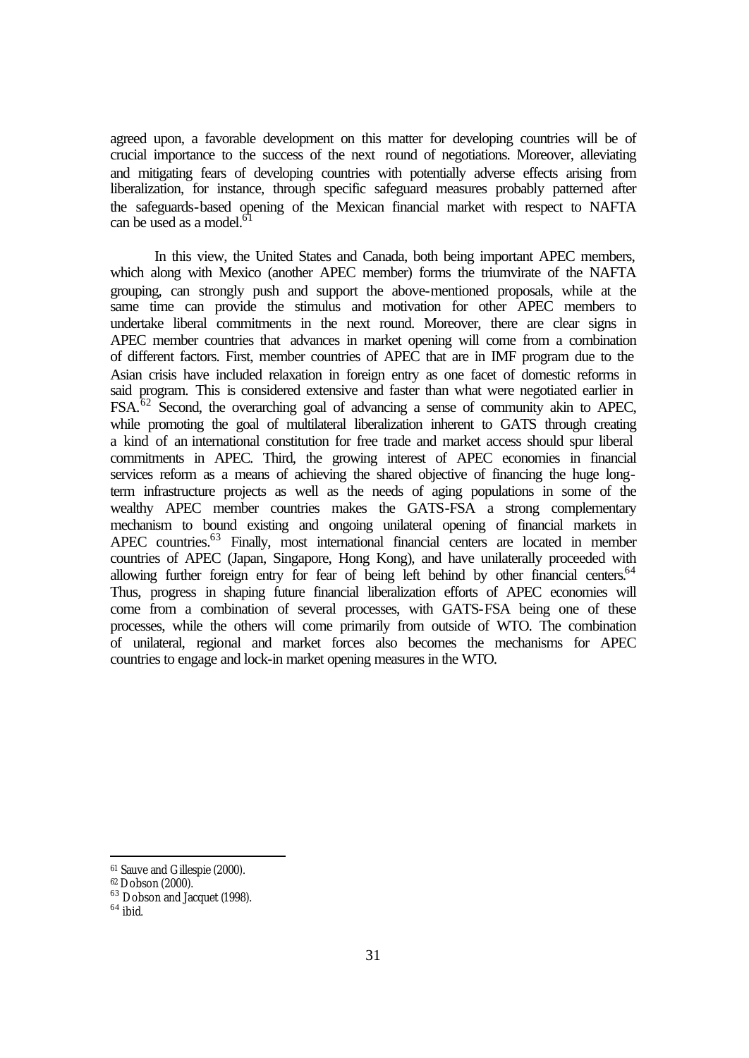agreed upon, a favorable development on this matter for developing countries will be of crucial importance to the success of the next round of negotiations. Moreover, alleviating and mitigating fears of developing countries with potentially adverse effects arising from liberalization, for instance, through specific safeguard measures probably patterned after the safeguards-based opening of the Mexican financial market with respect to NAFTA can be used as a model. $<sup>6</sup>$ </sup>

In this view, the United States and Canada, both being important APEC members, which along with Mexico (another APEC member) forms the triumvirate of the NAFTA grouping, can strongly push and support the above-mentioned proposals, while at the same time can provide the stimulus and motivation for other APEC members to undertake liberal commitments in the next round. Moreover, there are clear signs in APEC member countries that advances in market opening will come from a combination of different factors. First, member countries of APEC that are in IMF program due to the Asian crisis have included relaxation in foreign entry as one facet of domestic reforms in said program. This is considered extensive and faster than what were negotiated earlier in FSA.<sup>62</sup> Second, the overarching goal of advancing a sense of community akin to APEC, while promoting the goal of multilateral liberalization inherent to GATS through creating a kind of an international constitution for free trade and market access should spur liberal commitments in APEC. Third, the growing interest of APEC economies in financial services reform as a means of achieving the shared objective of financing the huge longterm infrastructure projects as well as the needs of aging populations in some of the wealthy APEC member countries makes the GATS-FSA a strong complementary mechanism to bound existing and ongoing unilateral opening of financial markets in APEC countries.<sup>63</sup> Finally, most international financial centers are located in member countries of APEC (Japan, Singapore, Hong Kong), and have unilaterally proceeded with allowing further foreign entry for fear of being left behind by other financial centers.<sup>64</sup> Thus, progress in shaping future financial liberalization efforts of APEC economies will come from a combination of several processes, with GATS-FSA being one of these processes, while the others will come primarily from outside of WTO. The combination of unilateral, regional and market forces also becomes the mechanisms for APEC countries to engage and lock-in market opening measures in the WTO.

l

<sup>61</sup> Sauve and Gillespie (2000).

<sup>62</sup> Dobson (2000).

<sup>63</sup> Dobson and Jacquet (1998).

 $64$  ibid.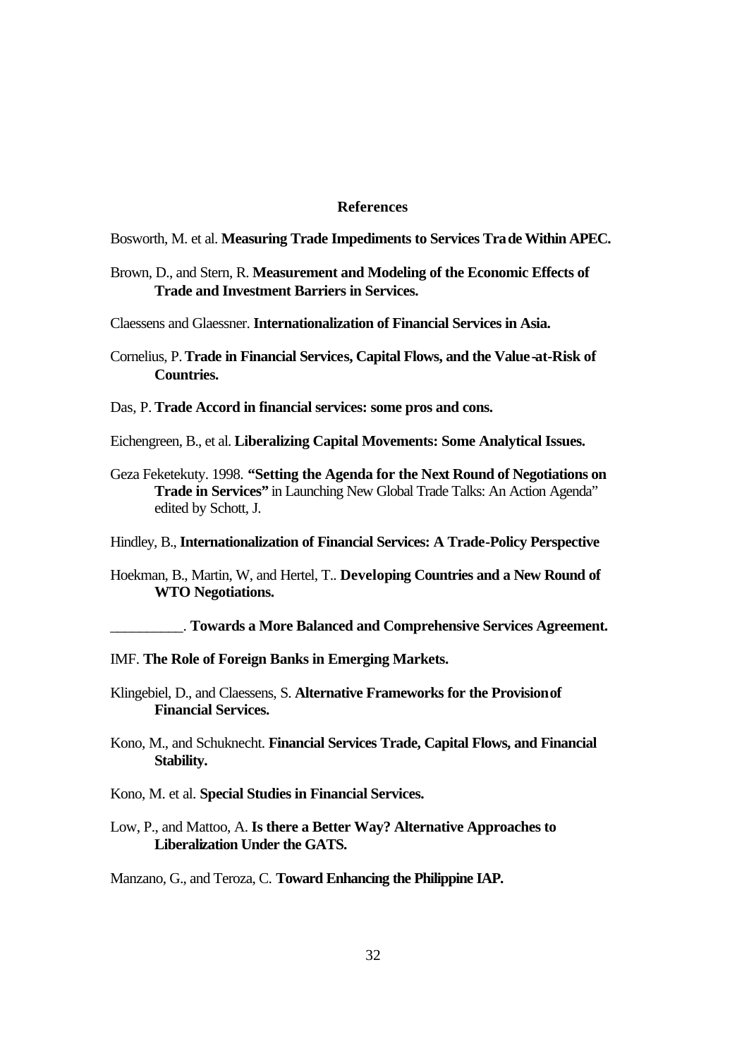#### **References**

Bosworth, M. et al. **Measuring Trade Impediments to Services Trade Within APEC.**

Brown, D., and Stern, R. **Measurement and Modeling of the Economic Effects of Trade and Investment Barriers in Services.**

Claessens and Glaessner. **Internationalization of Financial Services in Asia.**

Cornelius, P. **Trade in Financial Services, Capital Flows, and the Value-at-Risk of Countries.**

Das, P. **Trade Accord in financial services: some pros and cons.**

Eichengreen, B., et al. **Liberalizing Capital Movements: Some Analytical Issues.**

- Geza Feketekuty. 1998. **"Setting the Agenda for the Next Round of Negotiations on Trade in Services"** in Launching New Global Trade Talks: An Action Agenda" edited by Schott, J.
- Hindley, B., **Internationalization of Financial Services: A Trade-Policy Perspective**
- Hoekman, B., Martin, W, and Hertel, T.. **Developing Countries and a New Round of WTO Negotiations.**

\_\_\_\_\_\_\_\_\_\_. **Towards a More Balanced and Comprehensive Services Agreement.**

- IMF. **The Role of Foreign Banks in Emerging Markets.**
- Klingebiel, D., and Claessens, S. **Alternative Frameworks for the Provision of Financial Services.**
- Kono, M., and Schuknecht. **Financial Services Trade, Capital Flows, and Financial Stability.**
- Kono, M. et al. **Special Studies in Financial Services.**
- Low, P., and Mattoo, A. **Is there a Better Way? Alternative Approaches to Liberalization Under the GATS.**

Manzano, G., and Teroza, C. **Toward Enhancing the Philippine IAP.**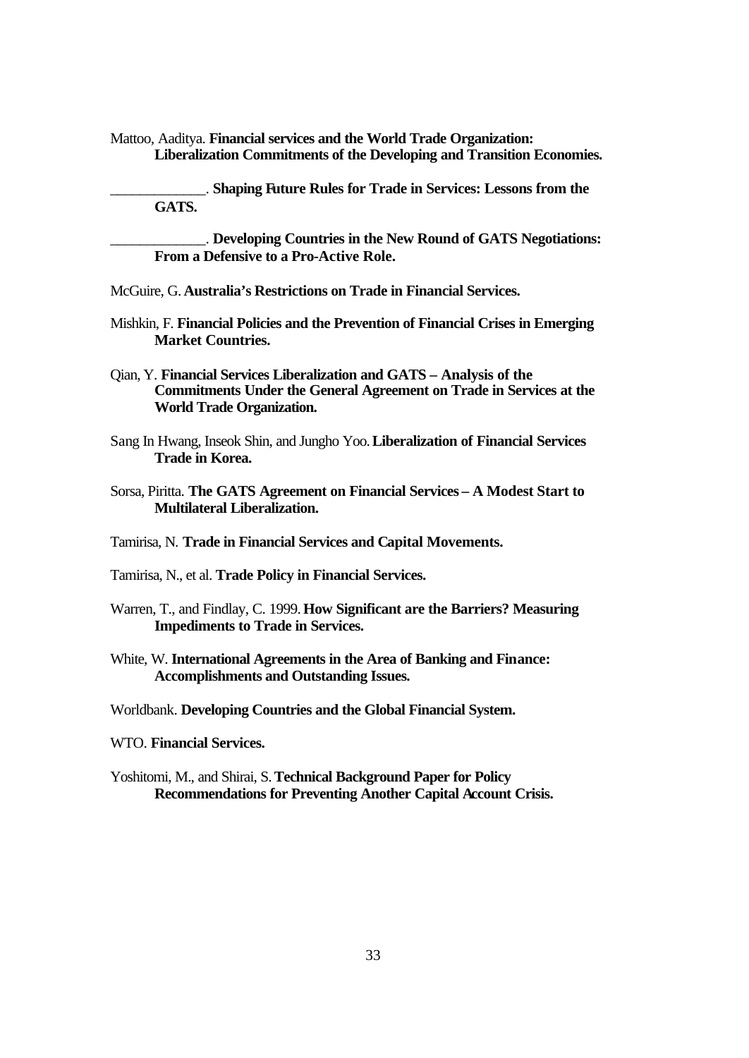Mattoo, Aaditya. **Financial services and the World Trade Organization: Liberalization Commitments of the Developing and Transition Economies.**

\_\_\_\_\_\_\_\_\_\_\_\_\_. **Shaping Future Rules for Trade in Services: Lessons from the GATS.**

\_\_\_\_\_\_\_\_\_\_\_\_\_. **Developing Countries in the New Round of GATS Negotiations: From a Defensive to a Pro-Active Role.**

McGuire, G. **Australia's Restrictions on Trade in Financial Services.**

- Mishkin, F. **Financial Policies and the Prevention of Financial Crises in Emerging Market Countries.**
- Qian, Y. **Financial Services Liberalization and GATS Analysis of the Commitments Under the General Agreement on Trade in Services at the World Trade Organization.**
- Sang In Hwang, Inseok Shin, and Jungho Yoo. **Liberalization of Financial Services Trade in Korea.**
- Sorsa, Piritta. **The GATS Agreement on Financial Services A Modest Start to Multilateral Liberalization.**

Tamirisa, N. **Trade in Financial Services and Capital Movements.**

Tamirisa, N., et al. **Trade Policy in Financial Services.**

- Warren, T., and Findlay, C. 1999. **How Significant are the Barriers? Measuring Impediments to Trade in Services.**
- White, W. **International Agreements in the Area of Banking and Finance: Accomplishments and Outstanding Issues.**

Worldbank. **Developing Countries and the Global Financial System.**

- WTO. **Financial Services.**
- Yoshitomi, M., and Shirai, S. **Technical Background Paper for Policy Recommendations for Preventing Another Capital Account Crisis.**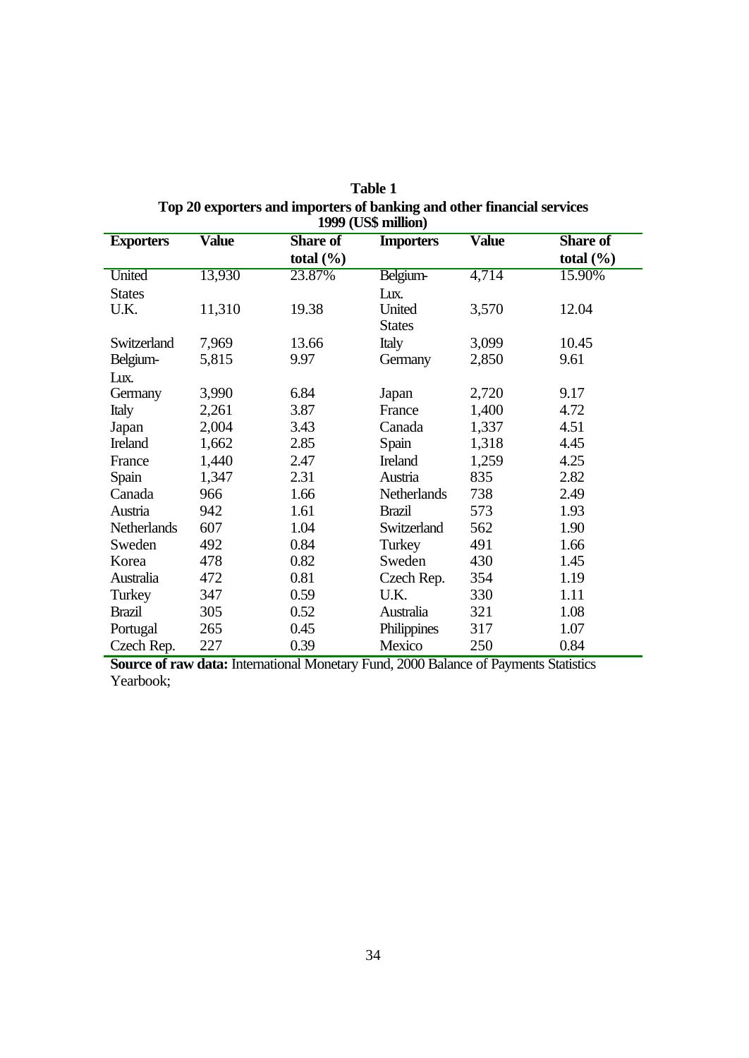| <b>Exporters</b>   | <b>Value</b> | <b>Share of</b><br><b>Importers</b> |                    | <b>Value</b> | <b>Share of</b> |
|--------------------|--------------|-------------------------------------|--------------------|--------------|-----------------|
|                    |              | total $(\% )$                       |                    |              | total $(\% )$   |
| United             | 13,930       | 23.87%                              | <b>Belgium-</b>    | 4,714        | 15.90%          |
| <b>States</b>      |              |                                     | Lux.               |              |                 |
| U.K.               | 11,310       | 19.38                               | United             | 3,570        | 12.04           |
|                    |              |                                     | <b>States</b>      |              |                 |
| Switzerland        | 7,969        | 13.66                               | Italy              | 3,099        | 10.45           |
| Belgium-           | 5,815        | 9.97                                | Germany            | 2,850        | 9.61            |
| Lux.               |              |                                     |                    |              |                 |
| Germany            | 3,990        | 6.84                                | Japan              | 2,720        | 9.17            |
| Italy              | 2,261        | 3.87                                | France             | 1,400        | 4.72            |
| Japan              | 2,004        | 3.43                                | Canada             | 1,337        | 4.51            |
| <b>Ireland</b>     | 1,662        | 2.85                                | Spain              | 1,318        | 4.45            |
| France             | 1,440        | 2.47                                | <b>Ireland</b>     | 1,259        | 4.25            |
| Spain              | 1,347        | 2.31                                | Austria            | 835          | 2.82            |
| Canada             | 966          | 1.66                                | <b>Netherlands</b> | 738          | 2.49            |
| Austria            | 942          | 1.61                                | <b>Brazil</b>      | 573          | 1.93            |
| <b>Netherlands</b> | 607          | 1.04                                | Switzerland        | 562          | 1.90            |
| Sweden             | 492          | 0.84                                | Turkey             | 491          | 1.66            |
| Korea              | 478          | 0.82                                | Sweden             | 430          | 1.45            |
| Australia          | 472          | 0.81                                | Czech Rep.         | 354          | 1.19            |
| Turkey             | 347          | 0.59                                | U.K.               | 330          | 1.11            |
| <b>Brazil</b>      | 305          | 0.52                                | Australia          | 321          | 1.08            |
| Portugal           | 265          | 0.45                                | Philippines        | 317          | 1.07            |
| Czech Rep.         | 227          | 0.39                                | Mexico             | 250          | 0.84            |

**Table 1 Top 20 exporters and importers of banking and other financial services 1999 (US\$ million)**

**Source of raw data:** International Monetary Fund, 2000 Balance of Payments Statistics Yearbook;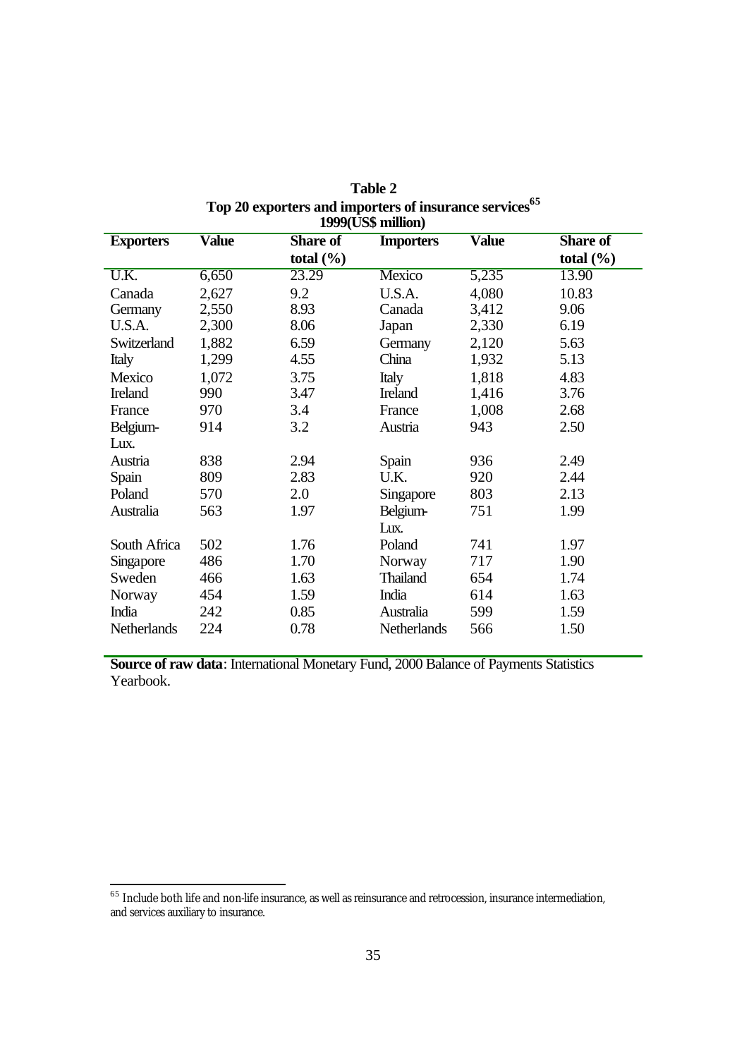|                  |              |                 | $1777$ (VDY $\mu$ muutit) |              |                 |
|------------------|--------------|-----------------|---------------------------|--------------|-----------------|
| <b>Exporters</b> | <b>Value</b> | <b>Share of</b> | <b>Importers</b>          | <b>Value</b> | <b>Share of</b> |
|                  |              | total $(\% )$   |                           |              | total $(\% )$   |
| U.K.             | 6,650        | 23.29           | Mexico                    | 5,235        | 13.90           |
| Canada           | 2,627        | 9.2             | U.S.A.                    | 4,080        | 10.83           |
| Germany          | 2,550        | 8.93            | Canada                    | 3,412        | 9.06            |
| U.S.A.           | 2,300        | 8.06            | Japan                     | 2,330        | 6.19            |
| Switzerland      | 1,882        | 6.59            | Germany                   | 2,120        | 5.63            |
| <b>Italy</b>     | 1,299        | 4.55            | China                     | 1,932        | 5.13            |
| Mexico           | 1,072        | 3.75            | Italy                     | 1,818        | 4.83            |
| <b>Ireland</b>   | 990          | 3.47            | <b>Ireland</b>            | 1,416        | 3.76            |
| France           | 970          | 3.4             | France                    | 1,008        | 2.68            |
| Belgium-         | 914          | 3.2             | Austria                   | 943          | 2.50            |
| Lux.             |              |                 |                           |              |                 |
| Austria          | 838          | 2.94            | Spain                     | 936          | 2.49            |
| Spain            | 809          | 2.83            | U.K.                      | 920          | 2.44            |
| Poland           | 570          | 2.0             | Singapore                 | 803          | 2.13            |
| Australia        | 563          | 1.97            | <b>Belgium-</b>           | 751          | 1.99            |
|                  |              |                 | Lux.                      |              |                 |
| South Africa     | 502          | 1.76            | Poland                    | 741          | 1.97            |
| Singapore        | 486          | 1.70            | Norway                    | 717          | 1.90            |
| Sweden           | 466          | 1.63            | <b>Thailand</b>           | 654          | 1.74            |
| Norway           | 454          | 1.59            | India                     | 614          | 1.63            |
| India            | 242          | 0.85            | Australia                 | 599          | 1.59            |
| Netherlands      | 224          | 0.78            | <b>Netherlands</b>        | 566          | 1.50            |
|                  |              |                 |                           |              |                 |

| Table 2                                                      |
|--------------------------------------------------------------|
| Top 20 exporters and importers of insurance services $^{65}$ |
| 1999(US\$ million)                                           |

**Source of raw data**: International Monetary Fund, 2000 Balance of Payments Statistics Yearbook.

l

 $65$  Include both life and non-life insurance, as well as reinsurance and retrocession, insurance intermediation, and services auxiliary to insurance.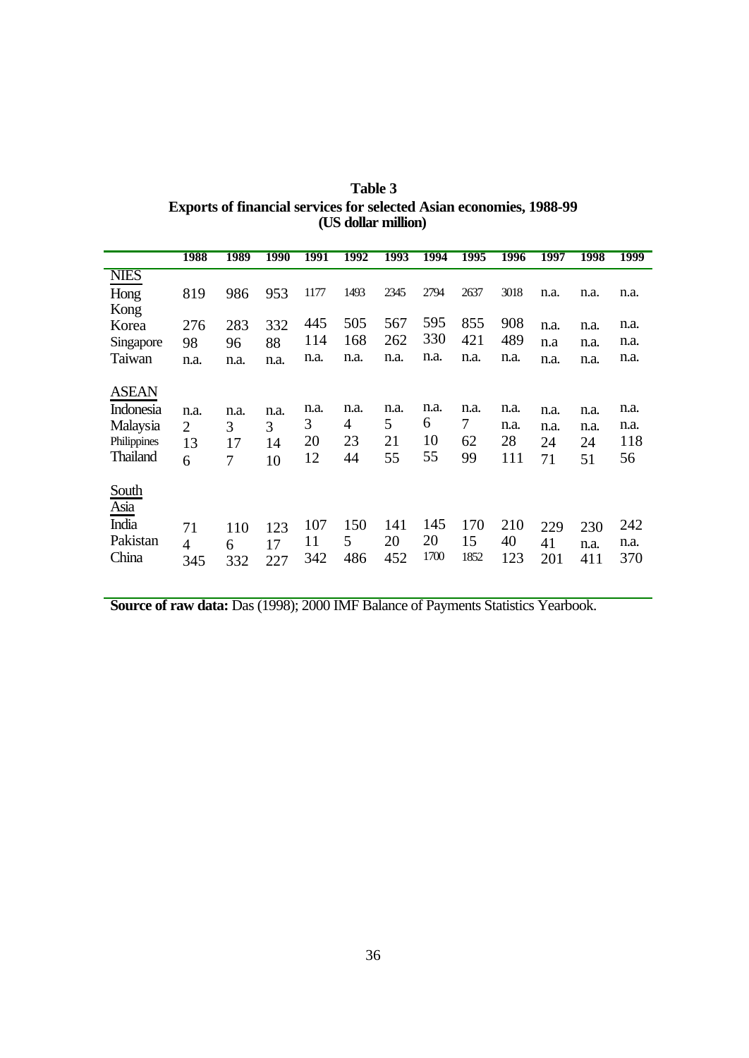|                                                                                | 1988                 | 1989                 | 1990                  | 1991                  | 1992                  | 1993                  | 1994                  | 1995                       | 1996                      | 1997                     | 1998                     | 1999                      |
|--------------------------------------------------------------------------------|----------------------|----------------------|-----------------------|-----------------------|-----------------------|-----------------------|-----------------------|----------------------------|---------------------------|--------------------------|--------------------------|---------------------------|
| <b>NIES</b>                                                                    |                      |                      |                       |                       |                       |                       |                       |                            |                           |                          |                          |                           |
| Hong                                                                           | 819                  | 986                  | 953                   | 1177                  | 1493                  | 2345                  | 2794                  | 2637                       | 3018                      | n.a.                     | n.a.                     | n.a.                      |
| Kong                                                                           |                      |                      |                       |                       |                       |                       |                       |                            |                           |                          |                          |                           |
| Korea                                                                          | 276                  | 283                  | 332                   | 445                   | 505                   | 567                   | 595                   | 855                        | 908                       | n.a.                     | n.a.                     | n.a.                      |
| Singapore                                                                      | 98                   | 96                   | 88                    | 114                   | 168                   | 262                   | 330                   | 421                        | 489                       | n.a                      | n.a.                     | n.a.                      |
| Taiwan                                                                         | n.a.                 | n.a.                 | n.a.                  | n.a.                  | n.a.                  | n.a.                  | n.a.                  | n.a.                       | n.a.                      | n.a.                     | n.a.                     | n.a.                      |
| <b>ASEAN</b><br><b>Indonesia</b><br>Malaysia<br>Philippines<br><b>Thailand</b> | n.a.<br>2<br>13<br>6 | n.a.<br>3<br>17<br>7 | n.a.<br>3<br>14<br>10 | n.a.<br>3<br>20<br>12 | n.a.<br>4<br>23<br>44 | n.a.<br>5<br>21<br>55 | n.a.<br>6<br>10<br>55 | n.a.<br>$\tau$<br>62<br>99 | n.a.<br>n.a.<br>28<br>111 | n.a.<br>n.a.<br>24<br>71 | n.a.<br>n.a.<br>24<br>51 | n.a.<br>n.a.<br>118<br>56 |
| South<br>Asia<br>India<br>Pakistan<br>China                                    | 71<br>4<br>345       | 110<br>6<br>332      | 123<br>17<br>227      | 107<br>11<br>342      | 150<br>5<br>486       | 141<br>20<br>452      | 145<br>20<br>1700     | 170<br>15<br>1852          | 210<br>40<br>123          | 229<br>41<br>201         | 230<br>n.a.<br>411       | 242<br>n.a.<br>370        |

| Table 3                                                                    |
|----------------------------------------------------------------------------|
| <b>Exports of financial services for selected Asian economies, 1988-99</b> |
| (US dollar million)                                                        |
|                                                                            |

**Source of raw data:** Das (1998); 2000 IMF Balance of Payments Statistics Yearbook.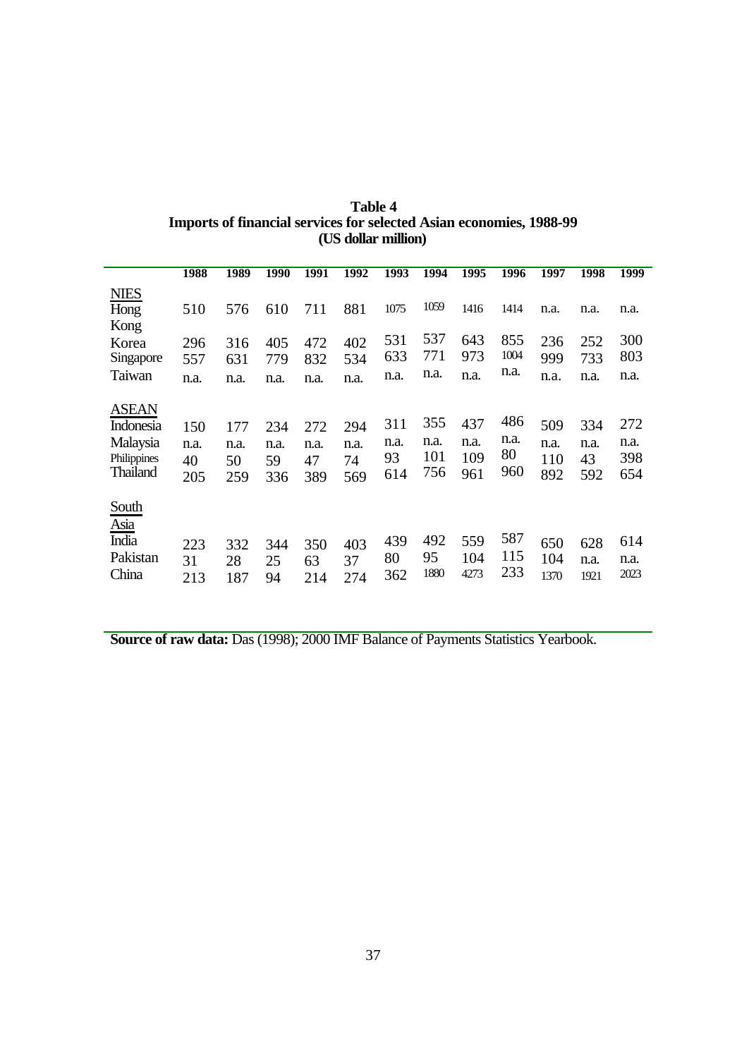| Table 4                                                                    |
|----------------------------------------------------------------------------|
| <b>Imports of financial services for selected Asian economies, 1988-99</b> |
| (US dollar million)                                                        |
|                                                                            |

|                                                                         | 1988                     | 1989                     | 1990                     | 1991                     | 1992                     | 1993                     | 1994                      | 1995                      | 1996                     | 1997                      | 1998                     | <b>1999</b>               |
|-------------------------------------------------------------------------|--------------------------|--------------------------|--------------------------|--------------------------|--------------------------|--------------------------|---------------------------|---------------------------|--------------------------|---------------------------|--------------------------|---------------------------|
| <b>NIES</b><br>Hong<br>Kong                                             | 510                      | 576                      | 610                      | 711                      | 881                      | 1075                     | 1059                      | 1416                      | 1414                     | n.a.                      | n.a.                     | n.a.                      |
| Korea<br>Singapore<br>Taiwan                                            | 296<br>557<br>n.a.       | 316<br>631<br>n.a.       | 405<br>779<br>n.a.       | 472<br>832<br>n.a.       | 402<br>534<br>n.a.       | 531<br>633<br>n.a.       | 537<br>771<br>n.a.        | 643<br>973<br>n.a.        | 855<br>1004<br>n.a.      | 236<br>999<br>n.a.        | 252<br>733<br>n.a.       | 300<br>803<br>n.a.        |
| <b>ASEAN</b><br>Indonesia<br>Malaysia<br>Philippines<br><b>Thailand</b> | 150<br>n.a.<br>40<br>205 | 177<br>n.a.<br>50<br>259 | 234<br>n.a.<br>59<br>336 | 272<br>n.a.<br>47<br>389 | 294<br>n.a.<br>74<br>569 | 311<br>n.a.<br>93<br>614 | 355<br>n.a.<br>101<br>756 | 437<br>n.a.<br>109<br>961 | 486<br>n.a.<br>80<br>960 | 509<br>n.a.<br>110<br>892 | 334<br>n.a.<br>43<br>592 | 272<br>n.a.<br>398<br>654 |
| South<br>Asia<br>India<br>Pakistan<br>China                             | 223<br>31<br>213         | 332<br>28<br>187         | 344<br>25<br>94          | 350<br>63<br>214         | 403<br>37<br>274         | 439<br>80<br>362         | 492<br>95<br>1880         | 559<br>104<br>4273        | 587<br>115<br>233        | 650<br>104<br>1370        | 628<br>n.a.<br>1921      | 614<br>n.a.<br>2023       |

**Source of raw data:** Das (1998); 2000 IMF Balance of Payments Statistics Yearbook.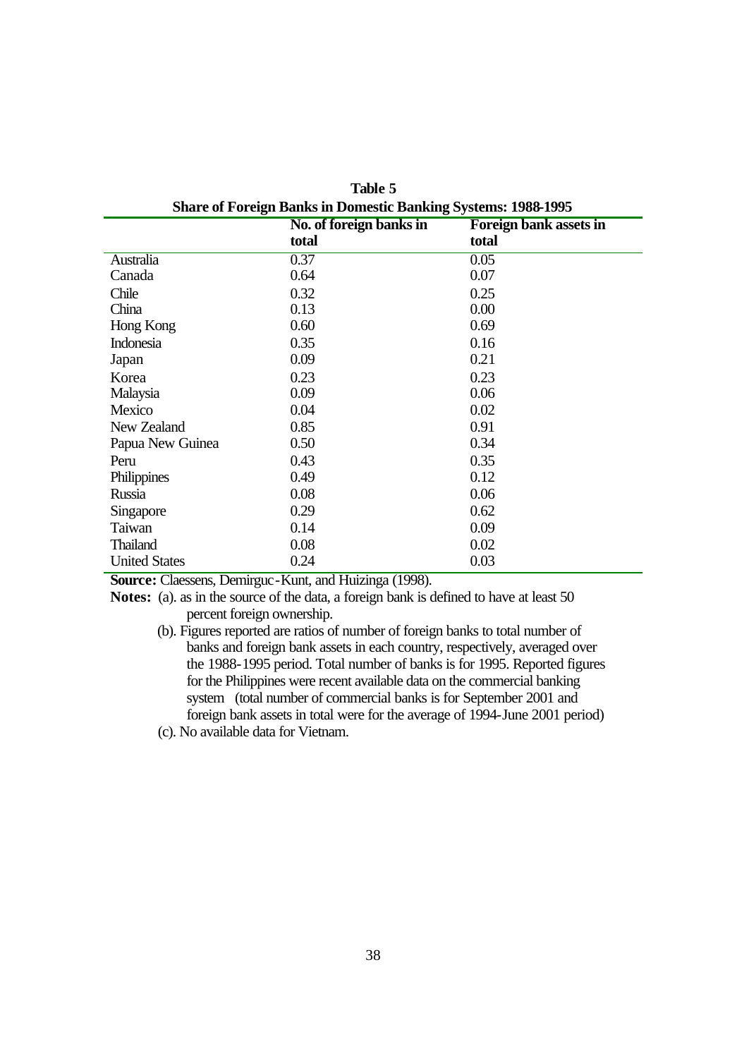| <b>Share of Foreign Banks in Domestic Banking Systems: 1988-1995</b> |                         |                               |  |  |  |  |
|----------------------------------------------------------------------|-------------------------|-------------------------------|--|--|--|--|
|                                                                      | No. of foreign banks in | <b>Foreign bank assets in</b> |  |  |  |  |
|                                                                      | total                   | total                         |  |  |  |  |
| Australia                                                            | 0.37                    | 0.05                          |  |  |  |  |
| Canada                                                               | 0.64                    | 0.07                          |  |  |  |  |
| Chile                                                                | 0.32                    | 0.25                          |  |  |  |  |
| China                                                                | 0.13                    | 0.00                          |  |  |  |  |
| Hong Kong                                                            | 0.60                    | 0.69                          |  |  |  |  |
| <b>Indonesia</b>                                                     | 0.35                    | 0.16                          |  |  |  |  |
| Japan                                                                | 0.09                    | 0.21                          |  |  |  |  |
| Korea                                                                | 0.23                    | 0.23                          |  |  |  |  |
| Malaysia                                                             | 0.09                    | 0.06                          |  |  |  |  |
| Mexico                                                               | 0.04                    | 0.02                          |  |  |  |  |
| New Zealand                                                          | 0.85                    | 0.91                          |  |  |  |  |
| Papua New Guinea                                                     | 0.50                    | 0.34                          |  |  |  |  |
| Peru                                                                 | 0.43                    | 0.35                          |  |  |  |  |
| Philippines                                                          | 0.49                    | 0.12                          |  |  |  |  |
| Russia                                                               | 0.08                    | 0.06                          |  |  |  |  |
| Singapore                                                            | 0.29                    | 0.62                          |  |  |  |  |
| Taiwan                                                               | 0.14                    | 0.09                          |  |  |  |  |
| <b>Thailand</b>                                                      | 0.08                    | 0.02                          |  |  |  |  |
| <b>United States</b>                                                 | 0.24                    | 0.03                          |  |  |  |  |

| Table 5                                                       |  |
|---------------------------------------------------------------|--|
| Share of Foreign Banks in Domestic Banking Systems: 1988-1995 |  |

**Source:** Claessens, Demirguc-Kunt, and Huizinga (1998).

**Notes:** (a). as in the source of the data, a foreign bank is defined to have at least 50 percent foreign ownership.

- (b). Figures reported are ratios of number of foreign banks to total number of banks and foreign bank assets in each country, respectively, averaged over the 1988-1995 period. Total number of banks is for 1995. Reported figures for the Philippines were recent available data on the commercial banking system (total number of commercial banks is for September 2001 and foreign bank assets in total were for the average of 1994-June 2001 period)
- (c). No available data for Vietnam.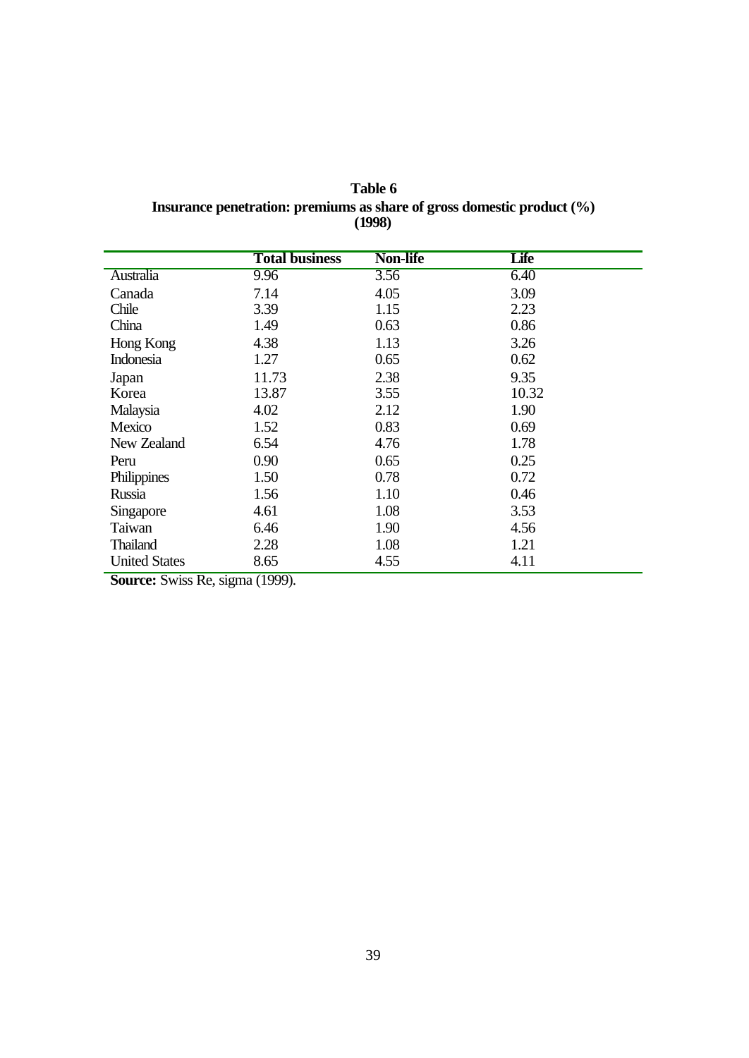| Table 6                                                                   |
|---------------------------------------------------------------------------|
| Insurance penetration: premiums as share of gross domestic product $(\%)$ |
| (1998)                                                                    |

|                      | <b>Total business</b> | <b>Non-life</b> | <b>Life</b> |
|----------------------|-----------------------|-----------------|-------------|
| Australia            | 9.96                  | 3.56            | 6.40        |
| Canada               | 7.14                  | 4.05            | 3.09        |
| Chile                | 3.39                  | 1.15            | 2.23        |
| China                | 1.49                  | 0.63            | 0.86        |
| Hong Kong            | 4.38                  | 1.13            | 3.26        |
| <b>Indonesia</b>     | 1.27                  | 0.65            | 0.62        |
| Japan                | 11.73                 | 2.38            | 9.35        |
| Korea                | 13.87                 | 3.55            | 10.32       |
| Malaysia             | 4.02                  | 2.12            | 1.90        |
| Mexico               | 1.52                  | 0.83            | 0.69        |
| New Zealand          | 6.54                  | 4.76            | 1.78        |
| Peru                 | 0.90                  | 0.65            | 0.25        |
| Philippines          | 1.50                  | 0.78            | 0.72        |
| Russia               | 1.56                  | 1.10            | 0.46        |
| Singapore            | 4.61                  | 1.08            | 3.53        |
| Taiwan               | 6.46                  | 1.90            | 4.56        |
| <b>Thailand</b>      | 2.28                  | 1.08            | 1.21        |
| <b>United States</b> | 8.65                  | 4.55            | 4.11        |

**Source:** Swiss Re, sigma (1999).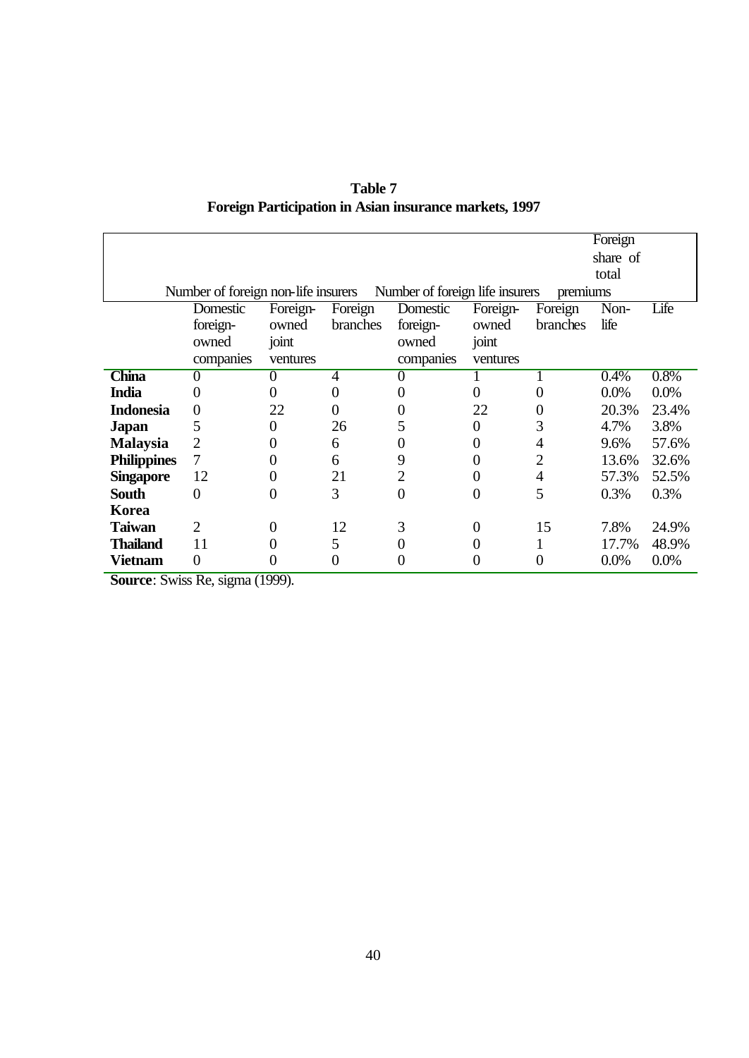| <b>Table 7</b>                                         |
|--------------------------------------------------------|
| Foreign Participation in Asian insurance markets, 1997 |

|                    |                                     |          |                |                                 |                |                | Foreign  |       |
|--------------------|-------------------------------------|----------|----------------|---------------------------------|----------------|----------------|----------|-------|
|                    |                                     |          |                |                                 |                |                | share of |       |
|                    |                                     |          |                |                                 |                |                | total    |       |
|                    | Number of foreign non-life insurers |          |                | Number of foreign life insurers |                | premiums       |          |       |
|                    | Domestic                            | Foreign- | Foreign        | Domestic                        | Foreign-       | Foreign        | Non-     | Life  |
|                    | foreign-                            | owned    | branches       | foreign-                        | owned          | branches       | life     |       |
|                    | owned                               | joint    |                | owned                           | joint          |                |          |       |
|                    | companies                           | ventures |                | companies                       | ventures       |                |          |       |
| <b>China</b>       | 0                                   | 0        | $\overline{4}$ | 0                               |                |                | 0.4%     | 0.8%  |
| <b>India</b>       | 0                                   | 0        | $\Omega$       | 0                               | $\Omega$       | 0              | 0.0%     | 0.0%  |
| <b>Indonesia</b>   | 0                                   | 22       | $\Omega$       | O                               | 22             | 0              | 20.3%    | 23.4% |
| <b>Japan</b>       | 5                                   | 0        | 26             | 5                               | $\overline{0}$ | 3              | 4.7%     | 3.8%  |
| <b>Malaysia</b>    | $\overline{2}$                      | 0        | 6              | 0                               | 0              | 4              | 9.6%     | 57.6% |
| <b>Philippines</b> |                                     |          | 6              | 9                               | 0              | $\overline{2}$ | 13.6%    | 32.6% |
| <b>Singapore</b>   | 12                                  | 0        | 21             | $\overline{2}$                  | 0              | 4              | 57.3%    | 52.5% |
| <b>South</b>       | $\overline{0}$                      | 0        | 3              | 0                               | $\overline{0}$ | 5              | 0.3%     | 0.3%  |
| Korea              |                                     |          |                |                                 |                |                |          |       |
| <b>Taiwan</b>      | $\overline{2}$                      | 0        | 12             | 3                               | $\overline{0}$ | 15             | 7.8%     | 24.9% |
| <b>Thailand</b>    | 11                                  |          | 5              | 0                               | 0              |                | 17.7%    | 48.9% |
| Vietnam            | 0                                   |          | 0              | 0                               | 0              | 0              | 0.0%     | 0.0%  |

**Source**: Swiss Re, sigma (1999).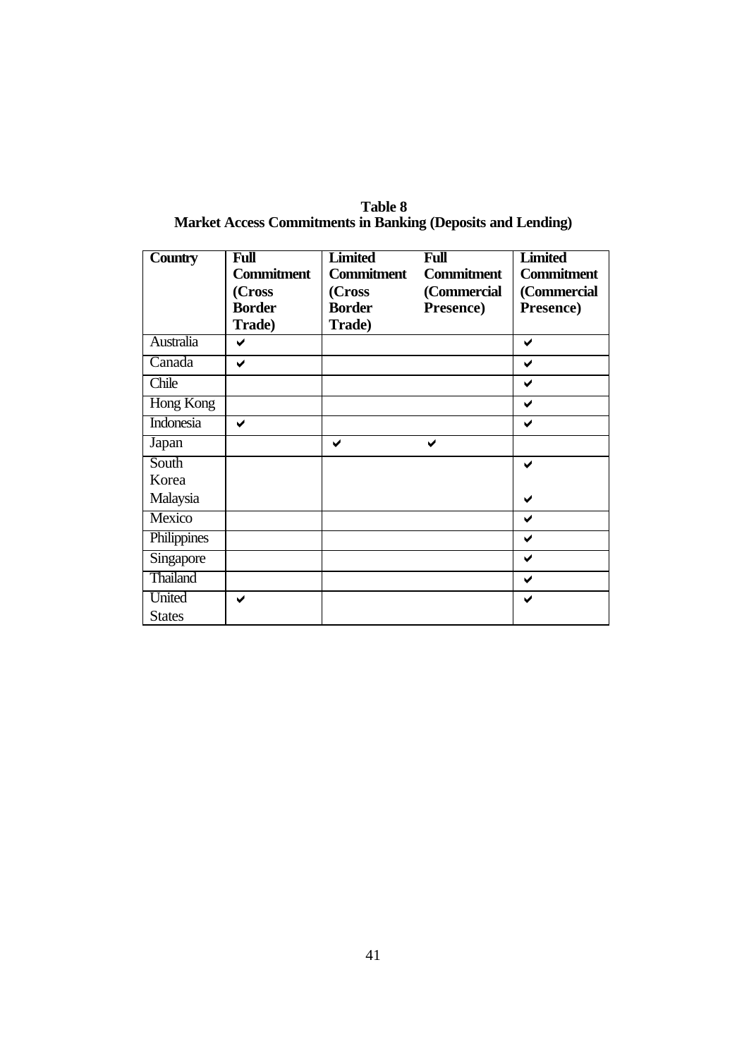| <b>Country</b>   | Full              | Limited           | Full              | <b>Limited</b>    |
|------------------|-------------------|-------------------|-------------------|-------------------|
|                  | <b>Commitment</b> | <b>Commitment</b> | <b>Commitment</b> | <b>Commitment</b> |
|                  | (Cross            | (Cross            | (Commercial       | (Commercial       |
|                  | <b>Border</b>     | <b>Border</b>     | Presence)         | Presence)         |
|                  | <b>Trade</b> )    | Trade)            |                   |                   |
| <b>Australia</b> | ✔                 |                   |                   | ✔                 |
| Canada           | ✔                 |                   |                   | ✔                 |
| Chile            |                   |                   |                   | ✔                 |
| <b>Hong Kong</b> |                   |                   |                   | ✔                 |
| <b>Indonesia</b> | ✔                 |                   |                   | ✔                 |
| Japan            |                   | ✔                 | ✔                 |                   |
| South            |                   |                   |                   | ✔                 |
| Korea            |                   |                   |                   |                   |
| Malaysia         |                   |                   |                   | ✔                 |
| Mexico           |                   |                   |                   | ✔                 |
| Philippines      |                   |                   |                   | ✔                 |
| Singapore        |                   |                   |                   | ✔                 |
| <b>Thailand</b>  |                   |                   |                   | ✔                 |
| United           | ✔                 |                   |                   | ✔                 |
| <b>States</b>    |                   |                   |                   |                   |

**Table 8 Market Access Commitments in Banking (Deposits and Lending)**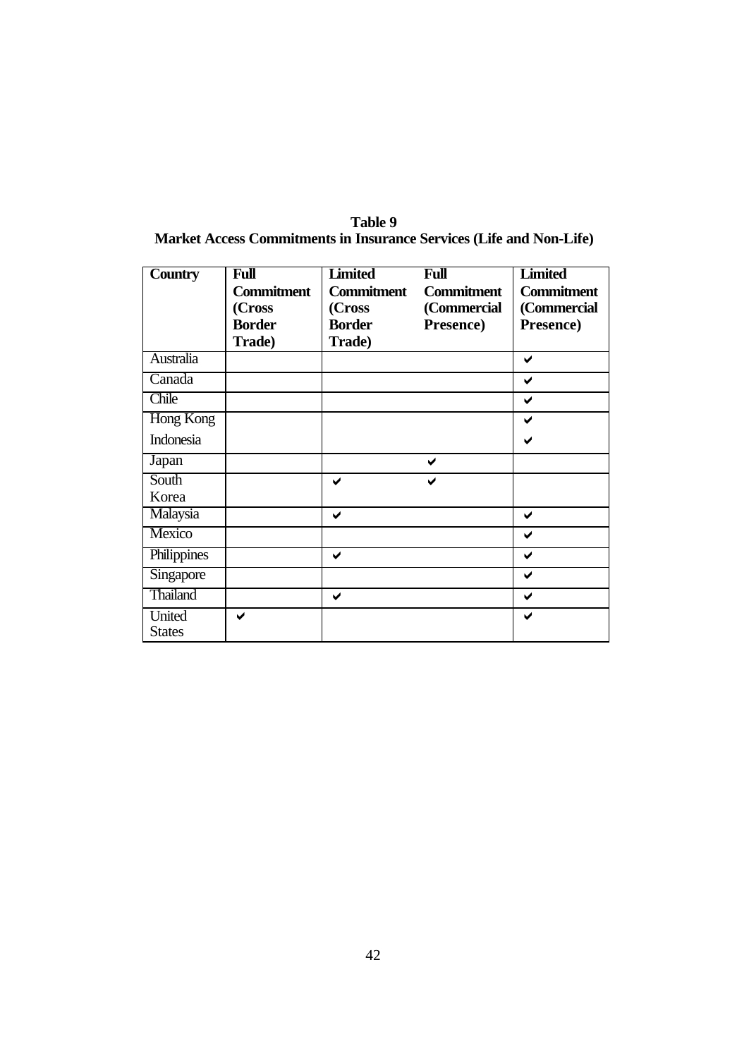| <b>Country</b>   | FulI              | <b>Limited</b>    | $\overline{\mathrm{Full}}$ | <b>Limited</b>    |
|------------------|-------------------|-------------------|----------------------------|-------------------|
|                  | <b>Commitment</b> | <b>Commitment</b> | <b>Commitment</b>          | <b>Commitment</b> |
|                  | (Cross            | (Cross            | (Commercial                | (Commercial       |
|                  | <b>Border</b>     | <b>Border</b>     | Presence)                  | Presence)         |
|                  | Trade)            | Trade)            |                            |                   |
| <b>Australia</b> |                   |                   |                            | ✔                 |
| Canada           |                   |                   |                            | ✔                 |
| Chile            |                   |                   |                            | ✔                 |
| Hong Kong        |                   |                   |                            |                   |
| Indonesia        |                   |                   |                            |                   |
| Japan            |                   |                   | ✔                          |                   |
| South            |                   | ✔                 | ✔                          |                   |
| Korea            |                   |                   |                            |                   |
| Malaysia         |                   | ✔                 |                            | ✔                 |
| Mexico           |                   |                   |                            | ✔                 |
| Philippines      |                   | ✔                 |                            | ✔                 |
| Singapore        |                   |                   |                            | ✔                 |
| <b>Thailand</b>  |                   | ✔                 |                            | ✔                 |
| United           | ✔                 |                   |                            | ✔                 |
| <b>States</b>    |                   |                   |                            |                   |

**Table 9 Market Access Commitments in Insurance Services (Life and Non-Life)**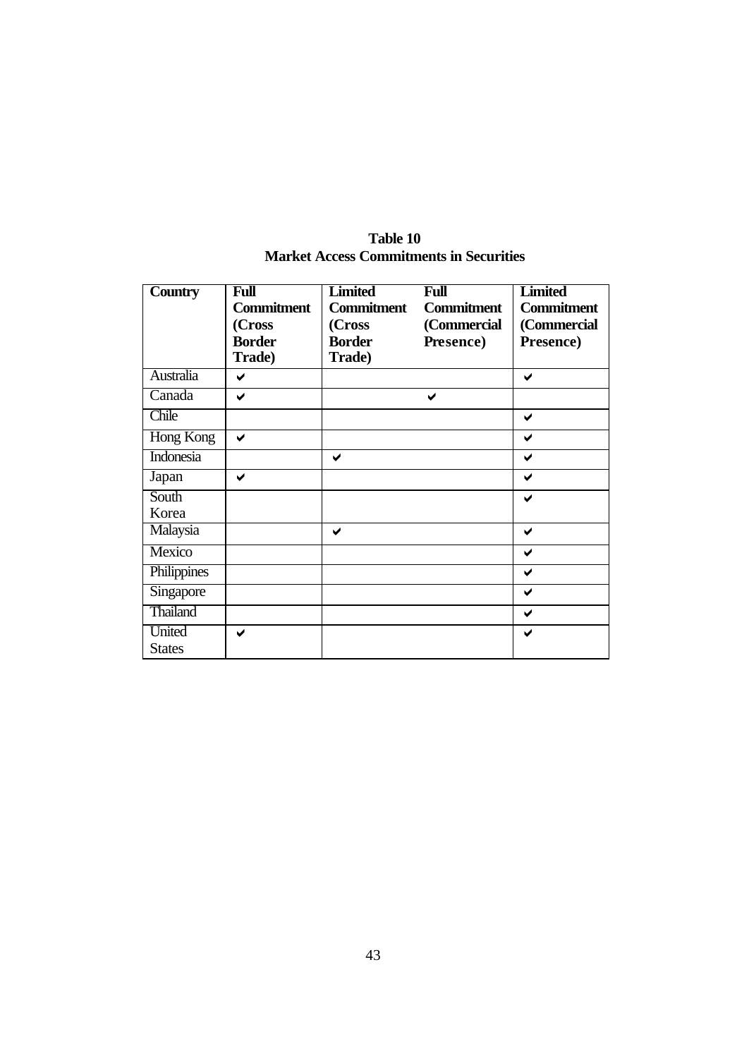| <b>Country</b>     | Full              | <b>Limited</b>    | Full              | <b>Limited</b>    |
|--------------------|-------------------|-------------------|-------------------|-------------------|
|                    | <b>Commitment</b> | <b>Commitment</b> | <b>Commitment</b> | <b>Commitment</b> |
|                    | (Cross            | (Cross)           | (Commercial       | (Commercial       |
|                    | <b>Border</b>     | <b>Border</b>     | Presence)         | Presence)         |
|                    | Trade)            | Trade)            |                   |                   |
| <b>Australia</b>   | ✔                 |                   |                   | ✔                 |
| Canada             | ✔                 |                   | ✔                 |                   |
| Chile              |                   |                   |                   | ✔                 |
| <b>Hong Kong</b>   | ✔                 |                   |                   | ✔                 |
| <b>Indonesia</b>   |                   | ✔                 |                   | ✔                 |
| Japan              | ✔                 |                   |                   | ✔                 |
| South              |                   |                   |                   | ✔                 |
| Korea              |                   |                   |                   |                   |
| Malaysia           |                   | ✔                 |                   | ✔                 |
| Mexico             |                   |                   |                   | ✔                 |
| <b>Philippines</b> |                   |                   |                   | ✔                 |
| Singapore          |                   |                   |                   | ✔                 |
| <b>Thailand</b>    |                   |                   |                   | ✔                 |
| United             | ✔                 |                   |                   | ✔                 |
| <b>States</b>      |                   |                   |                   |                   |

**Table 10 Market Access Commitments in Securities**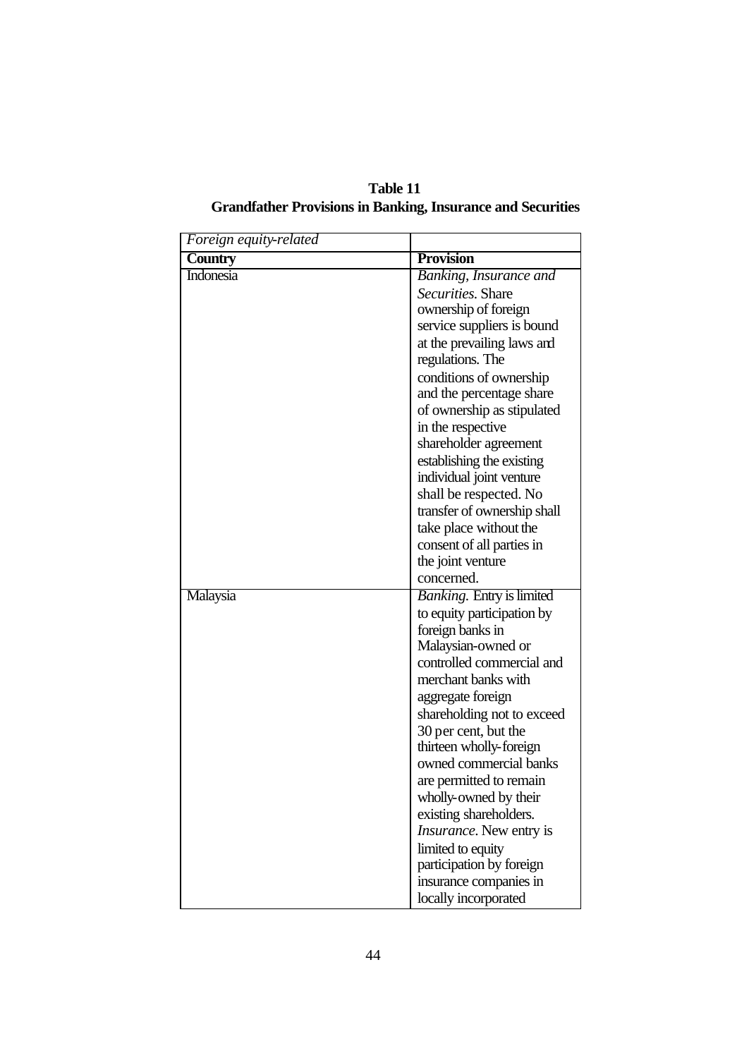**Table 11 Grandfather Provisions in Banking, Insurance and Securities**

| <b>Country</b><br><b>Provision</b><br>Banking, Insurance and<br><b>Indonesia</b><br>Securities. Share<br>ownership of foreign<br>service suppliers is bound<br>at the prevailing laws and<br>regulations. The<br>conditions of ownership<br>and the percentage share<br>of ownership as stipulated<br>in the respective<br>shareholder agreement<br>establishing the existing<br>individual joint venture<br>shall be respected. No<br>transfer of ownership shall<br>take place without the<br>consent of all parties in<br>the joint venture<br>concerned.<br><b>Banking.</b> Entry is limited<br>Malaysia<br>to equity participation by<br>foreign banks in<br>Malaysian-owned or<br>controlled commercial and<br>merchant banks with<br>aggregate foreign<br>shareholding not to exceed<br>30 per cent, but the<br>thirteen wholly-foreign<br>owned commercial banks<br>are permitted to remain<br>wholly-owned by their<br>existing shareholders.<br>Insurance. New entry is<br>limited to equity<br>participation by foreign<br>insurance companies in<br>locally incorporated | Foreign equity-related |  |
|--------------------------------------------------------------------------------------------------------------------------------------------------------------------------------------------------------------------------------------------------------------------------------------------------------------------------------------------------------------------------------------------------------------------------------------------------------------------------------------------------------------------------------------------------------------------------------------------------------------------------------------------------------------------------------------------------------------------------------------------------------------------------------------------------------------------------------------------------------------------------------------------------------------------------------------------------------------------------------------------------------------------------------------------------------------------------------------|------------------------|--|
|                                                                                                                                                                                                                                                                                                                                                                                                                                                                                                                                                                                                                                                                                                                                                                                                                                                                                                                                                                                                                                                                                      |                        |  |
|                                                                                                                                                                                                                                                                                                                                                                                                                                                                                                                                                                                                                                                                                                                                                                                                                                                                                                                                                                                                                                                                                      |                        |  |
|                                                                                                                                                                                                                                                                                                                                                                                                                                                                                                                                                                                                                                                                                                                                                                                                                                                                                                                                                                                                                                                                                      |                        |  |
|                                                                                                                                                                                                                                                                                                                                                                                                                                                                                                                                                                                                                                                                                                                                                                                                                                                                                                                                                                                                                                                                                      |                        |  |
|                                                                                                                                                                                                                                                                                                                                                                                                                                                                                                                                                                                                                                                                                                                                                                                                                                                                                                                                                                                                                                                                                      |                        |  |
|                                                                                                                                                                                                                                                                                                                                                                                                                                                                                                                                                                                                                                                                                                                                                                                                                                                                                                                                                                                                                                                                                      |                        |  |
|                                                                                                                                                                                                                                                                                                                                                                                                                                                                                                                                                                                                                                                                                                                                                                                                                                                                                                                                                                                                                                                                                      |                        |  |
|                                                                                                                                                                                                                                                                                                                                                                                                                                                                                                                                                                                                                                                                                                                                                                                                                                                                                                                                                                                                                                                                                      |                        |  |
|                                                                                                                                                                                                                                                                                                                                                                                                                                                                                                                                                                                                                                                                                                                                                                                                                                                                                                                                                                                                                                                                                      |                        |  |
|                                                                                                                                                                                                                                                                                                                                                                                                                                                                                                                                                                                                                                                                                                                                                                                                                                                                                                                                                                                                                                                                                      |                        |  |
|                                                                                                                                                                                                                                                                                                                                                                                                                                                                                                                                                                                                                                                                                                                                                                                                                                                                                                                                                                                                                                                                                      |                        |  |
|                                                                                                                                                                                                                                                                                                                                                                                                                                                                                                                                                                                                                                                                                                                                                                                                                                                                                                                                                                                                                                                                                      |                        |  |
|                                                                                                                                                                                                                                                                                                                                                                                                                                                                                                                                                                                                                                                                                                                                                                                                                                                                                                                                                                                                                                                                                      |                        |  |
|                                                                                                                                                                                                                                                                                                                                                                                                                                                                                                                                                                                                                                                                                                                                                                                                                                                                                                                                                                                                                                                                                      |                        |  |
|                                                                                                                                                                                                                                                                                                                                                                                                                                                                                                                                                                                                                                                                                                                                                                                                                                                                                                                                                                                                                                                                                      |                        |  |
|                                                                                                                                                                                                                                                                                                                                                                                                                                                                                                                                                                                                                                                                                                                                                                                                                                                                                                                                                                                                                                                                                      |                        |  |
|                                                                                                                                                                                                                                                                                                                                                                                                                                                                                                                                                                                                                                                                                                                                                                                                                                                                                                                                                                                                                                                                                      |                        |  |
|                                                                                                                                                                                                                                                                                                                                                                                                                                                                                                                                                                                                                                                                                                                                                                                                                                                                                                                                                                                                                                                                                      |                        |  |
|                                                                                                                                                                                                                                                                                                                                                                                                                                                                                                                                                                                                                                                                                                                                                                                                                                                                                                                                                                                                                                                                                      |                        |  |
|                                                                                                                                                                                                                                                                                                                                                                                                                                                                                                                                                                                                                                                                                                                                                                                                                                                                                                                                                                                                                                                                                      |                        |  |
|                                                                                                                                                                                                                                                                                                                                                                                                                                                                                                                                                                                                                                                                                                                                                                                                                                                                                                                                                                                                                                                                                      |                        |  |
|                                                                                                                                                                                                                                                                                                                                                                                                                                                                                                                                                                                                                                                                                                                                                                                                                                                                                                                                                                                                                                                                                      |                        |  |
|                                                                                                                                                                                                                                                                                                                                                                                                                                                                                                                                                                                                                                                                                                                                                                                                                                                                                                                                                                                                                                                                                      |                        |  |
|                                                                                                                                                                                                                                                                                                                                                                                                                                                                                                                                                                                                                                                                                                                                                                                                                                                                                                                                                                                                                                                                                      |                        |  |
|                                                                                                                                                                                                                                                                                                                                                                                                                                                                                                                                                                                                                                                                                                                                                                                                                                                                                                                                                                                                                                                                                      |                        |  |
|                                                                                                                                                                                                                                                                                                                                                                                                                                                                                                                                                                                                                                                                                                                                                                                                                                                                                                                                                                                                                                                                                      |                        |  |
|                                                                                                                                                                                                                                                                                                                                                                                                                                                                                                                                                                                                                                                                                                                                                                                                                                                                                                                                                                                                                                                                                      |                        |  |
|                                                                                                                                                                                                                                                                                                                                                                                                                                                                                                                                                                                                                                                                                                                                                                                                                                                                                                                                                                                                                                                                                      |                        |  |
|                                                                                                                                                                                                                                                                                                                                                                                                                                                                                                                                                                                                                                                                                                                                                                                                                                                                                                                                                                                                                                                                                      |                        |  |
|                                                                                                                                                                                                                                                                                                                                                                                                                                                                                                                                                                                                                                                                                                                                                                                                                                                                                                                                                                                                                                                                                      |                        |  |
|                                                                                                                                                                                                                                                                                                                                                                                                                                                                                                                                                                                                                                                                                                                                                                                                                                                                                                                                                                                                                                                                                      |                        |  |
|                                                                                                                                                                                                                                                                                                                                                                                                                                                                                                                                                                                                                                                                                                                                                                                                                                                                                                                                                                                                                                                                                      |                        |  |
|                                                                                                                                                                                                                                                                                                                                                                                                                                                                                                                                                                                                                                                                                                                                                                                                                                                                                                                                                                                                                                                                                      |                        |  |
|                                                                                                                                                                                                                                                                                                                                                                                                                                                                                                                                                                                                                                                                                                                                                                                                                                                                                                                                                                                                                                                                                      |                        |  |
|                                                                                                                                                                                                                                                                                                                                                                                                                                                                                                                                                                                                                                                                                                                                                                                                                                                                                                                                                                                                                                                                                      |                        |  |
|                                                                                                                                                                                                                                                                                                                                                                                                                                                                                                                                                                                                                                                                                                                                                                                                                                                                                                                                                                                                                                                                                      |                        |  |
|                                                                                                                                                                                                                                                                                                                                                                                                                                                                                                                                                                                                                                                                                                                                                                                                                                                                                                                                                                                                                                                                                      |                        |  |
|                                                                                                                                                                                                                                                                                                                                                                                                                                                                                                                                                                                                                                                                                                                                                                                                                                                                                                                                                                                                                                                                                      |                        |  |
|                                                                                                                                                                                                                                                                                                                                                                                                                                                                                                                                                                                                                                                                                                                                                                                                                                                                                                                                                                                                                                                                                      |                        |  |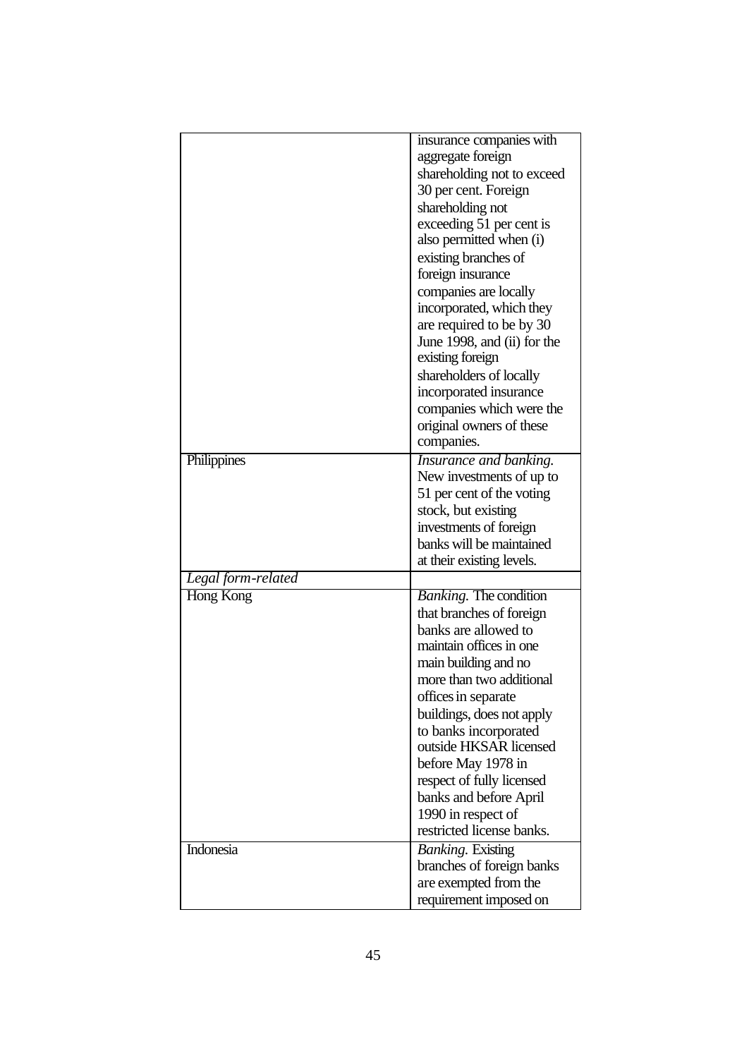|                    | insurance companies with                              |
|--------------------|-------------------------------------------------------|
|                    | aggregate foreign                                     |
|                    | shareholding not to exceed                            |
|                    | 30 per cent. Foreign                                  |
|                    | shareholding not                                      |
|                    | exceeding 51 per cent is                              |
|                    | also permitted when (i)                               |
|                    | existing branches of                                  |
|                    | foreign insurance                                     |
|                    | companies are locally                                 |
|                    | incorporated, which they                              |
|                    | are required to be by 30                              |
|                    | June 1998, and (ii) for the                           |
|                    | existing foreign                                      |
|                    | shareholders of locally                               |
|                    | incorporated insurance                                |
|                    | companies which were the                              |
|                    | original owners of these                              |
|                    | companies.                                            |
| Philippines        | <i>Insurance and banking.</i>                         |
|                    | New investments of up to                              |
|                    | 51 per cent of the voting                             |
|                    | stock, but existing                                   |
|                    | investments of foreign                                |
|                    | banks will be maintained                              |
|                    | at their existing levels.                             |
| Legal form-related |                                                       |
| Hong Kong          | <b>Banking.</b> The condition                         |
|                    | that branches of foreign                              |
|                    | banks are allowed to                                  |
|                    | maintain offices in one                               |
|                    | main building and no                                  |
|                    | more than two additional                              |
|                    | offices in separate                                   |
|                    | buildings, does not apply                             |
|                    | to banks incorporated                                 |
|                    | outside HKSAR licensed                                |
|                    | before May 1978 in                                    |
|                    | respect of fully licensed                             |
|                    | banks and before April                                |
|                    | 1990 in respect of<br>restricted license banks.       |
|                    |                                                       |
| <b>Indonesia</b>   | <b>Banking.</b> Existing<br>branches of foreign banks |
|                    | are exempted from the                                 |
|                    | requirement imposed on                                |
|                    |                                                       |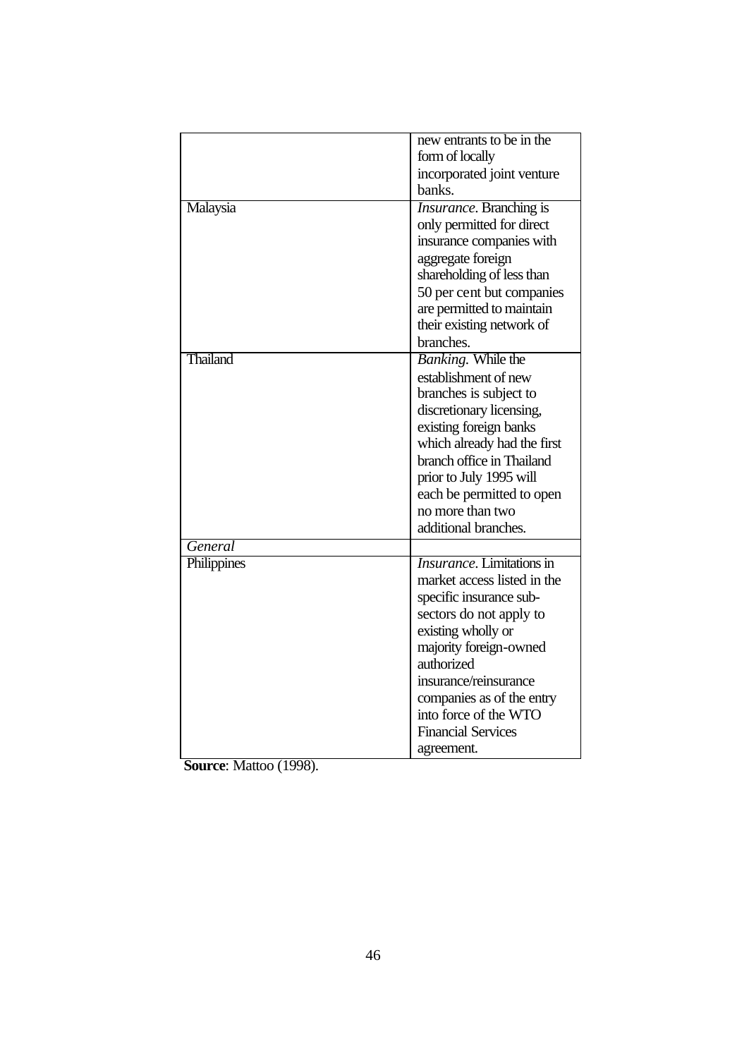|                 | new entrants to be in the         |
|-----------------|-----------------------------------|
|                 | form of locally                   |
|                 | incorporated joint venture        |
|                 | banks.                            |
| Malaysia        | <i>Insurance</i> . Branching is   |
|                 | only permitted for direct         |
|                 | insurance companies with          |
|                 | aggregate foreign                 |
|                 | shareholding of less than         |
|                 | 50 per cent but companies         |
|                 | are permitted to maintain         |
|                 | their existing network of         |
|                 | branches.                         |
| <b>Thailand</b> | Banking. While the                |
|                 | establishment of new              |
|                 | branches is subject to            |
|                 |                                   |
|                 | discretionary licensing,          |
|                 | existing foreign banks            |
|                 | which already had the first       |
|                 | branch office in Thailand         |
|                 | prior to July 1995 will           |
|                 | each be permitted to open         |
|                 | no more than two                  |
|                 | additional branches.              |
| General         |                                   |
| Philippines     | <i>Insurance</i> . Limitations in |
|                 | market access listed in the       |
|                 | specific insurance sub-           |
|                 | sectors do not apply to           |
|                 | existing wholly or                |
|                 | majority foreign-owned            |
|                 | authorized                        |
|                 | insurance/reinsurance             |
|                 | companies as of the entry         |
|                 | into force of the WTO             |
|                 | <b>Financial Services</b>         |
|                 | agreement.                        |
|                 |                                   |

**Source**: Mattoo (1998).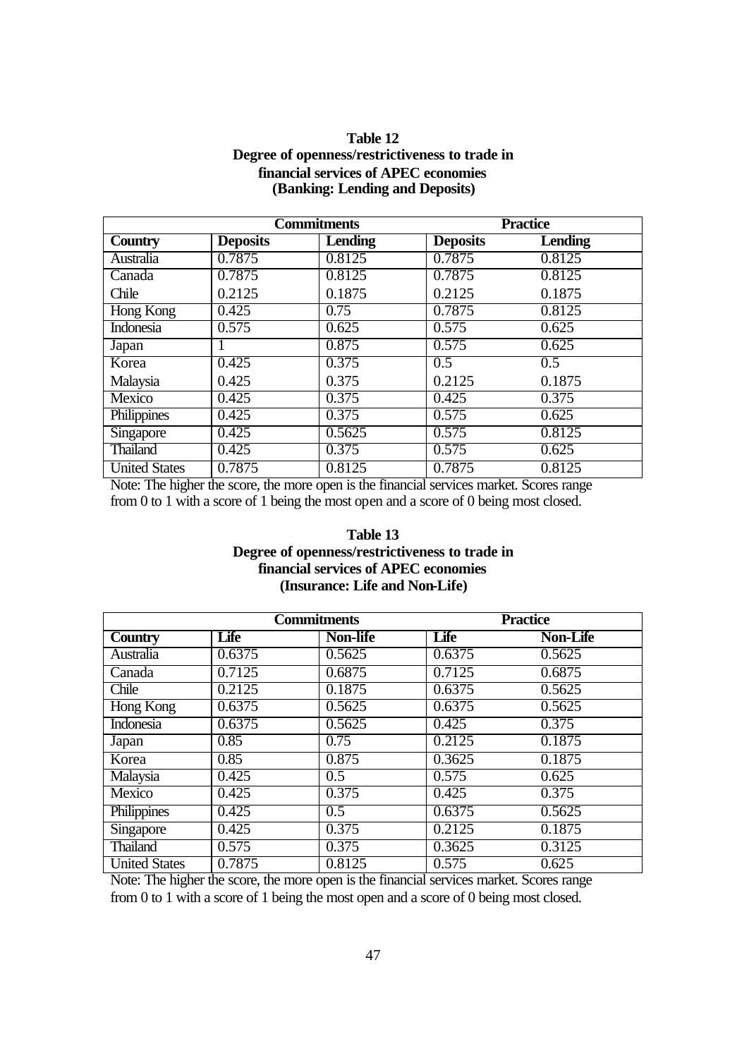|                      |                 | <b>Commitments</b> |                 | <b>Practice</b> |
|----------------------|-----------------|--------------------|-----------------|-----------------|
| <b>Country</b>       | <b>Deposits</b> | <b>Lending</b>     | <b>Deposits</b> | <b>Lending</b>  |
| Australia            | 0.7875          | 0.8125             | 0.7875          | 0.8125          |
| Canada               | 0.7875          | 0.8125             | 0.7875          | 0.8125          |
| Chile                | 0.2125          | 0.1875             | 0.2125          | 0.1875          |
| <b>Hong Kong</b>     | 0.425           | 0.75               | 0.7875          | 0.8125          |
| <b>Indonesia</b>     | 0.575           | 0.625              | 0.575           | 0.625           |
| Japan                | 1               | 0.875              | 0.575           | 0.625           |
| Korea                | 0.425           | 0.375              | 0.5             | 0.5             |
| Malaysia             | 0.425           | 0.375              | 0.2125          | 0.1875          |
| Mexico               | 0.425           | 0.375              | 0.425           | 0.375           |
| Philippines          | 0.425           | 0.375              | 0.575           | 0.625           |
| Singapore            | 0.425           | 0.5625             | 0.575           | 0.8125          |
| <b>Thailand</b>      | 0.425           | 0.375              | 0.575           | 0.625           |
| <b>United States</b> | 0.7875          | 0.8125             | 0.7875          | 0.8125          |

#### **Table 12 Degree of openness/restrictiveness to trade in financial services of APEC economies (Banking: Lending and Deposits)**

Note: The higher the score, the more open is the financial services market. Scores range from 0 to 1 with a score of 1 being the most open and a score of 0 being most closed.

#### **Table 13 Degree of openness/restrictiveness to trade in financial services of APEC economies (Insurance: Life and Non-Life)**

|                      |        | <b>Commitments</b> |        | <b>Practice</b> |
|----------------------|--------|--------------------|--------|-----------------|
| <b>Country</b>       | Life   | <b>Non-life</b>    | Life   | <b>Non-Life</b> |
| Australia            | 0.6375 | 0.5625             | 0.6375 | 0.5625          |
| Canada               | 0.7125 | 0.6875             | 0.7125 | 0.6875          |
| Chile                | 0.2125 | 0.1875             | 0.6375 | 0.5625          |
| Hong Kong            | 0.6375 | 0.5625             | 0.6375 | 0.5625          |
| <b>Indonesia</b>     | 0.6375 | 0.5625             | 0.425  | 0.375           |
| Japan                | 0.85   | 0.75               | 0.2125 | 0.1875          |
| Korea                | 0.85   | 0.875              | 0.3625 | 0.1875          |
| Malaysia             | 0.425  | 0.5                | 0.575  | 0.625           |
| Mexico               | 0.425  | 0.375              | 0.425  | 0.375           |
| <b>Philippines</b>   | 0.425  | 0.5                | 0.6375 | 0.5625          |
| Singapore            | 0.425  | 0.375              | 0.2125 | 0.1875          |
| <b>Thailand</b>      | 0.575  | 0.375              | 0.3625 | 0.3125          |
| <b>United States</b> | 0.7875 | 0.8125             | 0.575  | 0.625           |

Note: The higher the score, the more open is the financial services market. Scores range from 0 to 1 with a score of 1 being the most open and a score of 0 being most closed.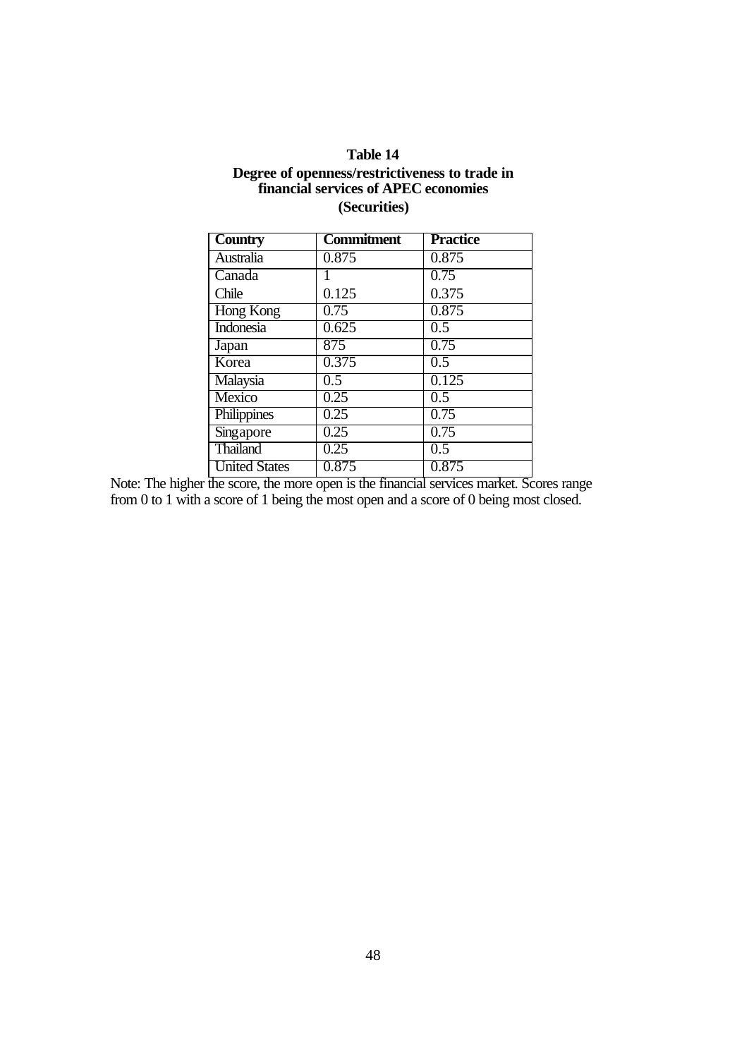### **Table 14**

#### **Degree of openness/restrictiveness to trade in financial services of APEC economies (Securities)**

| <b>Country</b>       | <b>Commitment</b> | <b>Practice</b>  |
|----------------------|-------------------|------------------|
| Australia            | 0.875             | 0.875            |
| Canada               |                   | 0.75             |
| Chile                | 0.125             | 0.375            |
| <b>Hong Kong</b>     | 0.75              | 0.875            |
| <b>Indonesia</b>     | 0.625             | 0.5              |
| Japan                | 875               | 0.75             |
| Korea                | 0.375             | 0.5              |
| Malaysia             | $\overline{0.5}$  | 0.125            |
| Mexico               | 0.25              | $\overline{0.5}$ |
| Philippines          | 0.25              | 0.75             |
| Singapore            | 0.25              | 0.75             |
| <b>Thailand</b>      | 0.25              | $\overline{0.5}$ |
| <b>United States</b> | 0.875             | 0.875            |

Note: The higher the score, the more open is the financial services market. Scores range from 0 to 1 with a score of 1 being the most open and a score of 0 being most closed.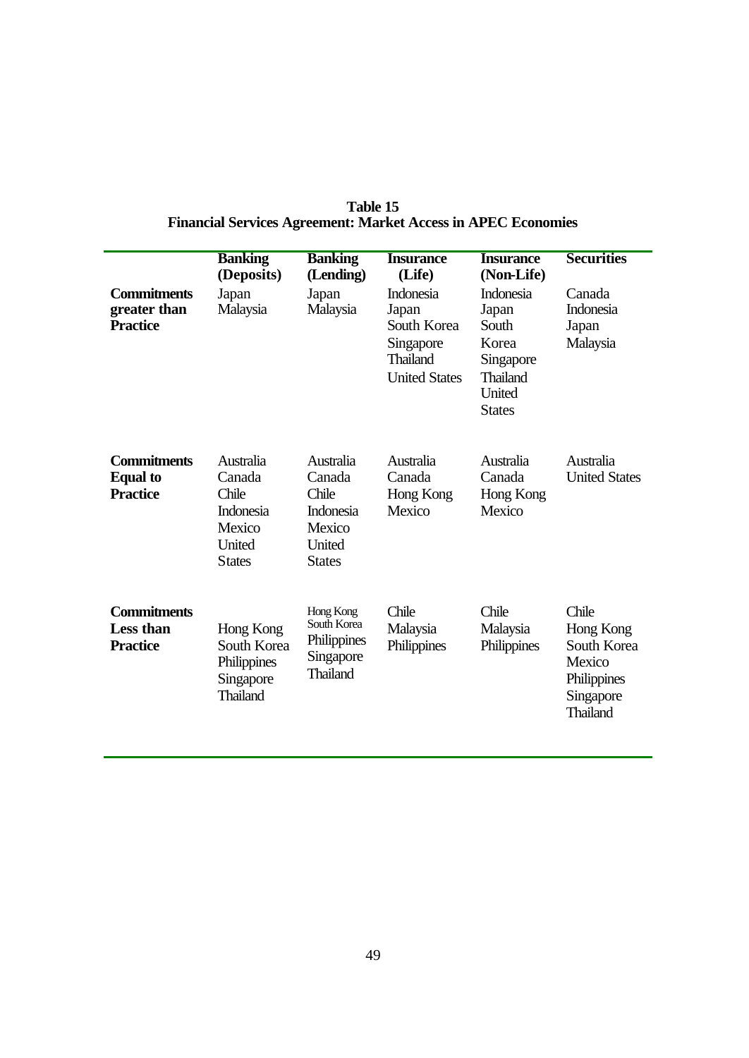|                                                           | <b>Banking</b><br>(Deposits)                                                   | <b>Banking</b><br>(Lending)                                                    | <b>Insurance</b><br>(Life)                                                                       | <b>Insurance</b><br>(Non-Life)                                                                  | <b>Securities</b>                                                                          |
|-----------------------------------------------------------|--------------------------------------------------------------------------------|--------------------------------------------------------------------------------|--------------------------------------------------------------------------------------------------|-------------------------------------------------------------------------------------------------|--------------------------------------------------------------------------------------------|
| <b>Commitments</b><br>greater than<br><b>Practice</b>     | Japan<br>Malaysia                                                              | Japan<br>Malaysia                                                              | <b>Indonesia</b><br>Japan<br>South Korea<br>Singapore<br><b>Thailand</b><br><b>United States</b> | Indonesia<br>Japan<br>South<br>Korea<br>Singapore<br><b>Thailand</b><br>United<br><b>States</b> | Canada<br>Indonesia<br>Japan<br>Malaysia                                                   |
| <b>Commitments</b><br><b>Equal to</b><br><b>Practice</b>  | Australia<br>Canada<br>Chile<br>Indonesia<br>Mexico<br>United<br><b>States</b> | Australia<br>Canada<br>Chile<br>Indonesia<br>Mexico<br>United<br><b>States</b> | Australia<br>Canada<br>Hong Kong<br>Mexico                                                       | Australia<br>Canada<br>Hong Kong<br>Mexico                                                      | Australia<br><b>United States</b>                                                          |
| <b>Commitments</b><br><b>Less than</b><br><b>Practice</b> | Hong Kong<br>South Korea<br>Philippines<br>Singapore<br><b>Thailand</b>        | Hong Kong<br>South Korea<br>Philippines<br>Singapore<br><b>Thailand</b>        | Chile<br>Malaysia<br>Philippines                                                                 | Chile<br>Malaysia<br>Philippines                                                                | Chile<br>Hong Kong<br>South Korea<br>Mexico<br>Philippines<br>Singapore<br><b>Thailand</b> |

# **Table 15 Financial Services Agreement: Market Access in APEC Economies**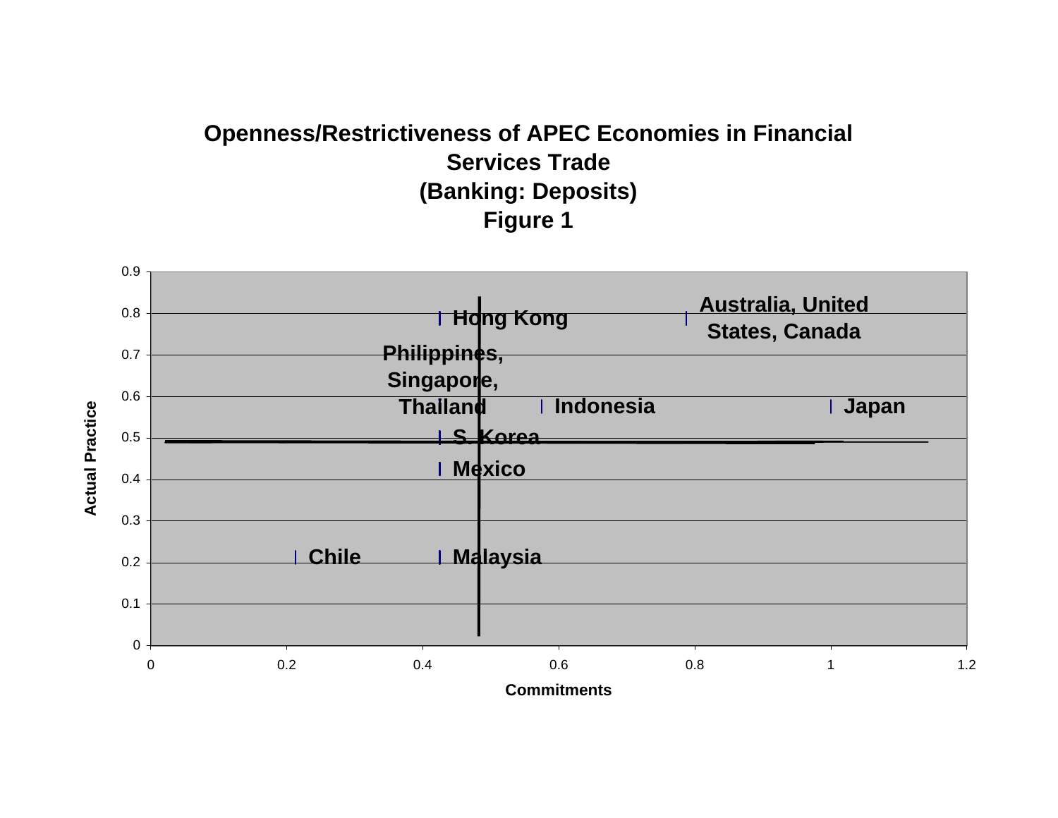# **Openness/Restrictiveness of APEC Economies in Financial Services Trade (Banking: Deposits) Figure 1**

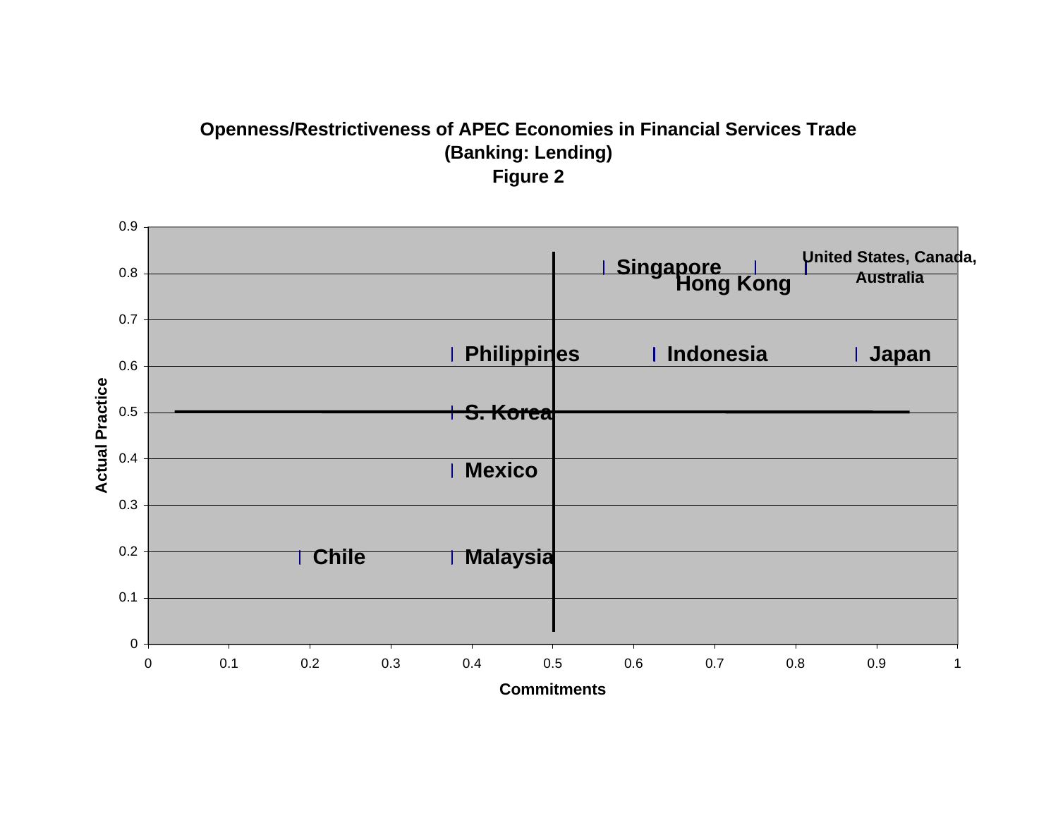# **Openness/Restrictiveness of APEC Economies in Financial Services Trade (Banking: Lending) Figure 2**

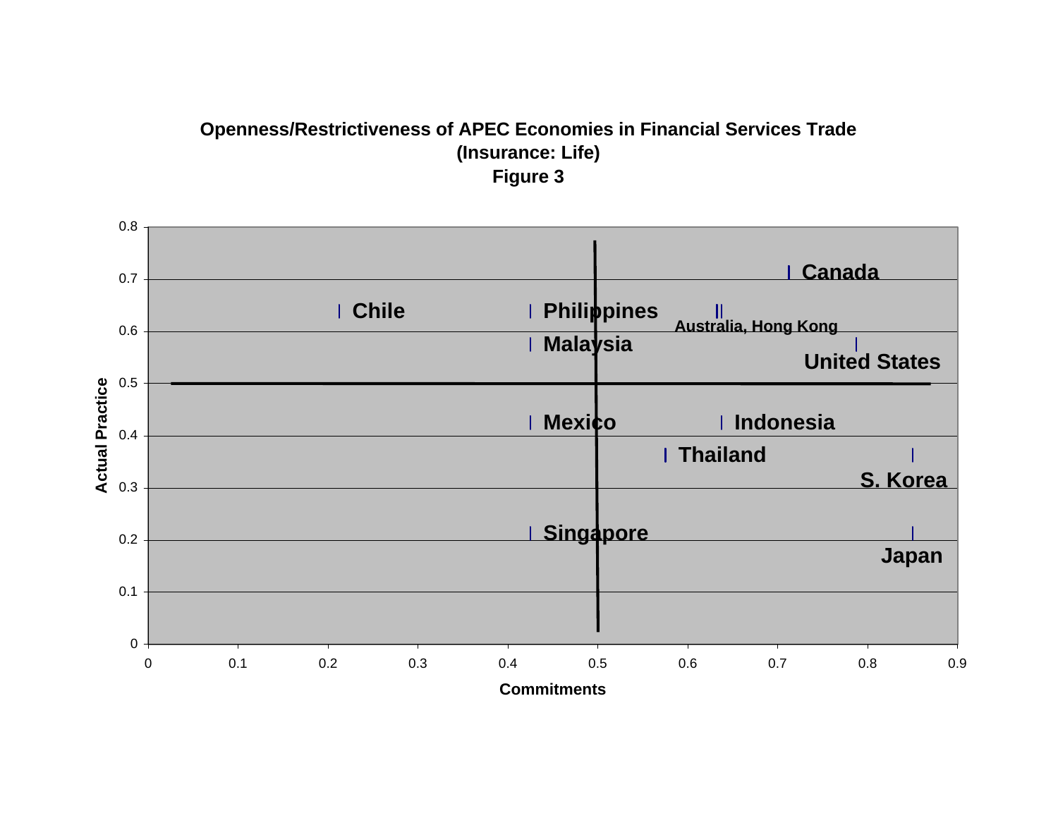# **Openness/Restrictiveness of APEC Economies in Financial Services Trade (Insurance: Life) Figure 3**

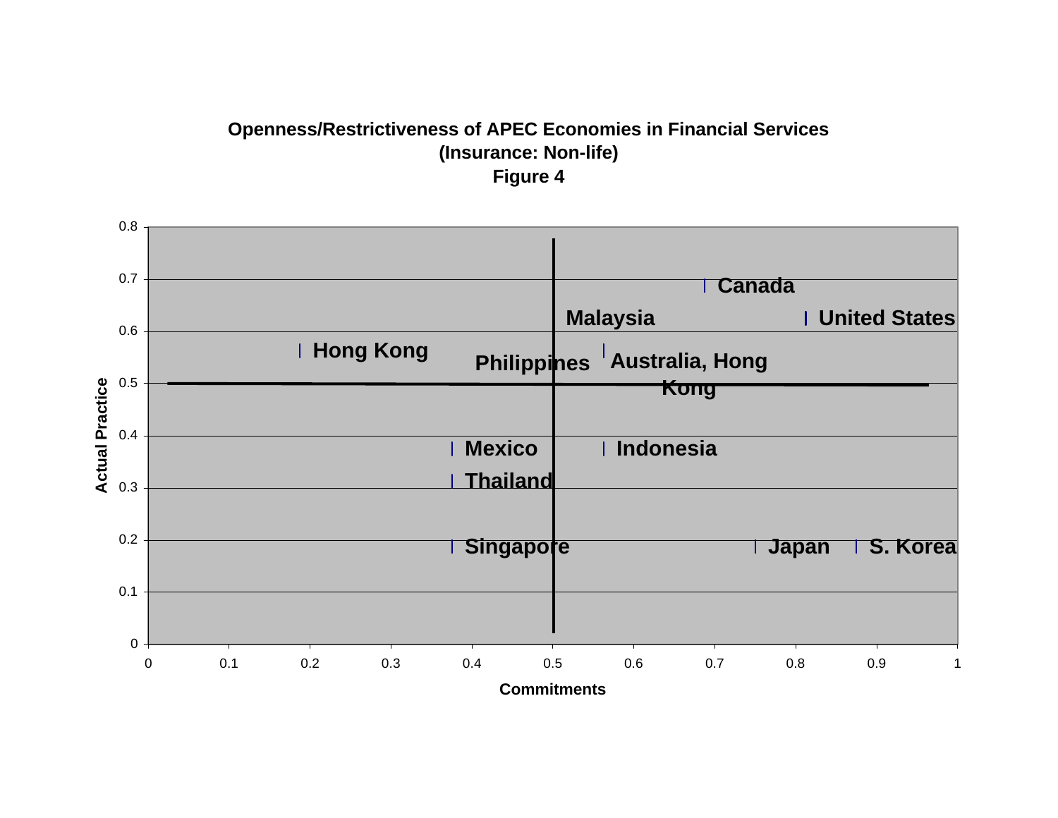# **Openness/Restrictiveness of APEC Economies in Financial Services (Insurance: Non-life) Figure 4**

![](_page_59_Figure_1.jpeg)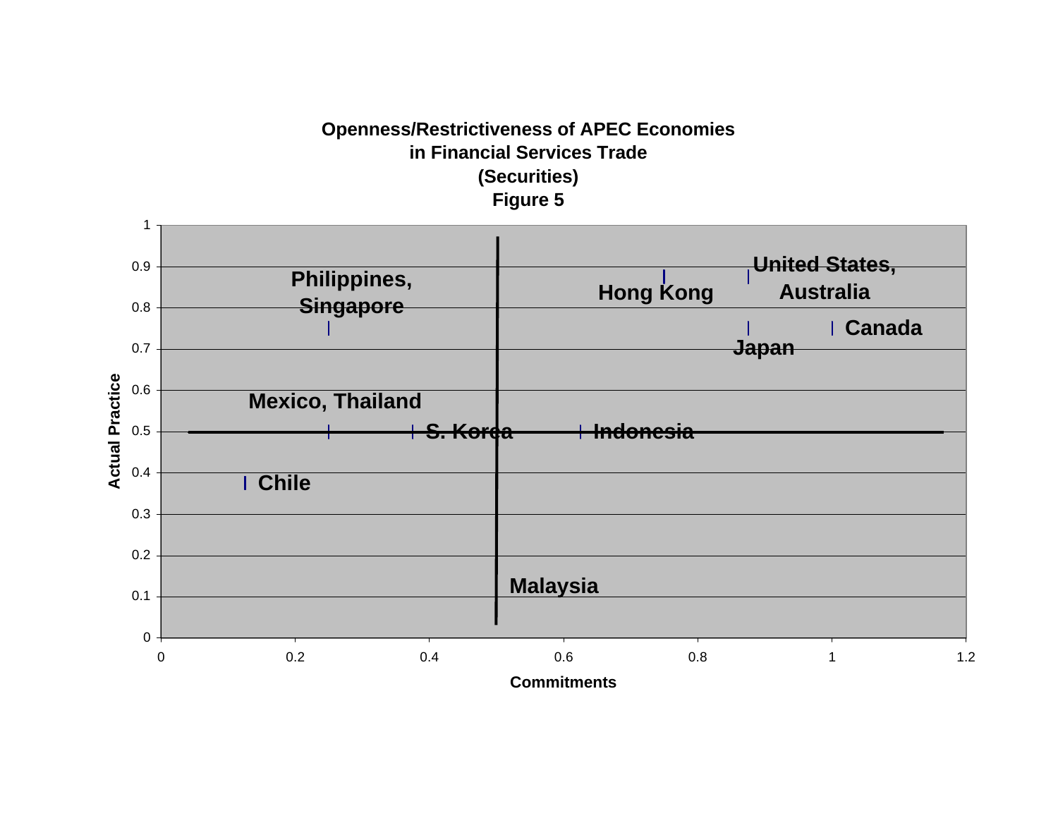# **Openness/Restrictiveness of APEC Economies in Financial Services Trade (Securities) Figure 5**

![](_page_60_Figure_1.jpeg)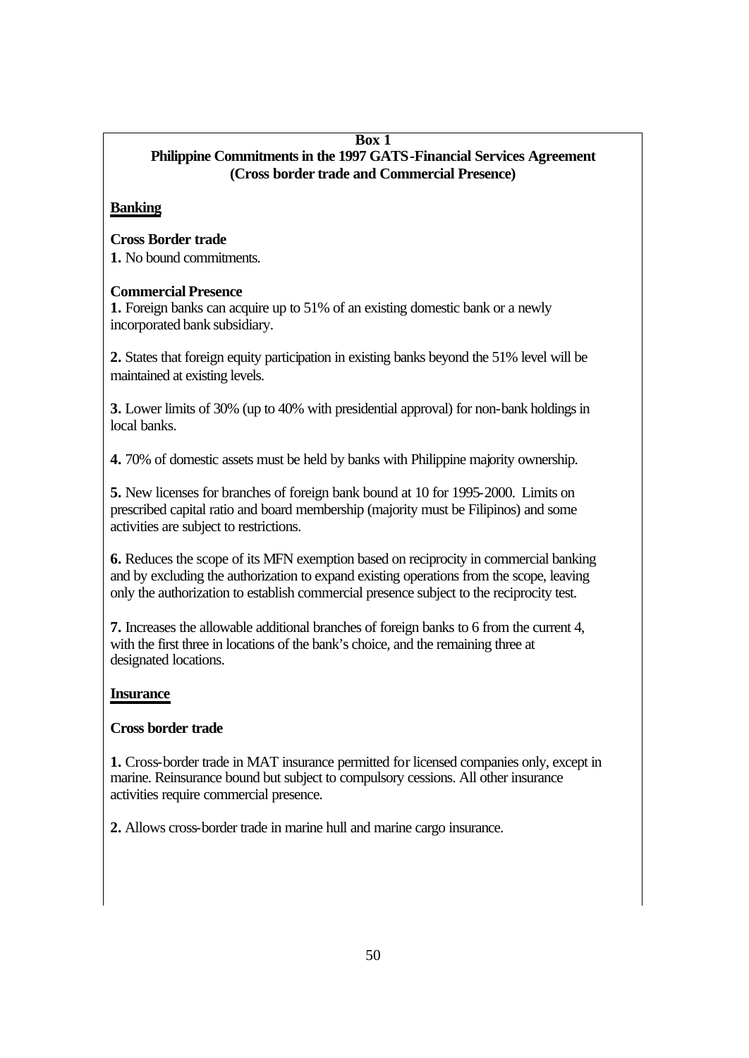#### **Box 1 Philippine Commitments in the 1997 GATS-Financial Services Agreement (Cross border trade and Commercial Presence)**

### **Banking**

# **Cross Border trade**

**1.** No bound commitments.

### **Commercial Presence**

**1.** Foreign banks can acquire up to 51% of an existing domestic bank or a newly incorporated bank subsidiary.

**2.** States that foreign equity participation in existing banks beyond the 51% level will be maintained at existing levels.

**3.** Lower limits of 30% (up to 40% with presidential approval) for non-bank holdings in local banks.

**4.** 70% of domestic assets must be held by banks with Philippine majority ownership.

**5.** New licenses for branches of foreign bank bound at 10 for 1995-2000. Limits on prescribed capital ratio and board membership (majority must be Filipinos) and some activities are subject to restrictions.

**6.** Reduces the scope of its MFN exemption based on reciprocity in commercial banking and by excluding the authorization to expand existing operations from the scope, leaving only the authorization to establish commercial presence subject to the reciprocity test.

**7.** Increases the allowable additional branches of foreign banks to 6 from the current 4, with the first three in locations of the bank's choice, and the remaining three at designated locations.

## **Insurance**

## **Cross border trade**

**1.** Cross-border trade in MAT insurance permitted for licensed companies only, except in marine. Reinsurance bound but subject to compulsory cessions. All other insurance activities require commercial presence.

**2.** Allows cross-border trade in marine hull and marine cargo insurance.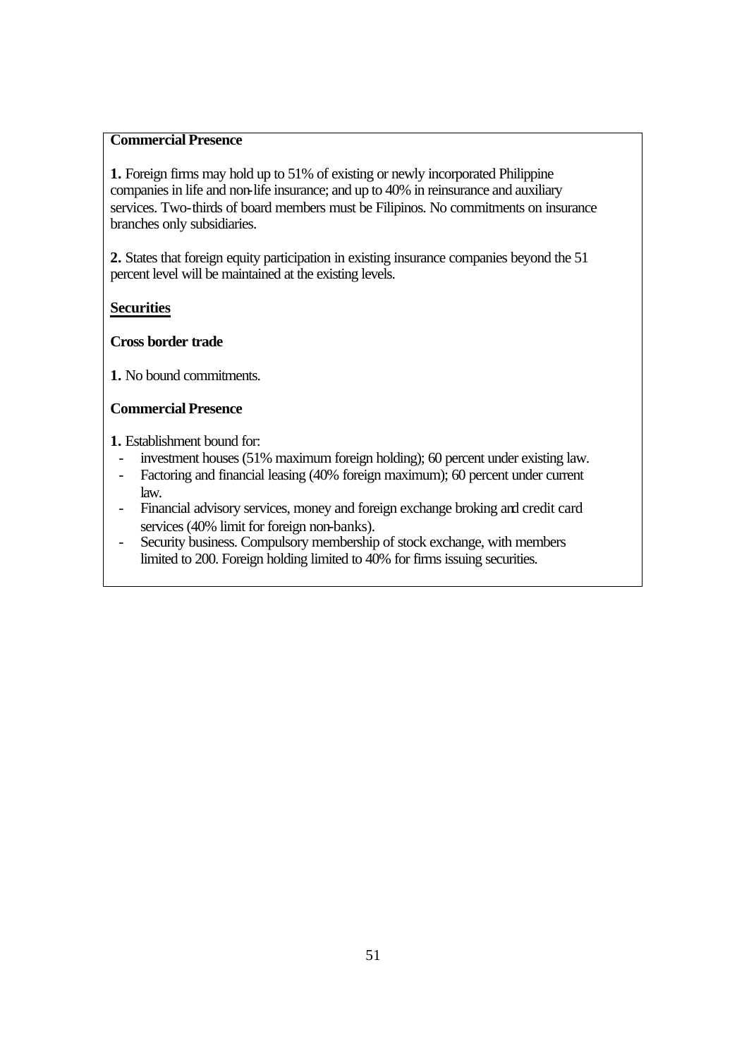#### **Commercial Presence**

**1.** Foreign firms may hold up to 51% of existing or newly incorporated Philippine companies in life and non-life insurance; and up to 40% in reinsurance and auxiliary services. Two-thirds of board members must be Filipinos. No commitments on insurance branches only subsidiaries.

**2.** States that foreign equity participation in existing insurance companies beyond the 51 percent level will be maintained at the existing levels.

#### **Securities**

#### **Cross border trade**

**1.** No bound commitments.

#### **Commercial Presence**

**1.** Establishment bound for:

- investment houses (51% maximum foreign holding); 60 percent under existing law.
- Factoring and financial leasing (40% foreign maximum); 60 percent under current law.
- Financial advisory services, money and foreign exchange broking and credit card services (40% limit for foreign non-banks).
- Security business. Compulsory membership of stock exchange, with members limited to 200. Foreign holding limited to 40% for firms issuing securities.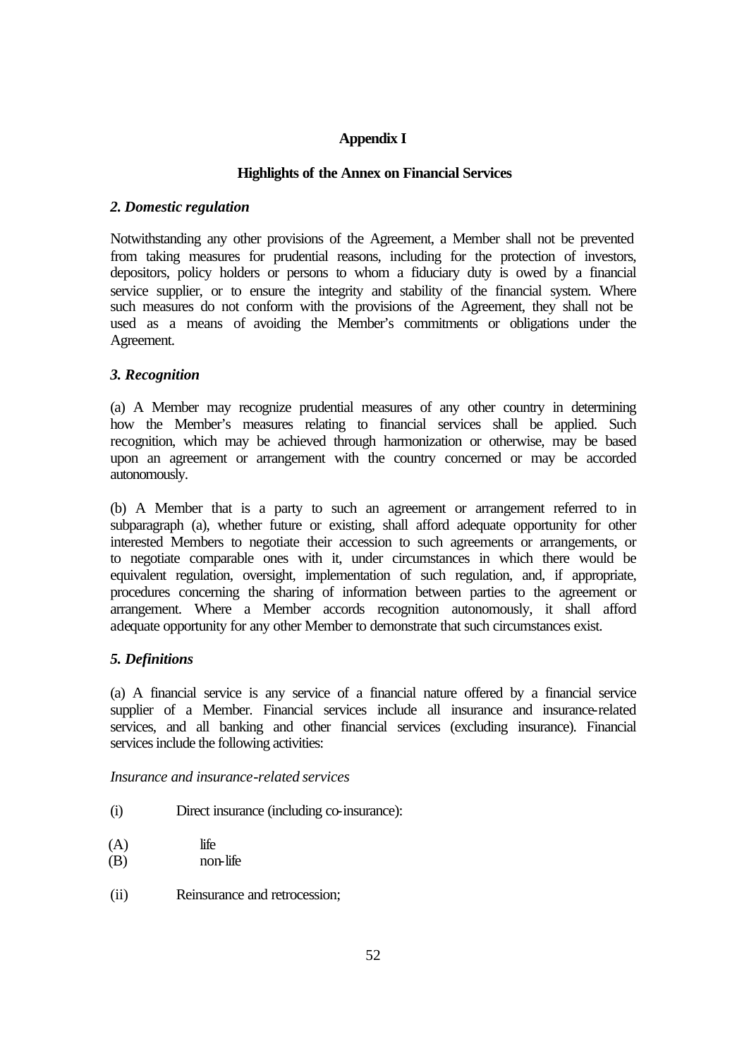#### **Appendix I**

#### **Highlights of the Annex on Financial Services**

#### *2. Domestic regulation*

Notwithstanding any other provisions of the Agreement, a Member shall not be prevented from taking measures for prudential reasons, including for the protection of investors, depositors, policy holders or persons to whom a fiduciary duty is owed by a financial service supplier, or to ensure the integrity and stability of the financial system. Where such measures do not conform with the provisions of the Agreement, they shall not be used as a means of avoiding the Member's commitments or obligations under the Agreement.

#### *3. Recognition*

(a) A Member may recognize prudential measures of any other country in determining how the Member's measures relating to financial services shall be applied. Such recognition, which may be achieved through harmonization or otherwise, may be based upon an agreement or arrangement with the country concerned or may be accorded autonomously.

(b) A Member that is a party to such an agreement or arrangement referred to in subparagraph (a), whether future or existing, shall afford adequate opportunity for other interested Members to negotiate their accession to such agreements or arrangements, or to negotiate comparable ones with it, under circumstances in which there would be equivalent regulation, oversight, implementation of such regulation, and, if appropriate, procedures concerning the sharing of information between parties to the agreement or arrangement. Where a Member accords recognition autonomously, it shall afford adequate opportunity for any other Member to demonstrate that such circumstances exist.

#### *5. Definitions*

(a) A financial service is any service of a financial nature offered by a financial service supplier of a Member. Financial services include all insurance and insurance-related services, and all banking and other financial services (excluding insurance). Financial services include the following activities:

*Insurance and insurance-related services*

- (i) Direct insurance (including co-insurance):
- $(A)$  life
- (B) non-life
- (ii) Reinsurance and retrocession;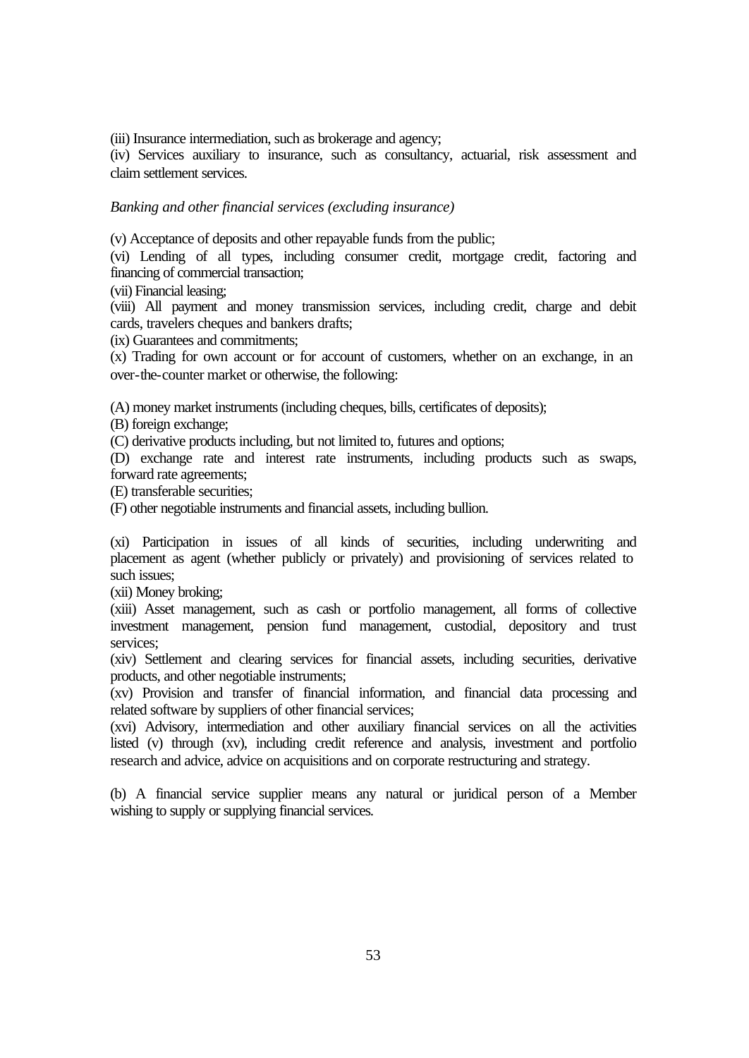(iii) Insurance intermediation, such as brokerage and agency;

(iv) Services auxiliary to insurance, such as consultancy, actuarial, risk assessment and claim settlement services.

*Banking and other financial services (excluding insurance)*

(v) Acceptance of deposits and other repayable funds from the public;

(vi) Lending of all types, including consumer credit, mortgage credit, factoring and financing of commercial transaction;

(vii) Financial leasing;

(viii) All payment and money transmission services, including credit, charge and debit cards, travelers cheques and bankers drafts;

(ix) Guarantees and commitments;

(x) Trading for own account or for account of customers, whether on an exchange, in an over-the-counter market or otherwise, the following:

(A) money market instruments (including cheques, bills, certificates of deposits);

(B) foreign exchange;

(C) derivative products including, but not limited to, futures and options;

(D) exchange rate and interest rate instruments, including products such as swaps, forward rate agreements;

(E) transferable securities;

(F) other negotiable instruments and financial assets, including bullion.

(xi) Participation in issues of all kinds of securities, including underwriting and placement as agent (whether publicly or privately) and provisioning of services related to such issues;

(xii) Money broking;

(xiii) Asset management, such as cash or portfolio management, all forms of collective investment management, pension fund management, custodial, depository and trust services:

(xiv) Settlement and clearing services for financial assets, including securities, derivative products, and other negotiable instruments;

(xv) Provision and transfer of financial information, and financial data processing and related software by suppliers of other financial services;

(xvi) Advisory, intermediation and other auxiliary financial services on all the activities listed (v) through (xv), including credit reference and analysis, investment and portfolio research and advice, advice on acquisitions and on corporate restructuring and strategy.

(b) A financial service supplier means any natural or juridical person of a Member wishing to supply or supplying financial services.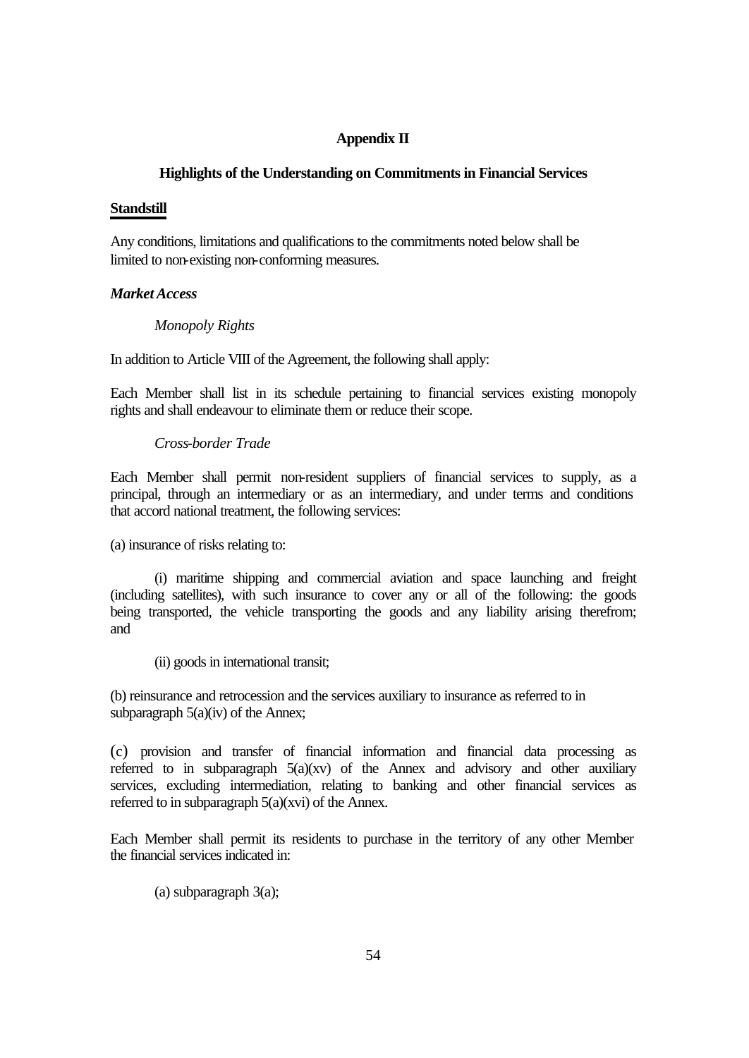#### **Appendix II**

#### **Highlights of the Understanding on Commitments in Financial Services**

#### **Standstill**

Any conditions, limitations and qualifications to the commitments noted below shall be limited to non-existing non-conforming measures.

#### *Market Access*

*Monopoly Rights*

In addition to Article VIII of the Agreement, the following shall apply:

Each Member shall list in its schedule pertaining to financial services existing monopoly rights and shall endeavour to eliminate them or reduce their scope.

*Cross-border Trade*

Each Member shall permit non-resident suppliers of financial services to supply, as a principal, through an intermediary or as an intermediary, and under terms and conditions that accord national treatment, the following services:

(a) insurance of risks relating to:

(i) maritime shipping and commercial aviation and space launching and freight (including satellites), with such insurance to cover any or all of the following: the goods being transported, the vehicle transporting the goods and any liability arising therefrom; and

(ii) goods in international transit;

(b) reinsurance and retrocession and the services auxiliary to insurance as referred to in subparagraph 5(a)(iv) of the Annex;

(c) provision and transfer of financial information and financial data processing as referred to in subparagraph  $5(a)(xv)$  of the Annex and advisory and other auxiliary services, excluding intermediation, relating to banking and other financial services as referred to in subparagraph 5(a)(xvi) of the Annex.

Each Member shall permit its residents to purchase in the territory of any other Member the financial services indicated in:

(a) subparagraph 3(a);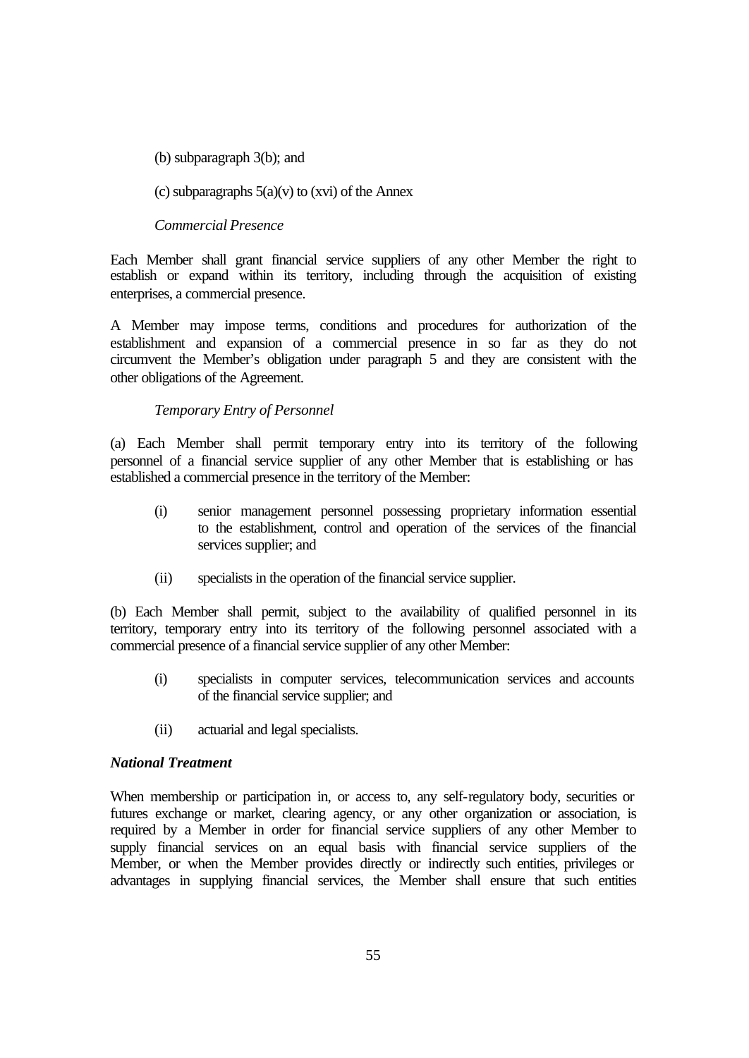(b) subparagraph 3(b); and

(c) subparagraphs  $5(a)(v)$  to  $(xvi)$  of the Annex

*Commercial Presence*

Each Member shall grant financial service suppliers of any other Member the right to establish or expand within its territory, including through the acquisition of existing enterprises, a commercial presence.

A Member may impose terms, conditions and procedures for authorization of the establishment and expansion of a commercial presence in so far as they do not circumvent the Member's obligation under paragraph 5 and they are consistent with the other obligations of the Agreement.

#### *Temporary Entry of Personnel*

(a) Each Member shall permit temporary entry into its territory of the following personnel of a financial service supplier of any other Member that is establishing or has established a commercial presence in the territory of the Member:

- (i) senior management personnel possessing proprietary information essential to the establishment, control and operation of the services of the financial services supplier; and
- (ii) specialists in the operation of the financial service supplier.

(b) Each Member shall permit, subject to the availability of qualified personnel in its territory, temporary entry into its territory of the following personnel associated with a commercial presence of a financial service supplier of any other Member:

- (i) specialists in computer services, telecommunication services and accounts of the financial service supplier; and
- (ii) actuarial and legal specialists.

#### *National Treatment*

When membership or participation in, or access to, any self-regulatory body, securities or futures exchange or market, clearing agency, or any other organization or association, is required by a Member in order for financial service suppliers of any other Member to supply financial services on an equal basis with financial service suppliers of the Member, or when the Member provides directly or indirectly such entities, privileges or advantages in supplying financial services, the Member shall ensure that such entities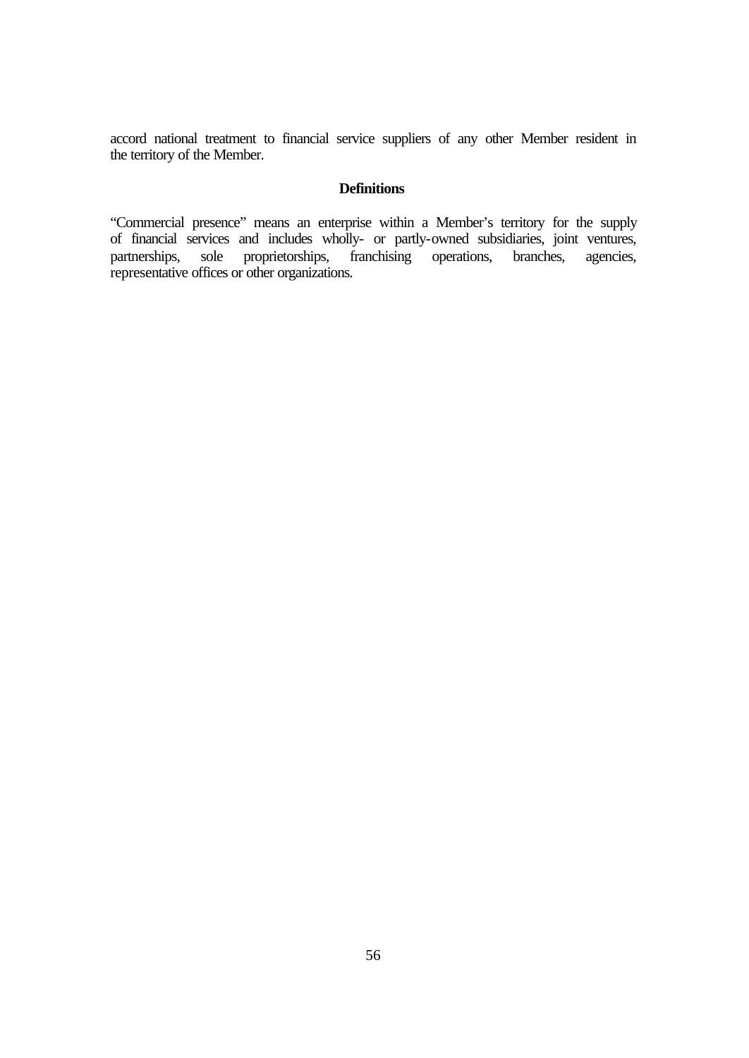accord national treatment to financial service suppliers of any other Member resident in the territory of the Member.

#### **Definitions**

"Commercial presence" means an enterprise within a Member's territory for the supply of financial services and includes wholly- or partly-owned subsidiaries, joint ventures, partnerships, sole proprietorships, franchising operations, branches, agencies, representative offices or other organizations.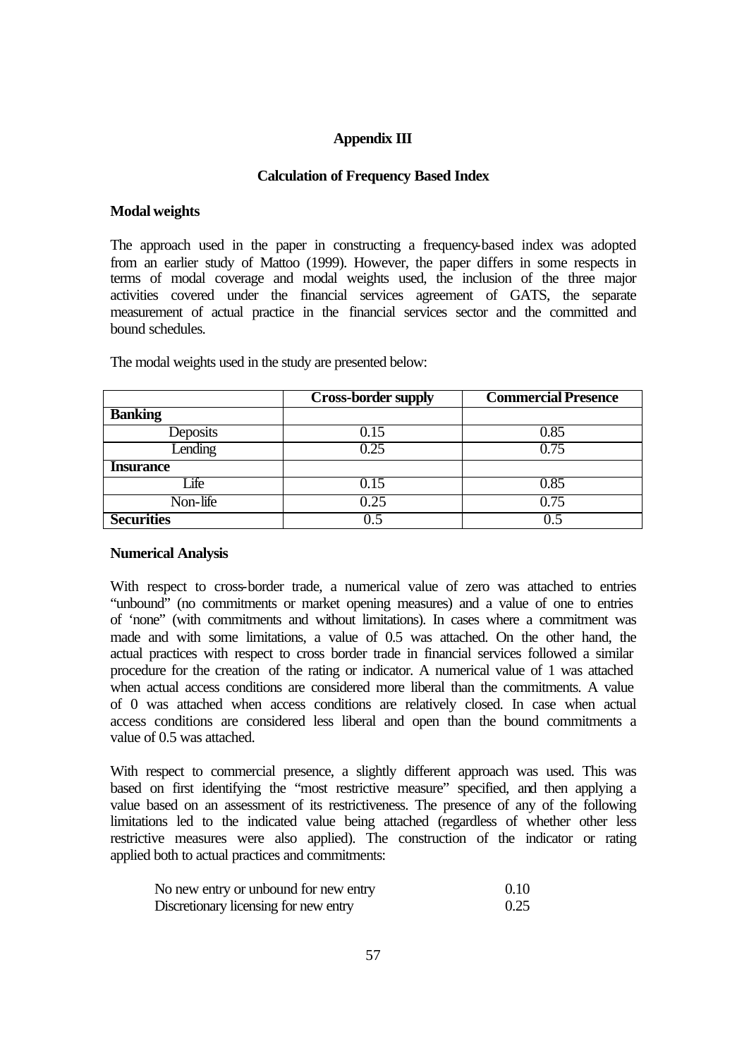#### **Appendix III**

#### **Calculation of Frequency Based Index**

#### **Modal weights**

The approach used in the paper in constructing a frequency-based index was adopted from an earlier study of Mattoo (1999). However, the paper differs in some respects in terms of modal coverage and modal weights used, the inclusion of the three major activities covered under the financial services agreement of GATS, the separate measurement of actual practice in the financial services sector and the committed and bound schedules.

|                   | <b>Cross-border supply</b> | <b>Commercial Presence</b> |
|-------------------|----------------------------|----------------------------|
| <b>Banking</b>    |                            |                            |
| Deposits          | 0.15                       | 0.85                       |
| Lending           | 0.25                       | 0.75                       |
| <b>Insurance</b>  |                            |                            |
| Life              | 0.15                       | 0.85                       |
| Non-life          | 0.25                       | 0.75                       |
| <b>Securities</b> | 0.5                        |                            |

The modal weights used in the study are presented below:

#### **Numerical Analysis**

With respect to cross-border trade, a numerical value of zero was attached to entries "unbound" (no commitments or market opening measures) and a value of one to entries of 'none" (with commitments and without limitations). In cases where a commitment was made and with some limitations, a value of 0.5 was attached. On the other hand, the actual practices with respect to cross border trade in financial services followed a similar procedure for the creation of the rating or indicator. A numerical value of 1 was attached when actual access conditions are considered more liberal than the commitments. A value of 0 was attached when access conditions are relatively closed. In case when actual access conditions are considered less liberal and open than the bound commitments a value of 0.5 was attached.

With respect to commercial presence, a slightly different approach was used. This was based on first identifying the "most restrictive measure" specified, and then applying a value based on an assessment of its restrictiveness. The presence of any of the following limitations led to the indicated value being attached (regardless of whether other less restrictive measures were also applied). The construction of the indicator or rating applied both to actual practices and commitments:

| No new entry or unbound for new entry | 0.10 |
|---------------------------------------|------|
| Discretionary licensing for new entry | 0.25 |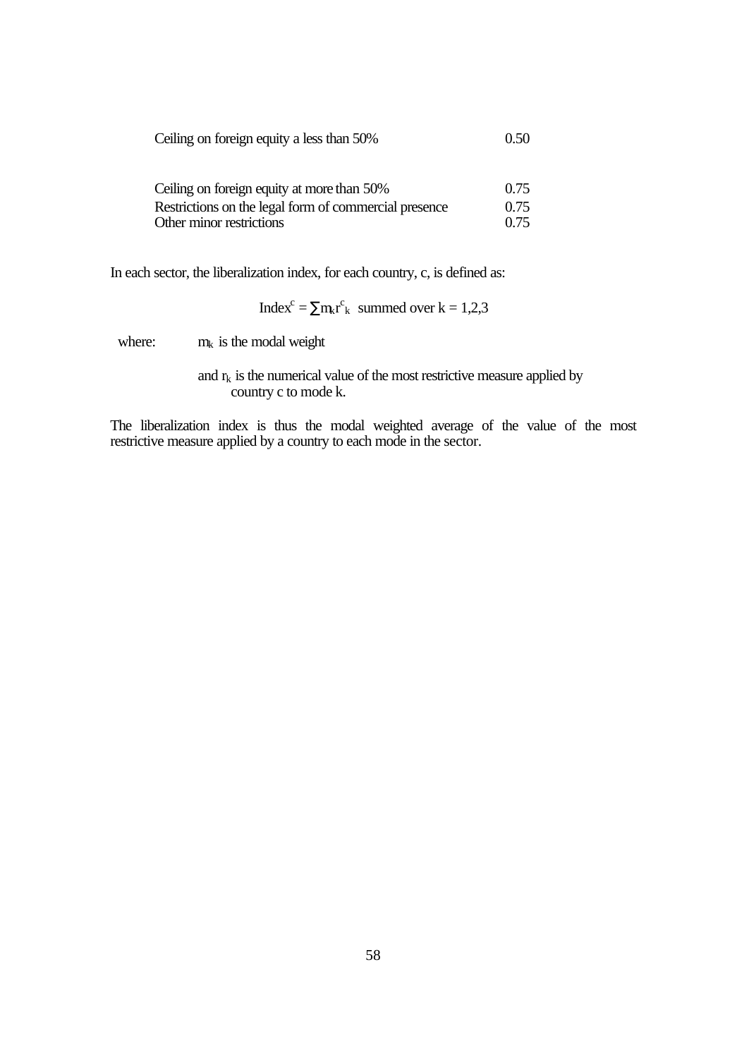| Ceiling on foreign equity a less than 50% |  |  |  |  |  |  |  |  |  |
|-------------------------------------------|--|--|--|--|--|--|--|--|--|
|                                           |  |  |  |  |  |  |  |  |  |

| Ceiling on foreign equity at more than 50%            | 0.75 |
|-------------------------------------------------------|------|
| Restrictions on the legal form of commercial presence | 0.75 |
| Other minor restrictions                              | 0.75 |

In each sector, the liberalization index, for each country, c, is defined as:

Index<sup>c</sup> =  $\sum m_k r^c_k$  summed over k = 1,2,3

where:  $m_k$  is the modal weight

and  $r_k$  is the numerical value of the most restrictive measure applied by country c to mode k.

The liberalization index is thus the modal weighted average of the value of the most restrictive measure applied by a country to each mode in the sector.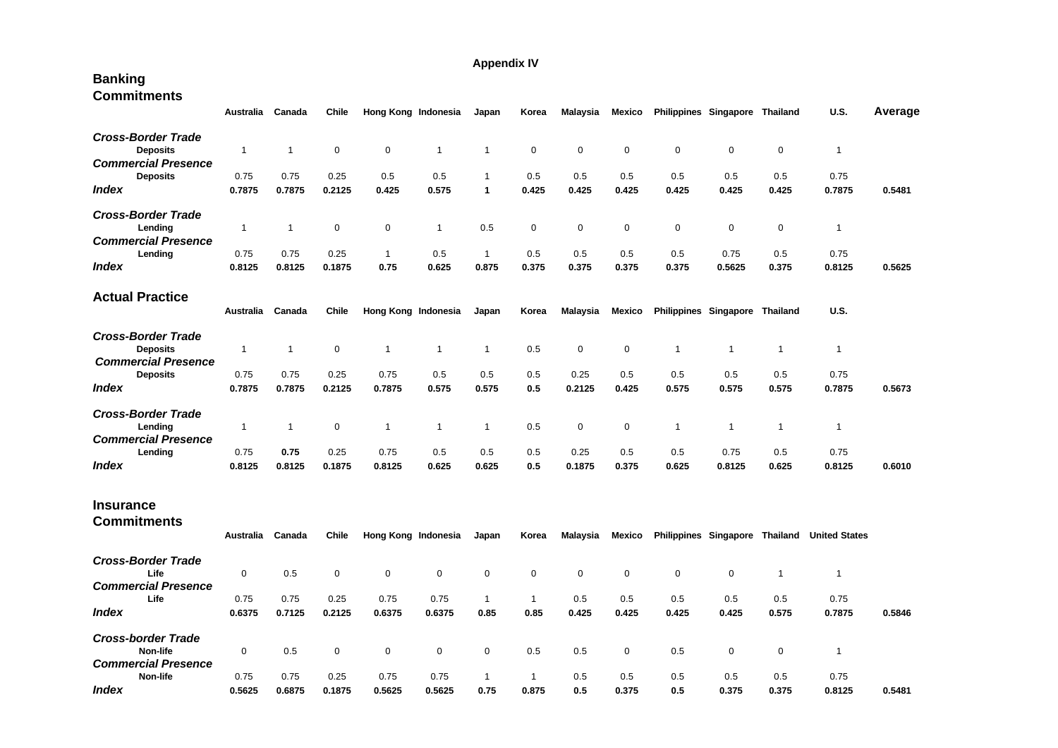#### **Appendix IV**

| <b>Banking</b> |  |  |
|----------------|--|--|
|                |  |  |

| <b>Commitments</b>                           |                  |                |              |                     |              |                                |              |                 |               |              |                                |              |                      |         |
|----------------------------------------------|------------------|----------------|--------------|---------------------|--------------|--------------------------------|--------------|-----------------|---------------|--------------|--------------------------------|--------------|----------------------|---------|
|                                              | <b>Australia</b> | Canada         | <b>Chile</b> | Hong Kong Indonesia |              | Japan                          | Korea        | <b>Malaysia</b> | <b>Mexico</b> |              | Philippines Singapore          | Thailand     | <b>U.S.</b>          | Average |
| <b>Cross-Border Trade</b>                    |                  |                |              |                     |              |                                |              |                 |               |              |                                |              |                      |         |
| <b>Deposits</b>                              | $\mathbf{1}$     | $\mathbf{1}$   | $\mathbf 0$  | $\mathbf 0$         | $\mathbf{1}$ | $\overline{1}$                 | 0            | $\mathbf 0$     | $\mathbf 0$   | $\mathbf 0$  | $\mathbf 0$                    | $\mathbf 0$  | $\mathbf{1}$         |         |
| <b>Commercial Presence</b>                   |                  |                |              |                     |              |                                |              |                 |               |              |                                |              |                      |         |
| <b>Deposits</b><br><i><b>Index</b></i>       | 0.75             | 0.75<br>0.7875 | 0.25         | 0.5                 | 0.5          | $\overline{1}$<br>$\mathbf{1}$ | 0.5<br>0.425 | 0.5<br>0.425    | 0.5           | 0.5          | 0.5                            | 0.5          | 0.75<br>0.7875       |         |
|                                              | 0.7875           |                | 0.2125       | 0.425               | 0.575        |                                |              |                 | 0.425         | 0.425        | 0.425                          | 0.425        |                      | 0.5481  |
| <b>Cross-Border Trade</b>                    |                  |                |              |                     |              |                                |              |                 |               |              |                                |              |                      |         |
| Lending                                      | $\mathbf{1}$     | 1              | $\mathbf 0$  | $\mathbf 0$         | $\mathbf{1}$ | 0.5                            | 0            | $\mathbf 0$     | $\mathbf 0$   | $\pmb{0}$    | $\mathbf 0$                    | $\mathbf 0$  | $\mathbf{1}$         |         |
| <b>Commercial Presence</b>                   |                  |                |              |                     |              |                                |              |                 |               |              |                                |              |                      |         |
| Lending                                      | 0.75             | 0.75           | 0.25         | $\mathbf{1}$        | 0.5          | $\mathbf{1}$                   | 0.5          | 0.5             | 0.5           | 0.5          | 0.75                           | 0.5          | 0.75                 |         |
| <i><b>Index</b></i>                          | 0.8125           | 0.8125         | 0.1875       | 0.75                | 0.625        | 0.875                          | 0.375        | 0.375           | 0.375         | 0.375        | 0.5625                         | 0.375        | 0.8125               | 0.5625  |
| <b>Actual Practice</b>                       |                  |                |              |                     |              |                                |              |                 |               |              |                                |              |                      |         |
|                                              | <b>Australia</b> | Canada         | Chile        | Hong Kong Indonesia |              | Japan                          | Korea        | <b>Malaysia</b> | <b>Mexico</b> |              | Philippines Singapore          | Thailand     | <b>U.S.</b>          |         |
|                                              |                  |                |              |                     |              |                                |              |                 |               |              |                                |              |                      |         |
| <b>Cross-Border Trade</b><br><b>Deposits</b> | $\mathbf{1}$     | $\mathbf{1}$   | $\mathbf 0$  | $\mathbf{1}$        | $\mathbf{1}$ | $\overline{1}$                 | 0.5          | $\mathbf 0$     | 0             | $\mathbf{1}$ | $\mathbf{1}$                   | $\mathbf{1}$ | $\mathbf{1}$         |         |
| <b>Commercial Presence</b>                   |                  |                |              |                     |              |                                |              |                 |               |              |                                |              |                      |         |
| <b>Deposits</b>                              | 0.75             | 0.75           | 0.25         | 0.75                | 0.5          | 0.5                            | $0.5\,$      | 0.25            | 0.5           | 0.5          | 0.5                            | 0.5          | 0.75                 |         |
| <i><b>Index</b></i>                          | 0.7875           | 0.7875         | 0.2125       | 0.7875              | 0.575        | 0.575                          | 0.5          | 0.2125          | 0.425         | 0.575        | 0.575                          | 0.575        | 0.7875               | 0.5673  |
|                                              |                  |                |              |                     |              |                                |              |                 |               |              |                                |              |                      |         |
| <b>Cross-Border Trade</b><br>Lending         | $\mathbf{1}$     | $\mathbf{1}$   | $\mathbf 0$  | $\mathbf{1}$        | $\mathbf{1}$ | $\overline{1}$                 | 0.5          | $\mathbf 0$     | 0             | 1            | $\mathbf{1}$                   | $\mathbf{1}$ | $\mathbf{1}$         |         |
| <b>Commercial Presence</b>                   |                  |                |              |                     |              |                                |              |                 |               |              |                                |              |                      |         |
| Lending                                      | 0.75             | 0.75           | 0.25         | 0.75                | 0.5          | 0.5                            | 0.5          | 0.25            | 0.5           | 0.5          | 0.75                           | 0.5          | 0.75                 |         |
| <i><b>Index</b></i>                          | 0.8125           | 0.8125         | 0.1875       | 0.8125              | 0.625        | 0.625                          | 0.5          | 0.1875          | 0.375         | 0.625        | 0.8125                         | 0.625        | 0.8125               | 0.6010  |
|                                              |                  |                |              |                     |              |                                |              |                 |               |              |                                |              |                      |         |
|                                              |                  |                |              |                     |              |                                |              |                 |               |              |                                |              |                      |         |
| <b>Insurance</b>                             |                  |                |              |                     |              |                                |              |                 |               |              |                                |              |                      |         |
| <b>Commitments</b>                           |                  |                |              |                     |              |                                |              |                 |               |              |                                |              |                      |         |
|                                              | Australia        | Canada         | Chile        | Hong Kong Indonesia |              | Japan                          | Korea        | <b>Malaysia</b> | <b>Mexico</b> |              | Philippines Singapore Thailand |              | <b>United States</b> |         |
| <b>Cross-Border Trade</b>                    |                  |                |              |                     |              |                                |              |                 |               |              |                                |              |                      |         |
| Life                                         | $\mathbf 0$      | 0.5            | $\mathbf 0$  | 0                   | $\mathbf 0$  | $\mathbf 0$                    | $\mathbf 0$  | $\mathbf 0$     | $\mathbf 0$   | $\pmb{0}$    | $\mathbf 0$                    | $\mathbf{1}$ | $\mathbf{1}$         |         |
| <b>Commercial Presence</b>                   |                  |                |              |                     |              |                                |              |                 |               |              |                                |              |                      |         |
| Life                                         | 0.75             | 0.75           | 0.25         | 0.75                | 0.75         | $\overline{1}$                 | $\mathbf{1}$ | 0.5             | 0.5           | 0.5          | 0.5                            | 0.5          | 0.75                 |         |
| Index                                        | 0.6375           | 0.7125         | 0.2125       | 0.6375              | 0.6375       | 0.85                           | 0.85         | 0.425           | 0.425         | 0.425        | 0.425                          | 0.575        | 0.7875               | 0.5846  |
| <b>Cross-border Trade</b>                    |                  |                |              |                     |              |                                |              |                 |               |              |                                |              |                      |         |
| Non-life                                     | $\mathbf 0$      | 0.5            | 0            | 0                   | $\mathbf 0$  | $\mathbf 0$                    | 0.5          | 0.5             | 0             | 0.5          | $\mathbf 0$                    | 0            | $\mathbf{1}$         |         |
| <b>Commercial Presence</b>                   |                  |                |              |                     |              |                                |              |                 |               |              |                                |              |                      |         |
| Non-life                                     | 0.75             | 0.75           | 0.25         | 0.75                | 0.75         | $\mathbf{1}$                   | $\mathbf{1}$ | 0.5             | 0.5           | 0.5          | 0.5                            | 0.5          | 0.75                 |         |
| <i><b>Index</b></i>                          | 0.5625           | 0.6875         | 0.1875       | 0.5625              | 0.5625       | 0.75                           | 0.875        | 0.5             | 0.375         | 0.5          | 0.375                          | 0.375        | 0.8125               | 0.5481  |